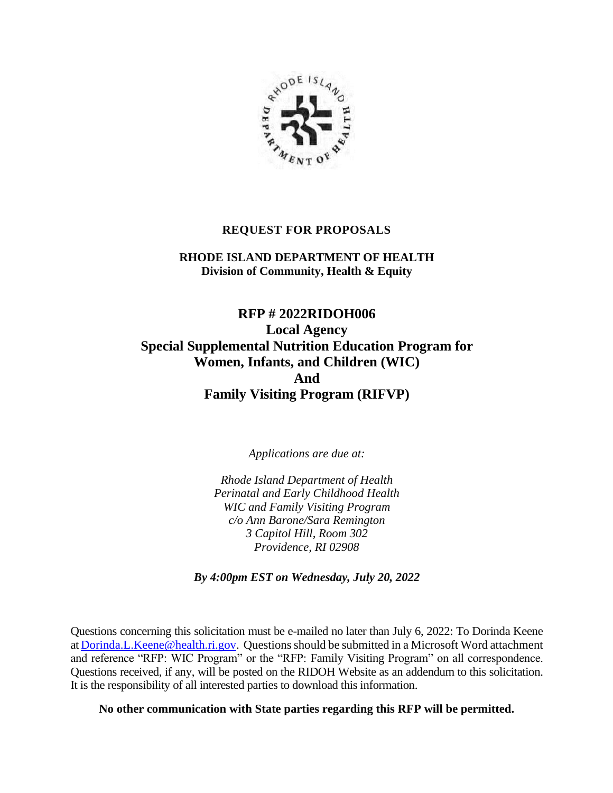

### **REQUEST FOR PROPOSALS**

**RHODE ISLAND DEPARTMENT OF HEALTH Division of Community, Health & Equity**

**RFP # 2022RIDOH006 Local Agency Special Supplemental Nutrition Education Program for Women, Infants, and Children (WIC) And Family Visiting Program (RIFVP)**

*Applications are due at:*

*Rhode Island Department of Health Perinatal and Early Childhood Health WIC and Family Visiting Program c/o Ann Barone/Sara Remington 3 Capitol Hill, Room 302 Providence, RI 02908*

*By 4:00pm EST on Wednesday, July 20, 2022*

Questions concerning this solicitation must be e-mailed no later than July 6, 2022: To Dorinda Keene at [Dorinda.L.Keene@health.ri.gov.](mailto:Dorinda.L.Keene@health.ri.gov) Questions should be submitted in a Microsoft Word attachment and reference "RFP: WIC Program" or the "RFP: Family Visiting Program" on all correspondence. Questions received, if any, will be posted on the RIDOH Website as an addendum to this solicitation. It is the responsibility of all interested parties to download this information.

**No other communication with State parties regarding this RFP will be permitted.**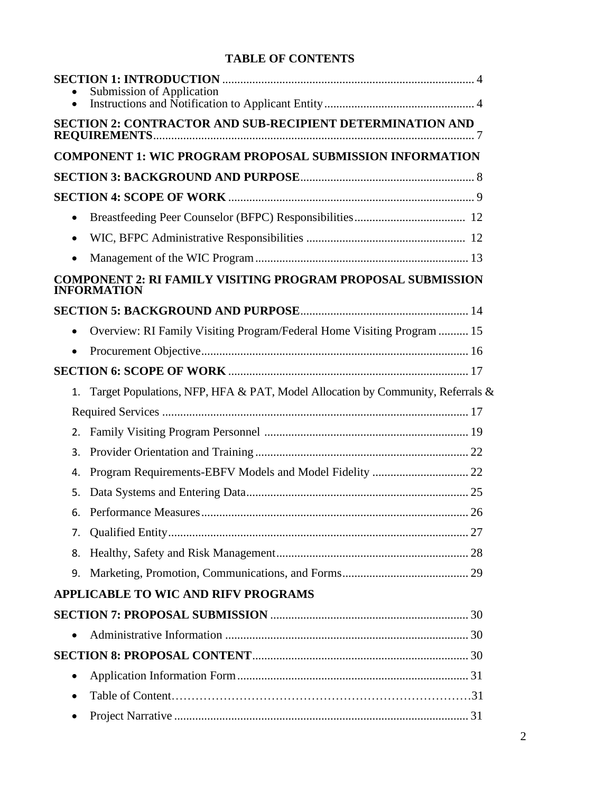# **TABLE OF CONTENTS**

|           | Submission of Application                                                                |
|-----------|------------------------------------------------------------------------------------------|
|           | <b>SECTION 2: CONTRACTOR AND SUB-RECIPIENT DETERMINATION AND</b>                         |
|           | <b>COMPONENT 1: WIC PROGRAM PROPOSAL SUBMISSION INFORMATION</b>                          |
|           |                                                                                          |
|           |                                                                                          |
| $\bullet$ |                                                                                          |
| $\bullet$ |                                                                                          |
| $\bullet$ |                                                                                          |
|           | <b>COMPONENT 2: RI FAMILY VISITING PROGRAM PROPOSAL SUBMISSION</b><br><b>INFORMATION</b> |
|           |                                                                                          |
|           | Overview: RI Family Visiting Program/Federal Home Visiting Program  15                   |
|           |                                                                                          |
|           |                                                                                          |
| 1.        | Target Populations, NFP, HFA & PAT, Model Allocation by Community, Referrals &           |
|           |                                                                                          |
| 2.        |                                                                                          |
| 3.        |                                                                                          |
| 4.        |                                                                                          |
| 5.        |                                                                                          |
| 6.        |                                                                                          |
| 7.        |                                                                                          |
| 8.        |                                                                                          |
| 9.        |                                                                                          |
|           | <b>APPLICABLE TO WIC AND RIFV PROGRAMS</b>                                               |
|           |                                                                                          |
| $\bullet$ |                                                                                          |
|           |                                                                                          |
| $\bullet$ |                                                                                          |
| $\bullet$ |                                                                                          |
|           |                                                                                          |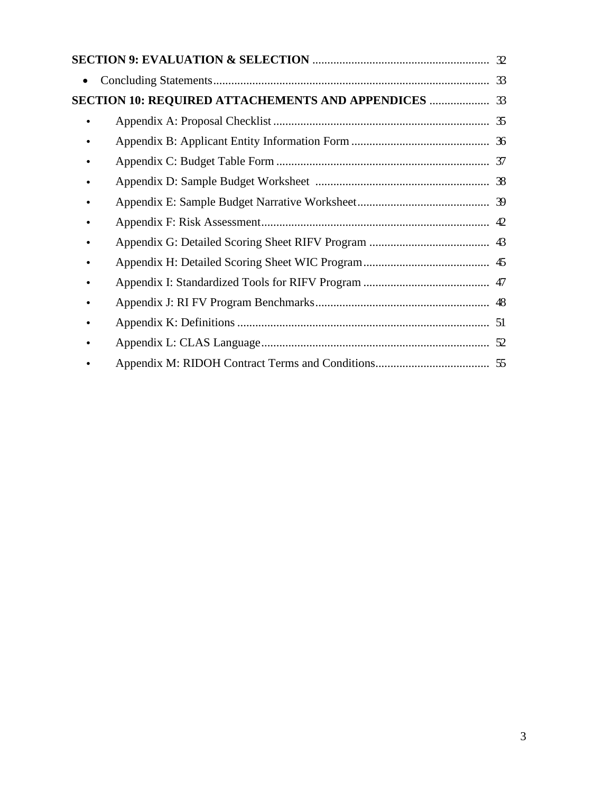|                                                  | 33 |
|--------------------------------------------------|----|
| SECTION 10: REQUIRED ATTACHEMENTS AND APPENDICES | 33 |
|                                                  |    |
|                                                  |    |
|                                                  |    |
|                                                  |    |
|                                                  |    |
|                                                  |    |
|                                                  |    |
|                                                  |    |
|                                                  |    |
|                                                  |    |
|                                                  |    |
|                                                  |    |
|                                                  |    |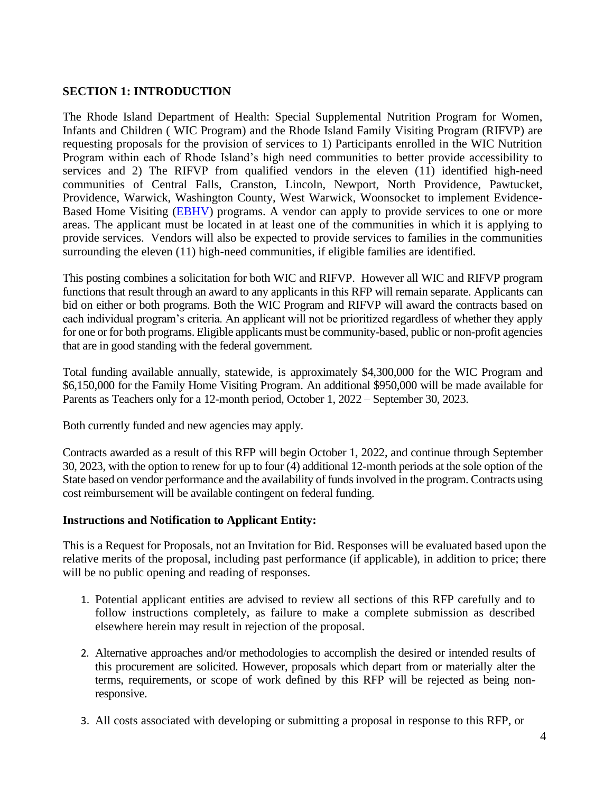## **SECTION 1: INTRODUCTION**

The Rhode Island Department of Health: Special Supplemental Nutrition Program for Women, Infants and Children ( WIC Program) and the Rhode Island Family Visiting Program (RIFVP) are requesting proposals for the provision of services to 1) Participants enrolled in the WIC Nutrition Program within each of Rhode Island's high need communities to better provide accessibility to services and 2) The RIFVP from qualified vendors in the eleven (11) identified high-need communities of Central Falls, Cranston, Lincoln, Newport, North Providence, Pawtucket, Providence, Warwick, Washington County, West Warwick, Woonsocket to implement Evidence-Based Home Visiting [\(EBHV\)](http://homvee.acf.hhs.gov/) programs. A vendor can apply to provide services to one or more areas. The applicant must be located in at least one of the communities in which it is applying to provide services. Vendors will also be expected to provide services to families in the communities surrounding the eleven (11) high-need communities, if eligible families are identified.

This posting combines a solicitation for both WIC and RIFVP. However all WIC and RIFVP program functions that result through an award to any applicants in this RFP will remain separate. Applicants can bid on either or both programs. Both the WIC Program and RIFVP will award the contracts based on each individual program's criteria. An applicant will not be prioritized regardless of whether they apply for one or for both programs. Eligible applicants must be community-based, public or non-profit agencies that are in good standing with the federal government.

Total funding available annually, statewide, is approximately \$4,300,000 for the WIC Program and \$6,150,000 for the Family Home Visiting Program. An additional \$950,000 will be made available for Parents as Teachers only for a 12-month period, October 1, 2022 – September 30, 2023.

Both currently funded and new agencies may apply.

Contracts awarded as a result of this RFP will begin October 1, 2022, and continue through September 30, 2023, with the option to renew for up to four (4) additional 12-month periods at the sole option of the State based on vendor performance and the availability of funds involved in the program. Contracts using cost reimbursement will be available contingent on federal funding.

## **Instructions and Notification to Applicant Entity:**

This is a Request for Proposals, not an Invitation for Bid. Responses will be evaluated based upon the relative merits of the proposal, including past performance (if applicable), in addition to price; there will be no public opening and reading of responses.

- 1. Potential applicant entities are advised to review all sections of this RFP carefully and to follow instructions completely, as failure to make a complete submission as described elsewhere herein may result in rejection of the proposal.
- 2. Alternative approaches and/or methodologies to accomplish the desired or intended results of this procurement are solicited. However, proposals which depart from or materially alter the terms, requirements, or scope of work defined by this RFP will be rejected as being nonresponsive.
- 3. All costs associated with developing or submitting a proposal in response to this RFP, or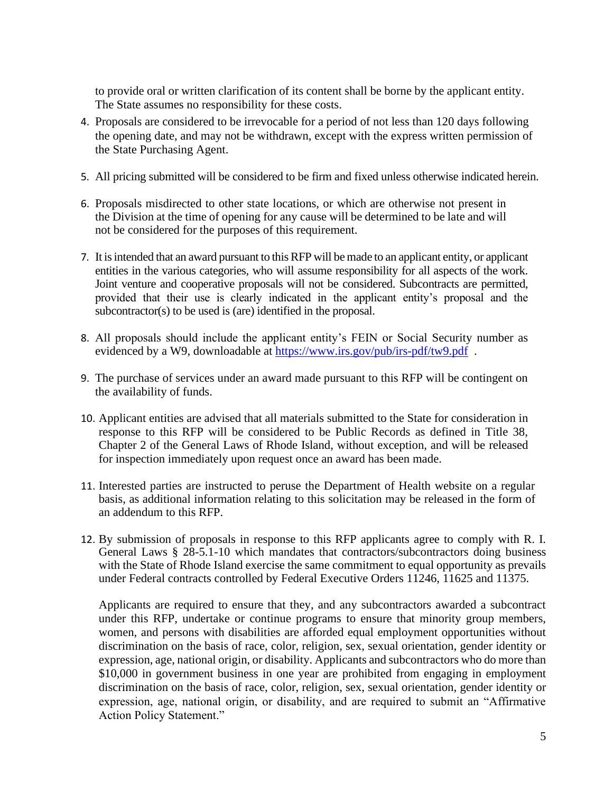to provide oral or written clarification of its content shall be borne by the applicant entity. The State assumes no responsibility for these costs.

- 4. Proposals are considered to be irrevocable for a period of not less than 120 days following the opening date, and may not be withdrawn, except with the express written permission of the State Purchasing Agent.
- 5. All pricing submitted will be considered to be firm and fixed unless otherwise indicated herein.
- 6. Proposals misdirected to other state locations, or which are otherwise not present in the Division at the time of opening for any cause will be determined to be late and will not be considered for the purposes of this requirement.
- 7. It is intended that an award pursuant to this RFP will be made to an applicant entity, or applicant entities in the various categories, who will assume responsibility for all aspects of the work. Joint venture and cooperative proposals will not be considered. Subcontracts are permitted, provided that their use is clearly indicated in the applicant entity's proposal and the subcontractor(s) to be used is (are) identified in the proposal.
- 8. All proposals should include the applicant entity's FEIN or Social Security number as evidenced by a W9, downloadable at https://www.irs.gov/pub/irs-pdf/tw9.pdf.
- 9. The purchase of services under an award made pursuant to this RFP will be contingent on the availability of funds.
- 10. Applicant entities are advised that all materials submitted to the State for consideration in response to this RFP will be considered to be Public Records as defined in Title 38, Chapter 2 of the General Laws of Rhode Island, without exception, and will be released for inspection immediately upon request once an award has been made.
- 11. Interested parties are instructed to peruse the Department of Health website on a regular basis, as additional information relating to this solicitation may be released in the form of an addendum to this RFP.
- 12. By submission of proposals in response to this RFP applicants agree to comply with R. I. General Laws § 28-5.1-10 which mandates that contractors/subcontractors doing business with the State of Rhode Island exercise the same commitment to equal opportunity as prevails under Federal contracts controlled by Federal Executive Orders 11246, 11625 and 11375.

Applicants are required to ensure that they, and any subcontractors awarded a subcontract under this RFP, undertake or continue programs to ensure that minority group members, women, and persons with disabilities are afforded equal employment opportunities without discrimination on the basis of race, color, religion, sex, sexual orientation, gender identity or expression, age, national origin, or disability. Applicants and subcontractors who do more than \$10,000 in government business in one year are prohibited from engaging in employment discrimination on the basis of race, color, religion, sex, sexual orientation, gender identity or expression, age, national origin, or disability, and are required to submit an "Affirmative Action Policy Statement."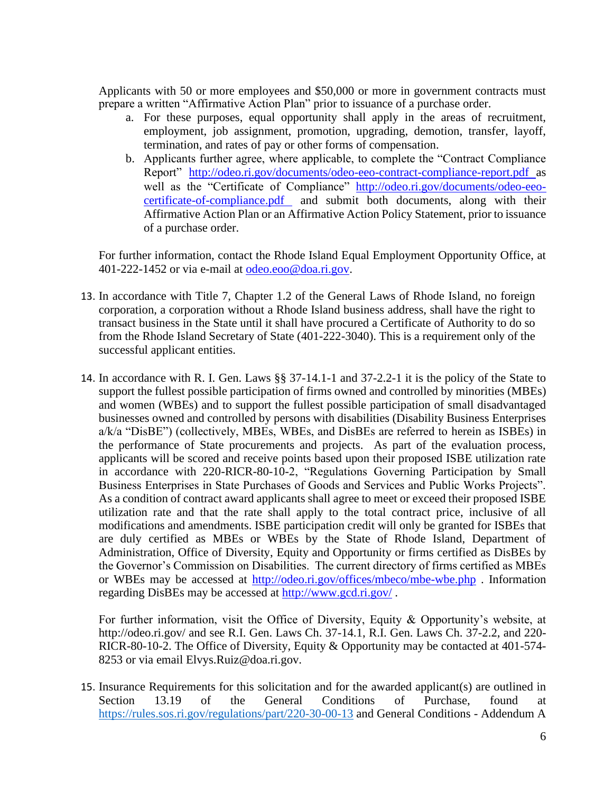Applicants with 50 or more employees and \$50,000 or more in government contracts must prepare a written "Affirmative Action Plan" prior to issuance of a purchase order.

- a. For these purposes, equal opportunity shall apply in the areas of recruitment, employment, job assignment, promotion, upgrading, demotion, transfer, layoff, termination, and rates of pay or other forms of compensation.
- b. Applicants further agree, where applicable, to complete the "Contract Compliance Report" <http://odeo.ri.gov/documents/odeo-eeo-contract-compliance-report.pdf> as well as the "Certificate of Compliance" [http://odeo.ri.gov/documents/odeo-eeo](http://odeo.ri.gov/documents/odeo-eeo-certificate-of-compliance.pdf)[certificate-of-compliance.pdf](http://odeo.ri.gov/documents/odeo-eeo-certificate-of-compliance.pdf) and submit both documents, along with their Affirmative Action Plan or an Affirmative Action Policy Statement, prior to issuance of a purchase order.

For further information, contact the Rhode Island Equal Employment Opportunity Office, at 401-222-1452 or via e-mail at [odeo.eoo@doa.ri.gov.](mailto:odeo.eoo@doa.ri.gov)

- 13. In accordance with Title 7, Chapter 1.2 of the General Laws of Rhode Island, no foreign corporation, a corporation without a Rhode Island business address, shall have the right to transact business in the State until it shall have procured a Certificate of Authority to do so from the Rhode Island Secretary of State (401-222-3040). This is a requirement only of the successful applicant entities.
- 14. In accordance with R. I. Gen. Laws §§ 37-14.1-1 and 37-2.2-1 it is the policy of the State to support the fullest possible participation of firms owned and controlled by minorities (MBEs) and women (WBEs) and to support the fullest possible participation of small disadvantaged businesses owned and controlled by persons with disabilities (Disability Business Enterprises a/k/a "DisBE") (collectively, MBEs, WBEs, and DisBEs are referred to herein as ISBEs) in the performance of State procurements and projects. As part of the evaluation process, applicants will be scored and receive points based upon their proposed ISBE utilization rate in accordance with 220-RICR-80-10-2, "Regulations Governing Participation by Small Business Enterprises in State Purchases of Goods and Services and Public Works Projects". As a condition of contract award applicants shall agree to meet or exceed their proposed ISBE utilization rate and that the rate shall apply to the total contract price, inclusive of all modifications and amendments. ISBE participation credit will only be granted for ISBEs that are duly certified as MBEs or WBEs by the State of Rhode Island, Department of Administration, Office of Diversity, Equity and Opportunity or firms certified as DisBEs by the Governor's Commission on Disabilities. The current directory of firms certified as MBEs or WBEs may be accessed at <http://odeo.ri.gov/offices/mbeco/mbe-wbe.php> . Information regarding DisBEs may be accessed at<http://www.gcd.ri.gov/> .

For further information, visit the Office of Diversity, Equity & Opportunity's website, at http://odeo.ri.gov/ and see R.I. Gen. Laws Ch. 37-14.1, R.I. Gen. Laws Ch. 37-2.2, and 220-RICR-80-10-2. The Office of Diversity, Equity & Opportunity may be contacted at 401-574- 8253 or via email Elvys.Ruiz@doa.ri.gov.

15. Insurance Requirements for this solicitation and for the awarded applicant(s) are outlined in Section 13.19 of the General Conditions of Purchase, found at <https://rules.sos.ri.gov/regulations/part/220-30-00-13> and General Conditions - Addendum A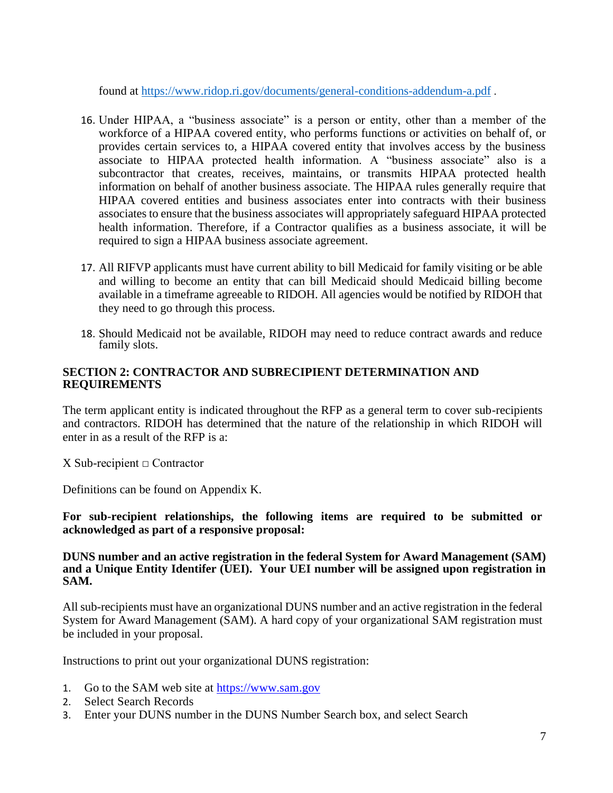found at<https://www.ridop.ri.gov/documents/general-conditions-addendum-a.pdf> .

- 16. Under HIPAA, a "business associate" is a person or entity, other than a member of the workforce of a HIPAA covered entity, who performs functions or activities on behalf of, or provides certain services to, a HIPAA covered entity that involves access by the business associate to HIPAA protected health information. A "business associate" also is a subcontractor that creates, receives, maintains, or transmits HIPAA protected health information on behalf of another business associate. The HIPAA rules generally require that HIPAA covered entities and business associates enter into contracts with their business associates to ensure that the business associates will appropriately safeguard HIPAA protected health information. Therefore, if a Contractor qualifies as a business associate, it will be required to sign a HIPAA business associate agreement.
- 17. All RIFVP applicants must have current ability to bill Medicaid for family visiting or be able and willing to become an entity that can bill Medicaid should Medicaid billing become available in a timeframe agreeable to RIDOH. All agencies would be notified by RIDOH that they need to go through this process.
- 18. Should Medicaid not be available, RIDOH may need to reduce contract awards and reduce family slots.

### **SECTION 2: CONTRACTOR AND SUBRECIPIENT DETERMINATION AND REQUIREMENTS**

The term applicant entity is indicated throughout the RFP as a general term to cover sub-recipients and contractors. RIDOH has determined that the nature of the relationship in which RIDOH will enter in as a result of the RFP is a:

 $X$  Sub-recipient  $\Box$  Contractor

Definitions can be found on Appendix K.

**For sub-recipient relationships, the following items are required to be submitted or acknowledged as part of a responsive proposal:**

#### **DUNS number and an active registration in the federal System for Award Management (SAM) and a Unique Entity Identifer (UEI). Your UEI number will be assigned upon registration in SAM.**

All sub-recipients must have an organizational DUNS number and an active registration in the federal System for Award Management (SAM). A hard copy of your organizational SAM registration must be included in your proposal.

Instructions to print out your organizational DUNS registration:

- 1. Go to the SAM web site at [https://www.sam.gov](https://www.sam.gov/)
- 2. Select Search Records
- 3. Enter your DUNS number in the DUNS Number Search box, and select Search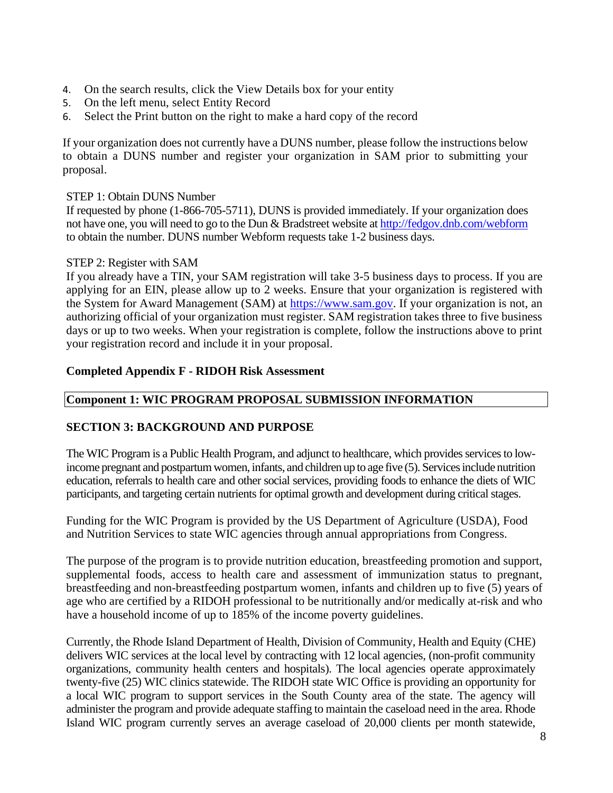- 4. On the search results, click the View Details box for your entity
- 5. On the left menu, select Entity Record
- 6. Select the Print button on the right to make a hard copy of the record

If your organization does not currently have a DUNS number, please follow the instructions below to obtain a DUNS number and register your organization in SAM prior to submitting your proposal.

#### STEP 1: Obtain DUNS Number

If requested by phone (1-866-705-5711), DUNS is provided immediately. If your organization does not have one, you will need to go to the Dun & Bradstreet website at<http://fedgov.dnb.com/webform> to obtain the number. DUNS number Webform requests take 1-2 business days.

#### STEP 2: Register with SAM

If you already have a TIN, your SAM registration will take 3-5 business days to process. If you are applying for an EIN, please allow up to 2 weeks. Ensure that your organization is registered with the System for Award Management (SAM) at [https://www.sam.gov.](https://www.sam.gov/) If your organization is not, an authorizing official of your organization must register. SAM registration takes three to five business days or up to two weeks. When your registration is complete, follow the instructions above to print your registration record and include it in your proposal.

#### **Completed Appendix F - RIDOH Risk Assessment**

# **Component 1: WIC PROGRAM PROPOSAL SUBMISSION INFORMATION**

#### **SECTION 3: BACKGROUND AND PURPOSE**

The WIC Program is a Public Health Program, and adjunct to healthcare, which provides services to lowincome pregnant and postpartum women, infants, and children up to age five (5). Services include nutrition education, referrals to health care and other social services, providing foods to enhance the diets of WIC participants, and targeting certain nutrients for optimal growth and development during critical stages.

Funding for the WIC Program is provided by the US Department of Agriculture (USDA), Food and Nutrition Services to state WIC agencies through annual appropriations from Congress.

The purpose of the program is to provide nutrition education, breastfeeding promotion and support, supplemental foods, access to health care and assessment of immunization status to pregnant, breastfeeding and non-breastfeeding postpartum women, infants and children up to five (5) years of age who are certified by a RIDOH professional to be nutritionally and/or medically at-risk and who have a household income of up to 185% of the income poverty guidelines.

Currently, the Rhode Island Department of Health, Division of Community, Health and Equity (CHE) delivers WIC services at the local level by contracting with 12 local agencies, (non-profit community organizations, community health centers and hospitals). The local agencies operate approximately twenty-five (25) WIC clinics statewide. The RIDOH state WIC Office is providing an opportunity for a local WIC program to support services in the South County area of the state. The agency will administer the program and provide adequate staffing to maintain the caseload need in the area. Rhode Island WIC program currently serves an average caseload of 20,000 clients per month statewide,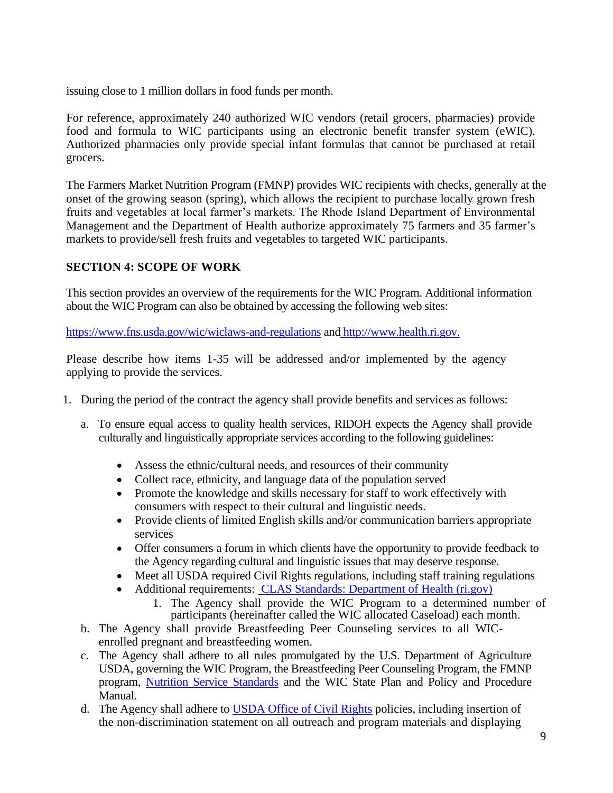issuing close to 1 million dollars in food funds per month.

For reference, approximately 240 authorized WIC vendors (retail grocers, pharmacies) provide food and formula to WIC participants using an electronic benefit transfer system (eWIC). Authorized pharmacies only provide special infant formulas that cannot be purchased at retail grocers.

The Farmers Market Nutrition Program (FMNP) provides WIC recipients with checks, generally at the onset of the growing season (spring), which allows the recipient to purchase locally grown fresh fruits and vegetables at local farmer's markets. The Rhode Island Department of Environmental Management and the Department of Health authorize approximately 75 farmers and 35 farmer's markets to provide/sell fresh fruits and vegetables to targeted WIC participants.

# **SECTION 4: SCOPE OF WORK**

This section provides an overview of the requirements for the WIC Program. Additional information about the WIC Program can also be obtained by accessing the following web sites:

<https://www.fns.usda.gov/wic/wiclaws-and-regulations> and [http://www.health.ri.gov.](http://www.health.ri.gov/)

Please describe how items 1-35 will be addressed and/or implemented by the agency applying to provide the services.

- 1. During the period of the contract the agency shall provide benefits and services as follows:
	- a. To ensure equal access to quality health services, RIDOH expects the Agency shall provide culturally and linguistically appropriate services according to the following guidelines:
		- Assess the ethnic/cultural needs, and resources of their community
		- Collect race, ethnicity, and language data of the population served
		- Promote the knowledge and skills necessary for staff to work effectively with consumers with respect to their cultural and linguistic needs.
		- Provide clients of limited English skills and/or communication barriers appropriate services
		- Offer consumers a forum in which clients have the opportunity to provide feedback to the Agency regarding cultural and linguistic issues that may deserve response.
		- Meet all USDA required Civil Rights regulations, including staff training regulations
		- Additional requirements: [CLAS Standards: Department of Health \(ri.gov\)](https://health.ri.gov/equity/about/clas/)
			- 1. The Agency shall provide the WIC Program to a determined number of participants (hereinafter called the WIC allocated Caseload) each month.
	- b. The Agency shall provide Breastfeeding Peer Counseling services to all WICenrolled pregnant and breastfeeding women.
	- c. The Agency shall adhere to all rules promulgated by the U.S. Department of Agriculture USDA, governing the WIC Program, the Breastfeeding Peer Counseling Program, the FMNP program, [Nutrition Service Standards](https://wicworks.fns.usda.gov/sites/default/files/media/document/wic-nutrition-services-standards_0.pdf) and the WIC State Plan and Policy and Procedure Manual.
	- d. The Agency shall adhere to [USDA Office of Civil Rights](https://www.usda.gov/oascr/civil-right-laws-authorities) policies, including insertion of the non-discrimination statement on all outreach and program materials and displaying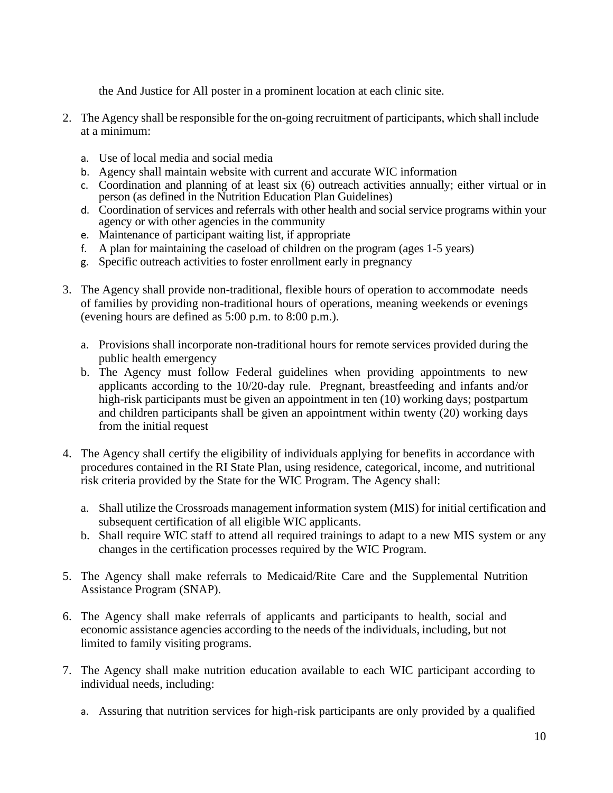the And Justice for All poster in a prominent location at each clinic site.

- 2. The Agency shall be responsible for the on-going recruitment of participants, which shall include at a minimum:
	- a. Use of local media and social media
	- b. Agency shall maintain website with current and accurate WIC information
	- c. Coordination and planning of at least six (6) outreach activities annually; either virtual or in person (as defined in the Nutrition Education Plan Guidelines)
	- d. Coordination of services and referrals with other health and social service programs within your agency or with other agencies in the community
	- e. Maintenance of participant waiting list, if appropriate
	- f. A plan for maintaining the caseload of children on the program (ages 1-5 years)
	- g. Specific outreach activities to foster enrollment early in pregnancy
- 3. The Agency shall provide non-traditional, flexible hours of operation to accommodate needs of families by providing non-traditional hours of operations, meaning weekends or evenings (evening hours are defined as 5:00 p.m. to 8:00 p.m.).
	- a. Provisions shall incorporate non-traditional hours for remote services provided during the public health emergency
	- b. The Agency must follow Federal guidelines when providing appointments to new applicants according to the 10/20-day rule. Pregnant, breastfeeding and infants and/or high-risk participants must be given an appointment in ten (10) working days; postpartum and children participants shall be given an appointment within twenty (20) working days from the initial request
- 4. The Agency shall certify the eligibility of individuals applying for benefits in accordance with procedures contained in the RI State Plan, using residence, categorical, income, and nutritional risk criteria provided by the State for the WIC Program. The Agency shall:
	- a. Shall utilize the Crossroads management information system (MIS) for initial certification and subsequent certification of all eligible WIC applicants.
	- b. Shall require WIC staff to attend all required trainings to adapt to a new MIS system or any changes in the certification processes required by the WIC Program.
- 5. The Agency shall make referrals to Medicaid/Rite Care and the Supplemental Nutrition Assistance Program (SNAP).
- 6. The Agency shall make referrals of applicants and participants to health, social and economic assistance agencies according to the needs of the individuals, including, but not limited to family visiting programs.
- 7. The Agency shall make nutrition education available to each WIC participant according to individual needs, including:
	- a. Assuring that nutrition services for high-risk participants are only provided by a qualified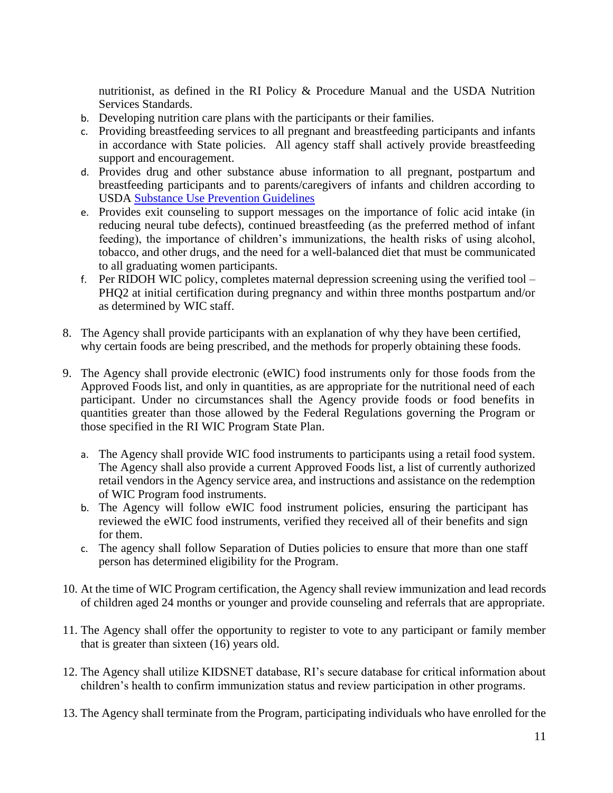nutritionist, as defined in the RI Policy & Procedure Manual and the USDA Nutrition Services Standards.

- b. Developing nutrition care plans with the participants or their families.
- c. Providing breastfeeding services to all pregnant and breastfeeding participants and infants in accordance with State policies. All agency staff shall actively provide breastfeeding support and encouragement.
- d. Provides drug and other substance abuse information to all pregnant, postpartum and breastfeeding participants and to parents/caregivers of infants and children according to USDA [Substance Use Prevention Guidelines](https://wicworks.fns.usda.gov/sites/default/files/media/document/ResourceManual%20rev%204-17-18.pdf)
- e. Provides exit counseling to support messages on the importance of folic acid intake (in reducing neural tube defects), continued breastfeeding (as the preferred method of infant feeding), the importance of children's immunizations, the health risks of using alcohol, tobacco, and other drugs, and the need for a well-balanced diet that must be communicated to all graduating women participants.
- f. Per RIDOH WIC policy, completes maternal depression screening using the verified tool PHQ2 at initial certification during pregnancy and within three months postpartum and/or as determined by WIC staff.
- 8. The Agency shall provide participants with an explanation of why they have been certified, why certain foods are being prescribed, and the methods for properly obtaining these foods.
- 9. The Agency shall provide electronic (eWIC) food instruments only for those foods from the Approved Foods list, and only in quantities, as are appropriate for the nutritional need of each participant. Under no circumstances shall the Agency provide foods or food benefits in quantities greater than those allowed by the Federal Regulations governing the Program or those specified in the RI WIC Program State Plan.
	- a. The Agency shall provide WIC food instruments to participants using a retail food system. The Agency shall also provide a current Approved Foods list, a list of currently authorized retail vendors in the Agency service area, and instructions and assistance on the redemption of WIC Program food instruments.
	- b. The Agency will follow eWIC food instrument policies, ensuring the participant has reviewed the eWIC food instruments, verified they received all of their benefits and sign for them.
	- c. The agency shall follow Separation of Duties policies to ensure that more than one staff person has determined eligibility for the Program.
- 10. At the time of WIC Program certification, the Agency shall review immunization and lead records of children aged 24 months or younger and provide counseling and referrals that are appropriate.
- 11. The Agency shall offer the opportunity to register to vote to any participant or family member that is greater than sixteen (16) years old.
- 12. The Agency shall utilize KIDSNET database, RI's secure database for critical information about children's health to confirm immunization status and review participation in other programs.
- 13. The Agency shall terminate from the Program, participating individuals who have enrolled for the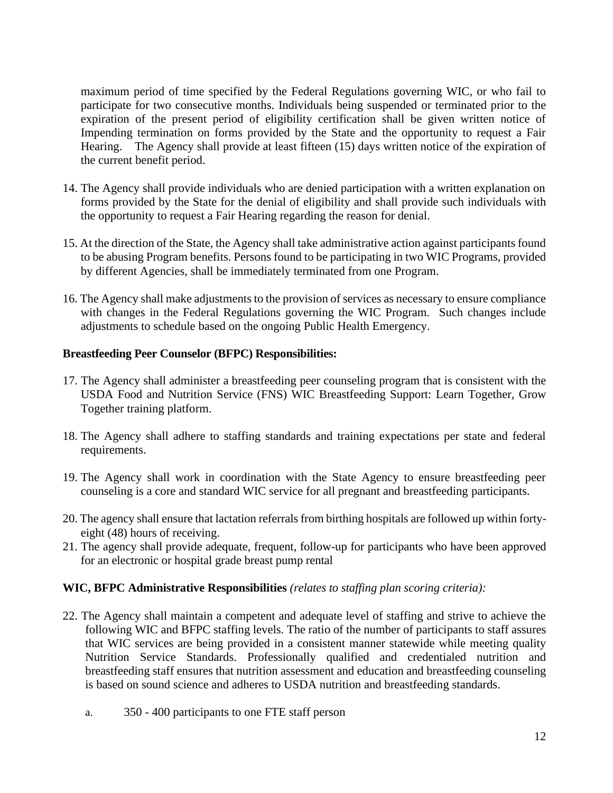maximum period of time specified by the Federal Regulations governing WIC, or who fail to participate for two consecutive months. Individuals being suspended or terminated prior to the expiration of the present period of eligibility certification shall be given written notice of Impending termination on forms provided by the State and the opportunity to request a Fair Hearing. The Agency shall provide at least fifteen (15) days written notice of the expiration of the current benefit period.

- 14. The Agency shall provide individuals who are denied participation with a written explanation on forms provided by the State for the denial of eligibility and shall provide such individuals with the opportunity to request a Fair Hearing regarding the reason for denial.
- 15. At the direction of the State, the Agency shall take administrative action against participants found to be abusing Program benefits. Persons found to be participating in two WIC Programs, provided by different Agencies, shall be immediately terminated from one Program.
- 16. The Agency shall make adjustments to the provision of services as necessary to ensure compliance with changes in the Federal Regulations governing the WIC Program. Such changes include adjustments to schedule based on the ongoing Public Health Emergency.

### **Breastfeeding Peer Counselor (BFPC) Responsibilities:**

- 17. The Agency shall administer a breastfeeding peer counseling program that is consistent with the USDA Food and Nutrition Service (FNS) WIC Breastfeeding Support: Learn Together, Grow Together training platform.
- 18. The Agency shall adhere to staffing standards and training expectations per state and federal requirements.
- 19. The Agency shall work in coordination with the State Agency to ensure breastfeeding peer counseling is a core and standard WIC service for all pregnant and breastfeeding participants.
- 20. The agency shall ensure that lactation referrals from birthing hospitals are followed up within fortyeight (48) hours of receiving.
- 21. The agency shall provide adequate, frequent, follow-up for participants who have been approved for an electronic or hospital grade breast pump rental

## **WIC, BFPC Administrative Responsibilities** *(relates to staffing plan scoring criteria):*

- 22. The Agency shall maintain a competent and adequate level of staffing and strive to achieve the following WIC and BFPC staffing levels. The ratio of the number of participants to staff assures that WIC services are being provided in a consistent manner statewide while meeting quality Nutrition Service Standards. Professionally qualified and credentialed nutrition and breastfeeding staff ensures that nutrition assessment and education and breastfeeding counseling is based on sound science and adheres to USDA nutrition and breastfeeding standards.
	- a. 350 400 participants to one FTE staff person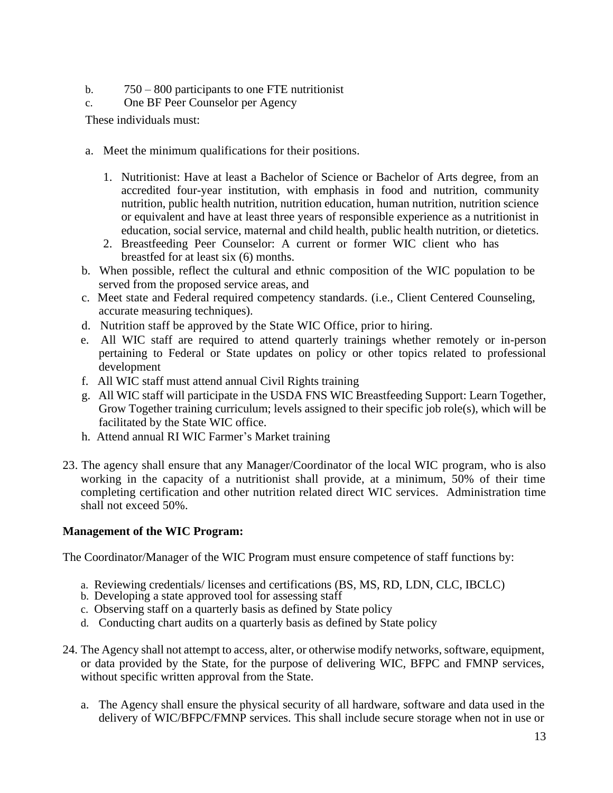- b. 750 800 participants to one FTE nutritionist
- c. One BF Peer Counselor per Agency

These individuals must:

- a. Meet the minimum qualifications for their positions.
	- 1. Nutritionist: Have at least a Bachelor of Science or Bachelor of Arts degree, from an accredited four-year institution, with emphasis in food and nutrition, community nutrition, public health nutrition, nutrition education, human nutrition, nutrition science or equivalent and have at least three years of responsible experience as a nutritionist in education, social service, maternal and child health, public health nutrition, or dietetics.
	- 2. Breastfeeding Peer Counselor: A current or former WIC client who has breastfed for at least six (6) months.
- b. When possible, reflect the cultural and ethnic composition of the WIC population to be served from the proposed service areas, and
- c. Meet state and Federal required competency standards. (i.e., Client Centered Counseling, accurate measuring techniques).
- d. Nutrition staff be approved by the State WIC Office, prior to hiring.
- e. All WIC staff are required to attend quarterly trainings whether remotely or in-person pertaining to Federal or State updates on policy or other topics related to professional development
- f. All WIC staff must attend annual Civil Rights training
- g. All WIC staff will participate in the USDA FNS WIC Breastfeeding Support: Learn Together, Grow Together training curriculum; levels assigned to their specific job role(s), which will be facilitated by the State WIC office.
- h. Attend annual RI WIC Farmer's Market training
- 23. The agency shall ensure that any Manager/Coordinator of the local WIC program, who is also working in the capacity of a nutritionist shall provide, at a minimum, 50% of their time completing certification and other nutrition related direct WIC services. Administration time shall not exceed 50%.

#### **Management of the WIC Program:**

The Coordinator/Manager of the WIC Program must ensure competence of staff functions by:

- a. Reviewing credentials/ licenses and certifications (BS, MS, RD, LDN, CLC, IBCLC)
- b. Developing a state approved tool for assessing staff
- c. Observing staff on a quarterly basis as defined by State policy
- d. Conducting chart audits on a quarterly basis as defined by State policy
- 24. The Agency shall not attempt to access, alter, or otherwise modify networks, software, equipment, or data provided by the State, for the purpose of delivering WIC, BFPC and FMNP services, without specific written approval from the State.
	- a. The Agency shall ensure the physical security of all hardware, software and data used in the delivery of WIC/BFPC/FMNP services. This shall include secure storage when not in use or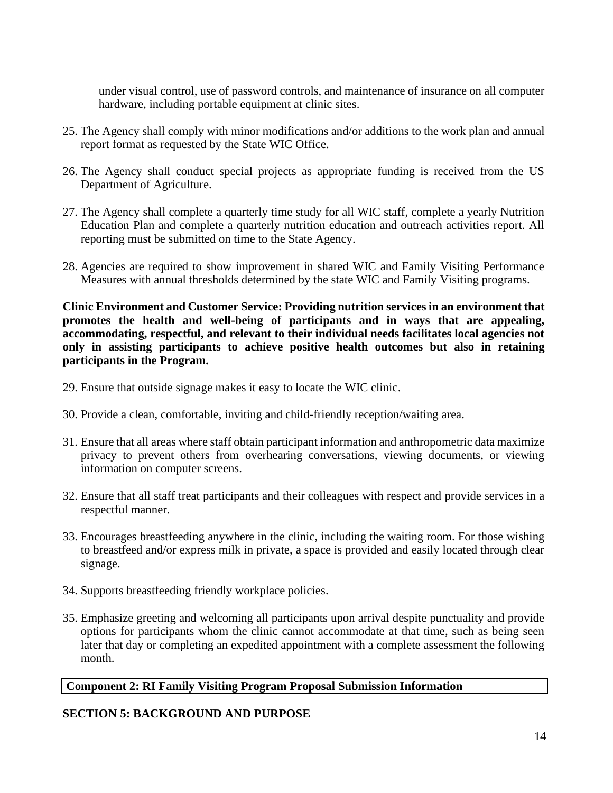under visual control, use of password controls, and maintenance of insurance on all computer hardware, including portable equipment at clinic sites.

- 25. The Agency shall comply with minor modifications and/or additions to the work plan and annual report format as requested by the State WIC Office.
- 26. The Agency shall conduct special projects as appropriate funding is received from the US Department of Agriculture.
- 27. The Agency shall complete a quarterly time study for all WIC staff, complete a yearly Nutrition Education Plan and complete a quarterly nutrition education and outreach activities report. All reporting must be submitted on time to the State Agency.
- 28. Agencies are required to show improvement in shared WIC and Family Visiting Performance Measures with annual thresholds determined by the state WIC and Family Visiting programs.

**Clinic Environment and Customer Service: Providing nutrition services in an environment that promotes the health and well-being of participants and in ways that are appealing, accommodating, respectful, and relevant to their individual needs facilitates local agencies not only in assisting participants to achieve positive health outcomes but also in retaining participants in the Program.**

- 29. Ensure that outside signage makes it easy to locate the WIC clinic.
- 30. Provide a clean, comfortable, inviting and child-friendly reception/waiting area.
- 31. Ensure that all areas where staff obtain participant information and anthropometric data maximize privacy to prevent others from overhearing conversations, viewing documents, or viewing information on computer screens.
- 32. Ensure that all staff treat participants and their colleagues with respect and provide services in a respectful manner.
- 33. Encourages breastfeeding anywhere in the clinic, including the waiting room. For those wishing to breastfeed and/or express milk in private, a space is provided and easily located through clear signage.
- 34. Supports breastfeeding friendly workplace policies.
- 35. Emphasize greeting and welcoming all participants upon arrival despite punctuality and provide options for participants whom the clinic cannot accommodate at that time, such as being seen later that day or completing an expedited appointment with a complete assessment the following month.

#### **Component 2: RI Family Visiting Program Proposal Submission Information**

#### **SECTION 5: BACKGROUND AND PURPOSE**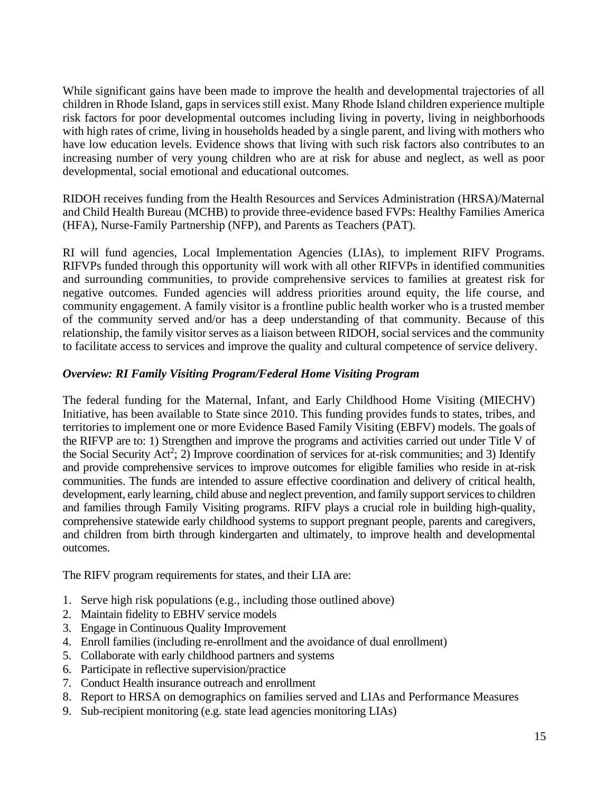While significant gains have been made to improve the health and developmental trajectories of all children in Rhode Island, gaps in services still exist. Many Rhode Island children experience multiple risk factors for poor developmental outcomes including living in poverty, living in neighborhoods with high rates of crime, living in households headed by a single parent, and living with mothers who have low education levels. Evidence shows that living with such risk factors also contributes to an increasing number of very young children who are at risk for abuse and neglect, as well as poor developmental, social emotional and educational outcomes.

RIDOH receives funding from the Health Resources and Services Administration (HRSA)/Maternal and Child Health Bureau (MCHB) to provide three-evidence based FVPs: Healthy Families America (HFA), Nurse-Family Partnership (NFP), and Parents as Teachers (PAT).

RI will fund agencies, Local Implementation Agencies (LIAs), to implement RIFV Programs. RIFVPs funded through this opportunity will work with all other RIFVPs in identified communities and surrounding communities, to provide comprehensive services to families at greatest risk for negative outcomes. Funded agencies will address priorities around equity, the life course, and community engagement. A family visitor is a frontline public health worker who is a trusted member of the community served and/or has a deep understanding of that community. Because of this relationship, the family visitor serves as a liaison between RIDOH, social services and the community to facilitate access to services and improve the quality and cultural competence of service delivery.

## *Overview: RI Family Visiting Program/Federal Home Visiting Program*

The federal funding for the Maternal, Infant, and Early Childhood Home Visiting (MIECHV) Initiative, has been available to State since 2010. This funding provides funds to states, tribes, and territories to implement one or more Evidence Based Family Visiting (EBFV) models. The goals of the RIFVP are to: 1) Strengthen and improve the programs and activities carried out under Title V of the Social Security Act<sup>2</sup>; 2) Improve coordination of services for at-risk communities; and 3) Identify and provide comprehensive services to improve outcomes for eligible families who reside in at-risk communities. The funds are intended to assure effective coordination and delivery of critical health, development, early learning, child abuse and neglect prevention, and family support services to children and families through Family Visiting programs. RIFV plays a crucial role in building high-quality, comprehensive statewide early childhood systems to support pregnant people, parents and caregivers, and children from birth through kindergarten and ultimately, to improve health and developmental outcomes.

The RIFV program requirements for states, and their LIA are:

- 1. Serve high risk populations (e.g., including those outlined above)
- 2. Maintain fidelity to EBHV service models
- 3. Engage in Continuous Quality Improvement
- 4. Enroll families (including re-enrollment and the avoidance of dual enrollment)
- 5. Collaborate with early childhood partners and systems
- 6. Participate in reflective supervision/practice
- 7. Conduct Health insurance outreach and enrollment
- 8. Report to HRSA on demographics on families served and LIAs and Performance Measures
- 9. Sub-recipient monitoring (e.g. state lead agencies monitoring LIAs)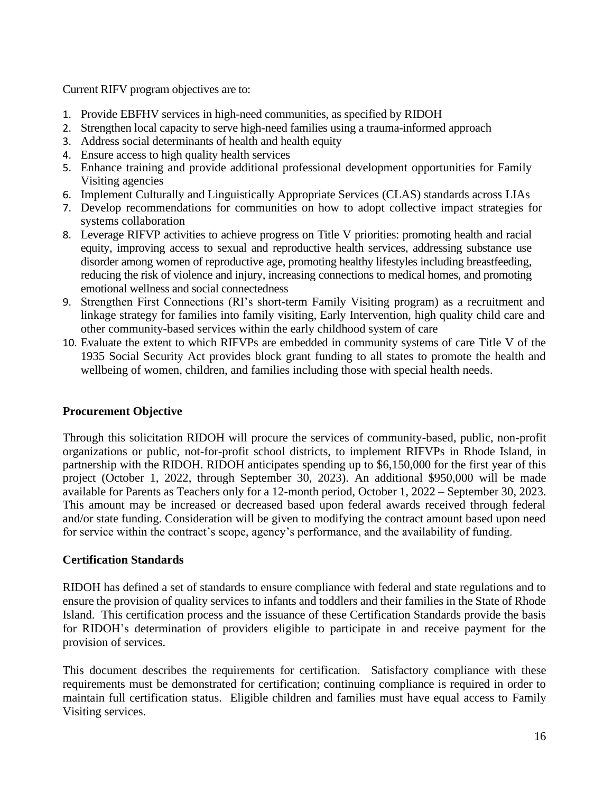Current RIFV program objectives are to:

- 1. Provide EBFHV services in high-need communities, as specified by RIDOH
- 2. Strengthen local capacity to serve high-need families using a trauma-informed approach
- 3. Address social determinants of health and health equity
- 4. Ensure access to high quality health services
- 5. Enhance training and provide additional professional development opportunities for Family Visiting agencies
- 6. Implement Culturally and Linguistically Appropriate Services (CLAS) standards across LIAs
- 7. Develop recommendations for communities on how to adopt collective impact strategies for systems collaboration
- 8. Leverage RIFVP activities to achieve progress on Title V priorities: promoting health and racial equity, improving access to sexual and reproductive health services, addressing substance use disorder among women of reproductive age, promoting healthy lifestyles including breastfeeding, reducing the risk of violence and injury, increasing connections to medical homes, and promoting emotional wellness and social connectedness
- 9. Strengthen First Connections (RI's short-term Family Visiting program) as a recruitment and linkage strategy for families into family visiting, Early Intervention, high quality child care and other community-based services within the early childhood system of care
- 10. Evaluate the extent to which RIFVPs are embedded in community systems of care Title V of the 1935 Social Security Act provides block grant funding to all states to promote the health and wellbeing of women, children, and families including those with special health needs.

## **Procurement Objective**

Through this solicitation RIDOH will procure the services of community-based, public, non-profit organizations or public, not-for-profit school districts, to implement RIFVPs in Rhode Island, in partnership with the RIDOH. RIDOH anticipates spending up to \$6,150,000 for the first year of this project (October 1, 2022, through September 30, 2023). An additional \$950,000 will be made available for Parents as Teachers only for a 12-month period, October 1, 2022 – September 30, 2023. This amount may be increased or decreased based upon federal awards received through federal and/or state funding. Consideration will be given to modifying the contract amount based upon need for service within the contract's scope, agency's performance, and the availability of funding.

# **Certification Standards**

RIDOH has defined a set of standards to ensure compliance with federal and state regulations and to ensure the provision of quality services to infants and toddlers and their families in the State of Rhode Island. This certification process and the issuance of these Certification Standards provide the basis for RIDOH's determination of providers eligible to participate in and receive payment for the provision of services.

This document describes the requirements for certification. Satisfactory compliance with these requirements must be demonstrated for certification; continuing compliance is required in order to maintain full certification status. Eligible children and families must have equal access to Family Visiting services.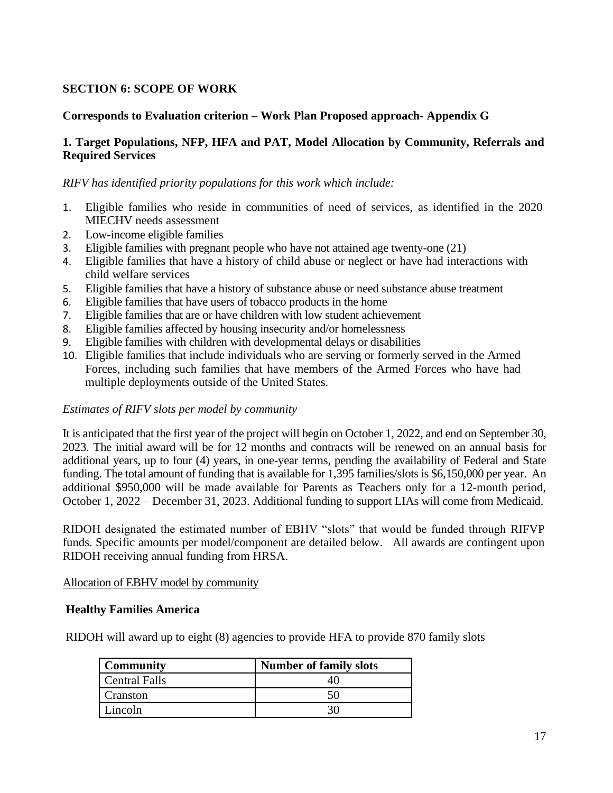## **SECTION 6: SCOPE OF WORK**

## **Corresponds to Evaluation criterion – Work Plan Proposed approach- Appendix G**

### **1. Target Populations, NFP, HFA and PAT, Model Allocation by Community, Referrals and Required Services**

#### *RIFV has identified priority populations for this work which include:*

- 1. Eligible families who reside in communities of need of services, as identified in the 2020 MIECHV needs assessment
- 2. Low-income eligible families
- 3. Eligible families with pregnant people who have not attained age twenty-one (21)
- 4. Eligible families that have a history of child abuse or neglect or have had interactions with child welfare services
- 5. Eligible families that have a history of substance abuse or need substance abuse treatment
- 6. Eligible families that have users of tobacco products in the home
- 7. Eligible families that are or have children with low student achievement
- 8. Eligible families affected by housing insecurity and/or homelessness
- 9. Eligible families with children with developmental delays or disabilities
- 10. Eligible families that include individuals who are serving or formerly served in the Armed Forces, including such families that have members of the Armed Forces who have had multiple deployments outside of the United States.

#### *Estimates of RIFV slots per model by community*

It is anticipated that the first year of the project will begin on October 1, 2022, and end on September 30, 2023. The initial award will be for 12 months and contracts will be renewed on an annual basis for additional years, up to four (4) years, in one-year terms, pending the availability of Federal and State funding. The total amount of funding that is available for 1,395 families/slots is \$6,150,000 per year. An additional \$950,000 will be made available for Parents as Teachers only for a 12-month period, October 1, 2022 – December 31, 2023. Additional funding to support LIAs will come from Medicaid.

RIDOH designated the estimated number of EBHV "slots" that would be funded through RIFVP funds. Specific amounts per model/component are detailed below. All awards are contingent upon RIDOH receiving annual funding from HRSA.

#### Allocation of EBHV model by community

#### **Healthy Families America**

RIDOH will award up to eight (8) agencies to provide HFA to provide 870 family slots

| <b>Community</b>     | <b>Number of family slots</b> |
|----------------------|-------------------------------|
| <b>Central Falls</b> |                               |
| Cranston             | ٦L                            |
| Lincoln              |                               |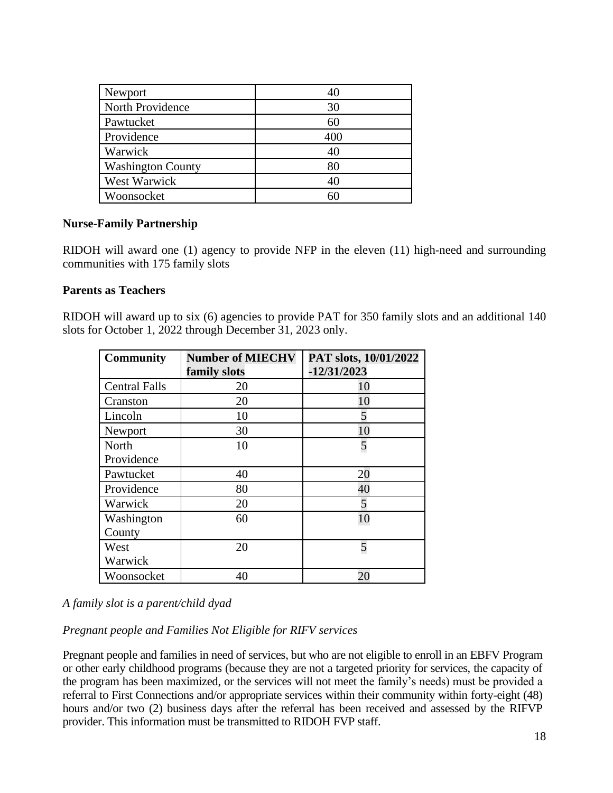| Newport                  | 40  |
|--------------------------|-----|
| North Providence         | 30  |
| Pawtucket                | 60  |
| Providence               | 400 |
| Warwick                  | 40  |
| <b>Washington County</b> | 80  |
| West Warwick             | 40  |
| Woonsocket               | 60  |

#### **Nurse-Family Partnership**

RIDOH will award one (1) agency to provide NFP in the eleven (11) high-need and surrounding communities with 175 family slots

#### **Parents as Teachers**

RIDOH will award up to six (6) agencies to provide PAT for 350 family slots and an additional 140 slots for October 1, 2022 through December 31, 2023 only.

| <b>Community</b>     | <b>Number of MIECHV</b> | PAT slots, 10/01/2022 |
|----------------------|-------------------------|-----------------------|
|                      | family slots            | $-12/31/2023$         |
| <b>Central Falls</b> | 20                      | 10                    |
| Cranston             | 20                      | 10                    |
| Lincoln              | 10                      | 5                     |
| Newport              | 30                      | 10                    |
| North                | 10                      | 5                     |
| Providence           |                         |                       |
| Pawtucket            | 40                      | 20                    |
| Providence           | 80                      | 40                    |
| Warwick              | 20                      | 5                     |
| Washington           | 60                      | 10                    |
| County               |                         |                       |
| West                 | 20                      | 5                     |
| Warwick              |                         |                       |
| Woonsocket           | 40                      | 20                    |

#### *A family slot is a parent/child dyad*

*Pregnant people and Families Not Eligible for RIFV services*

Pregnant people and families in need of services, but who are not eligible to enroll in an EBFV Program or other early childhood programs (because they are not a targeted priority for services, the capacity of the program has been maximized, or the services will not meet the family's needs) must be provided a referral to First Connections and/or appropriate services within their community within forty-eight (48) hours and/or two (2) business days after the referral has been received and assessed by the RIFVP provider. This information must be transmitted to RIDOH FVP staff.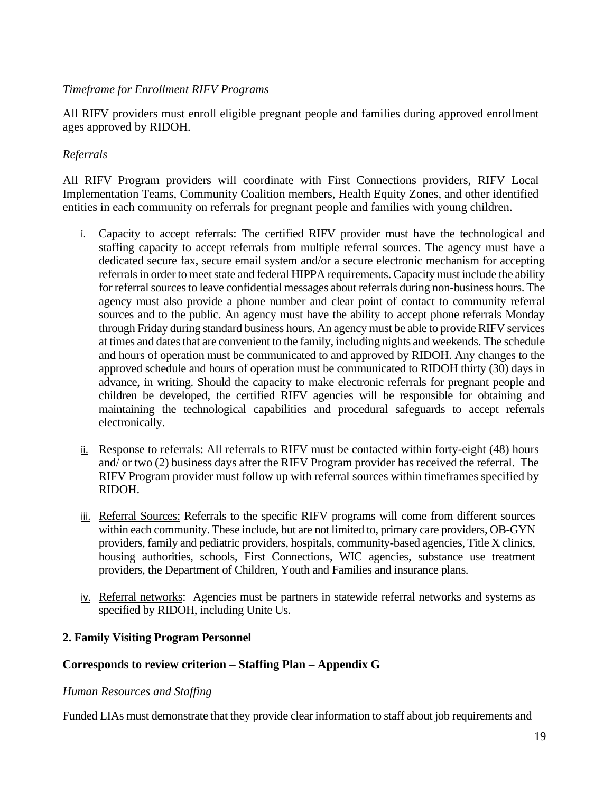### *Timeframe for Enrollment RIFV Programs*

All RIFV providers must enroll eligible pregnant people and families during approved enrollment ages approved by RIDOH.

## *Referrals*

All RIFV Program providers will coordinate with First Connections providers, RIFV Local Implementation Teams, Community Coalition members, Health Equity Zones, and other identified entities in each community on referrals for pregnant people and families with young children.

- i. Capacity to accept referrals: The certified RIFV provider must have the technological and staffing capacity to accept referrals from multiple referral sources. The agency must have a dedicated secure fax, secure email system and/or a secure electronic mechanism for accepting referrals in order to meet state and federal HIPPA requirements. Capacity must include the ability for referral sources to leave confidential messages about referrals during non-business hours. The agency must also provide a phone number and clear point of contact to community referral sources and to the public. An agency must have the ability to accept phone referrals Monday through Friday during standard business hours. An agency must be able to provide RIFV services at times and dates that are convenient to the family, including nights and weekends. The schedule and hours of operation must be communicated to and approved by RIDOH. Any changes to the approved schedule and hours of operation must be communicated to RIDOH thirty (30) days in advance, in writing. Should the capacity to make electronic referrals for pregnant people and children be developed, the certified RIFV agencies will be responsible for obtaining and maintaining the technological capabilities and procedural safeguards to accept referrals electronically.
- ii. Response to referrals: All referrals to RIFV must be contacted within forty-eight (48) hours and/ or two (2) business days after the RIFV Program provider has received the referral. The RIFV Program provider must follow up with referral sources within timeframes specified by RIDOH.
- iii. Referral Sources: Referrals to the specific RIFV programs will come from different sources within each community. These include, but are not limited to, primary care providers, OB-GYN providers, family and pediatric providers, hospitals, community-based agencies, Title X clinics, housing authorities, schools, First Connections, WIC agencies, substance use treatment providers, the Department of Children, Youth and Families and insurance plans.
- iv. Referral networks: Agencies must be partners in statewide referral networks and systems as specified by RIDOH, including Unite Us.

## **2. Family Visiting Program Personnel**

## **Corresponds to review criterion – Staffing Plan – Appendix G**

#### *Human Resources and Staffing*

Funded LIAs must demonstrate that they provide clear information to staff about job requirements and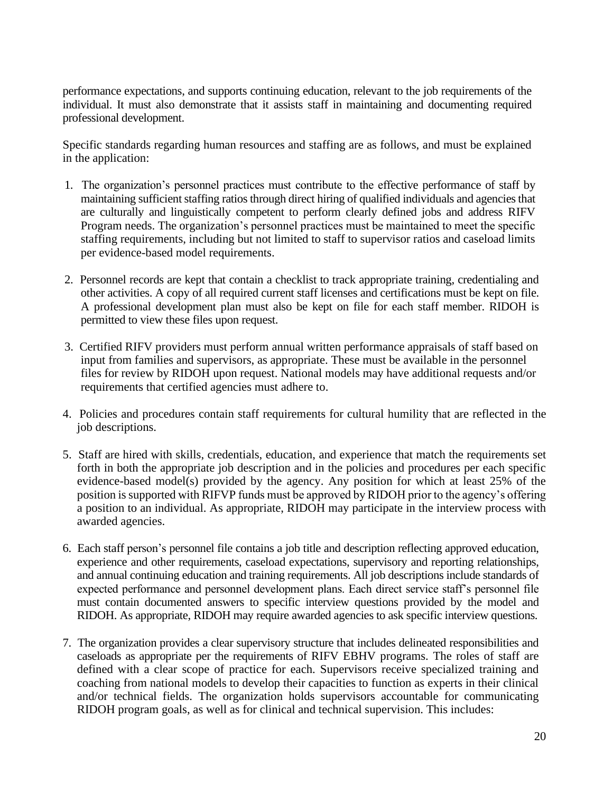performance expectations, and supports continuing education, relevant to the job requirements of the individual. It must also demonstrate that it assists staff in maintaining and documenting required professional development.

Specific standards regarding human resources and staffing are as follows, and must be explained in the application:

- 1. The organization's personnel practices must contribute to the effective performance of staff by maintaining sufficient staffing ratios through direct hiring of qualified individuals and agencies that are culturally and linguistically competent to perform clearly defined jobs and address RIFV Program needs. The organization's personnel practices must be maintained to meet the specific staffing requirements, including but not limited to staff to supervisor ratios and caseload limits per evidence-based model requirements.
- 2. Personnel records are kept that contain a checklist to track appropriate training, credentialing and other activities. A copy of all required current staff licenses and certifications must be kept on file. A professional development plan must also be kept on file for each staff member. RIDOH is permitted to view these files upon request.
- 3. Certified RIFV providers must perform annual written performance appraisals of staff based on input from families and supervisors, as appropriate. These must be available in the personnel files for review by RIDOH upon request. National models may have additional requests and/or requirements that certified agencies must adhere to.
- 4. Policies and procedures contain staff requirements for cultural humility that are reflected in the job descriptions.
- 5. Staff are hired with skills, credentials, education, and experience that match the requirements set forth in both the appropriate job description and in the policies and procedures per each specific evidence-based model(s) provided by the agency. Any position for which at least 25% of the position is supported with RIFVP funds must be approved by RIDOH prior to the agency's offering a position to an individual. As appropriate, RIDOH may participate in the interview process with awarded agencies.
- 6. Each staff person's personnel file contains a job title and description reflecting approved education, experience and other requirements, caseload expectations, supervisory and reporting relationships, and annual continuing education and training requirements. All job descriptions include standards of expected performance and personnel development plans. Each direct service staff's personnel file must contain documented answers to specific interview questions provided by the model and RIDOH. As appropriate, RIDOH may require awarded agencies to ask specific interview questions.
- 7. The organization provides a clear supervisory structure that includes delineated responsibilities and caseloads as appropriate per the requirements of RIFV EBHV programs. The roles of staff are defined with a clear scope of practice for each. Supervisors receive specialized training and coaching from national models to develop their capacities to function as experts in their clinical and/or technical fields. The organization holds supervisors accountable for communicating RIDOH program goals, as well as for clinical and technical supervision. This includes: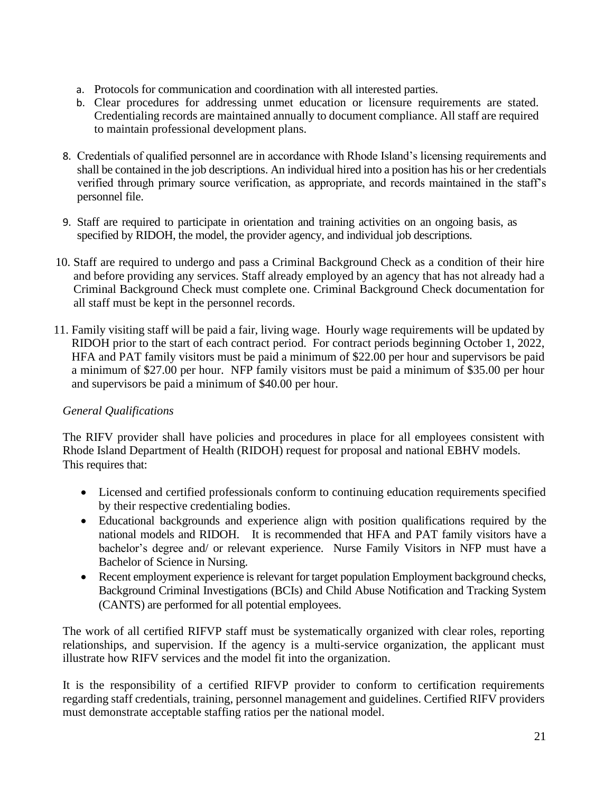- a. Protocols for communication and coordination with all interested parties.
- b. Clear procedures for addressing unmet education or licensure requirements are stated. Credentialing records are maintained annually to document compliance. All staff are required to maintain professional development plans.
- 8. Credentials of qualified personnel are in accordance with Rhode Island's licensing requirements and shall be contained in the job descriptions. An individual hired into a position has his or her credentials verified through primary source verification, as appropriate, and records maintained in the staff's personnel file.
- 9. Staff are required to participate in orientation and training activities on an ongoing basis, as specified by RIDOH, the model, the provider agency, and individual job descriptions.
- 10. Staff are required to undergo and pass a Criminal Background Check as a condition of their hire and before providing any services. Staff already employed by an agency that has not already had a Criminal Background Check must complete one. Criminal Background Check documentation for all staff must be kept in the personnel records.
- 11. Family visiting staff will be paid a fair, living wage. Hourly wage requirements will be updated by RIDOH prior to the start of each contract period. For contract periods beginning October 1, 2022, HFA and PAT family visitors must be paid a minimum of \$22.00 per hour and supervisors be paid a minimum of \$27.00 per hour. NFP family visitors must be paid a minimum of \$35.00 per hour and supervisors be paid a minimum of \$40.00 per hour.

# *General Qualifications*

The RIFV provider shall have policies and procedures in place for all employees consistent with Rhode Island Department of Health (RIDOH) request for proposal and national EBHV models. This requires that:

- Licensed and certified professionals conform to continuing education requirements specified by their respective credentialing bodies.
- Educational backgrounds and experience align with position qualifications required by the national models and RIDOH. It is recommended that HFA and PAT family visitors have a bachelor's degree and/ or relevant experience. Nurse Family Visitors in NFP must have a Bachelor of Science in Nursing.
- Recent employment experience is relevant for target population Employment background checks, Background Criminal Investigations (BCIs) and Child Abuse Notification and Tracking System (CANTS) are performed for all potential employees.

The work of all certified RIFVP staff must be systematically organized with clear roles, reporting relationships, and supervision. If the agency is a multi-service organization, the applicant must illustrate how RIFV services and the model fit into the organization.

It is the responsibility of a certified RIFVP provider to conform to certification requirements regarding staff credentials, training, personnel management and guidelines. Certified RIFV providers must demonstrate acceptable staffing ratios per the national model.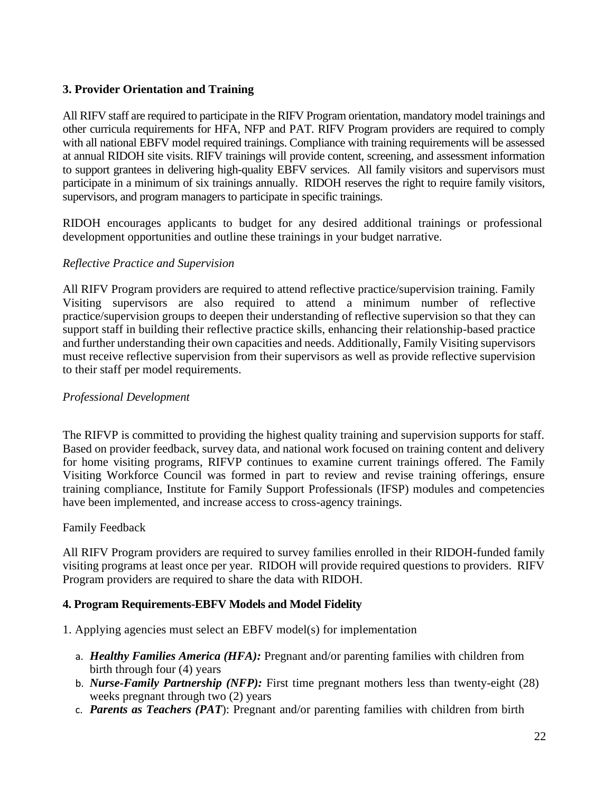## **3. Provider Orientation and Training**

All RIFV staff are required to participate in the RIFV Program orientation, mandatory model trainings and other curricula requirements for HFA, NFP and PAT. RIFV Program providers are required to comply with all national EBFV model required trainings. Compliance with training requirements will be assessed at annual RIDOH site visits. RIFV trainings will provide content, screening, and assessment information to support grantees in delivering high-quality EBFV services. All family visitors and supervisors must participate in a minimum of six trainings annually. RIDOH reserves the right to require family visitors, supervisors, and program managers to participate in specific trainings.

RIDOH encourages applicants to budget for any desired additional trainings or professional development opportunities and outline these trainings in your budget narrative.

## *Reflective Practice and Supervision*

All RIFV Program providers are required to attend reflective practice/supervision training. Family Visiting supervisors are also required to attend a minimum number of reflective practice/supervision groups to deepen their understanding of reflective supervision so that they can support staff in building their reflective practice skills, enhancing their relationship-based practice and further understanding their own capacities and needs. Additionally, Family Visiting supervisors must receive reflective supervision from their supervisors as well as provide reflective supervision to their staff per model requirements.

#### *Professional Development*

The RIFVP is committed to providing the highest quality training and supervision supports for staff. Based on provider feedback, survey data, and national work focused on training content and delivery for home visiting programs, RIFVP continues to examine current trainings offered. The Family Visiting Workforce Council was formed in part to review and revise training offerings, ensure training compliance, Institute for Family Support Professionals (IFSP) modules and competencies have been implemented, and increase access to cross-agency trainings.

#### Family Feedback

All RIFV Program providers are required to survey families enrolled in their RIDOH-funded family visiting programs at least once per year. RIDOH will provide required questions to providers. RIFV Program providers are required to share the data with RIDOH.

## **4. Program Requirements-EBFV Models and Model Fidelity**

1. Applying agencies must select an EBFV model(s) for implementation

- a. *Healthy Families America (HFA):* Pregnant and/or parenting families with children from birth through four (4) years
- b. *Nurse-Family Partnership (NFP):* First time pregnant mothers less than twenty-eight (28) weeks pregnant through two (2) years
- c. *Parents as Teachers (PAT*): Pregnant and/or parenting families with children from birth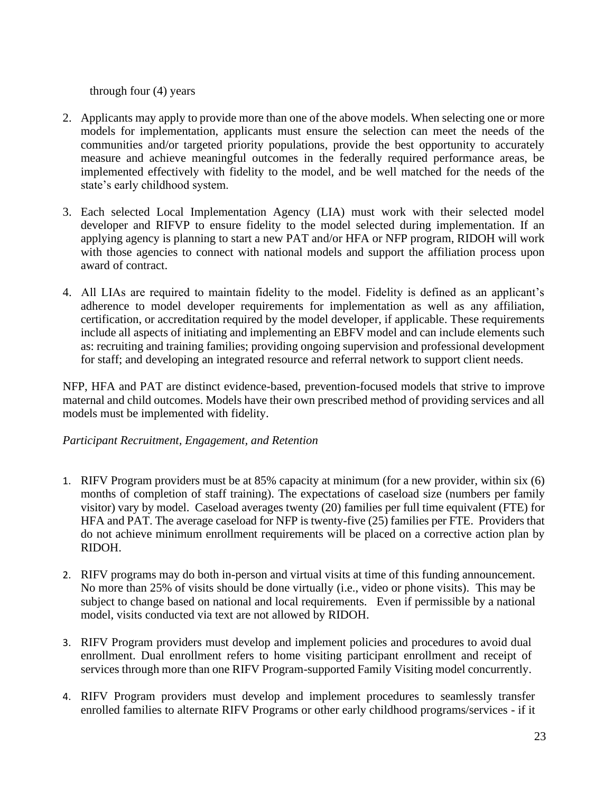through four (4) years

- 2. Applicants may apply to provide more than one of the above models. When selecting one or more models for implementation, applicants must ensure the selection can meet the needs of the communities and/or targeted priority populations, provide the best opportunity to accurately measure and achieve meaningful outcomes in the federally required performance areas, be implemented effectively with fidelity to the model, and be well matched for the needs of the state's early childhood system.
- 3. Each selected Local Implementation Agency (LIA) must work with their selected model developer and RIFVP to ensure fidelity to the model selected during implementation. If an applying agency is planning to start a new PAT and/or HFA or NFP program, RIDOH will work with those agencies to connect with national models and support the affiliation process upon award of contract.
- 4. All LIAs are required to maintain fidelity to the model. Fidelity is defined as an applicant's adherence to model developer requirements for implementation as well as any affiliation, certification, or accreditation required by the model developer, if applicable. These requirements include all aspects of initiating and implementing an EBFV model and can include elements such as: recruiting and training families; providing ongoing supervision and professional development for staff; and developing an integrated resource and referral network to support client needs.

NFP, HFA and PAT are distinct evidence-based, prevention-focused models that strive to improve maternal and child outcomes. Models have their own prescribed method of providing services and all models must be implemented with fidelity.

## *Participant Recruitment, Engagement, and Retention*

- 1. RIFV Program providers must be at 85% capacity at minimum (for a new provider, within six (6) months of completion of staff training). The expectations of caseload size (numbers per family visitor) vary by model. Caseload averages twenty (20) families per full time equivalent (FTE) for HFA and PAT. The average caseload for NFP is twenty-five (25) families per FTE. Providers that do not achieve minimum enrollment requirements will be placed on a corrective action plan by RIDOH.
- 2. RIFV programs may do both in-person and virtual visits at time of this funding announcement. No more than 25% of visits should be done virtually (i.e., video or phone visits). This may be subject to change based on national and local requirements. Even if permissible by a national model, visits conducted via text are not allowed by RIDOH.
- 3. RIFV Program providers must develop and implement policies and procedures to avoid dual enrollment. Dual enrollment refers to home visiting participant enrollment and receipt of services through more than one RIFV Program-supported Family Visiting model concurrently.
- 4. RIFV Program providers must develop and implement procedures to seamlessly transfer enrolled families to alternate RIFV Programs or other early childhood programs/services - if it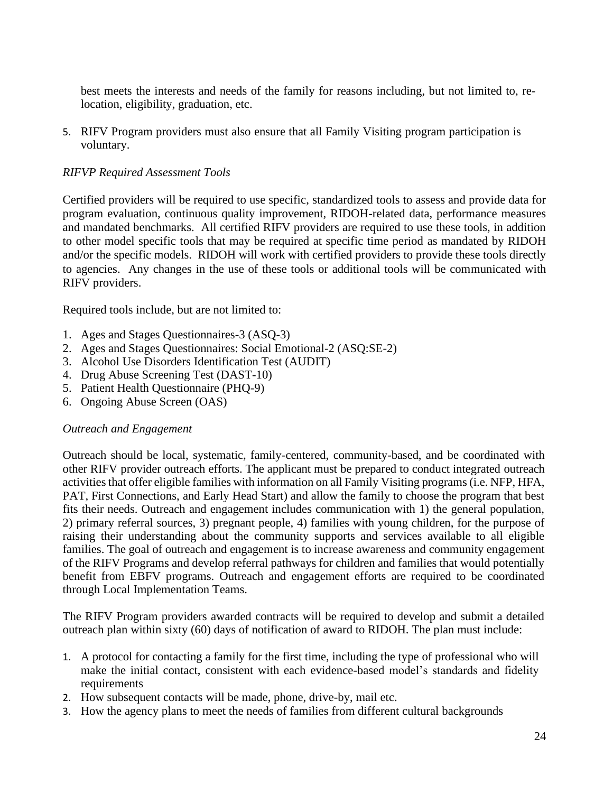best meets the interests and needs of the family for reasons including, but not limited to, relocation, eligibility, graduation, etc.

5. RIFV Program providers must also ensure that all Family Visiting program participation is voluntary.

### *RIFVP Required Assessment Tools*

Certified providers will be required to use specific, standardized tools to assess and provide data for program evaluation, continuous quality improvement, RIDOH-related data, performance measures and mandated benchmarks. All certified RIFV providers are required to use these tools, in addition to other model specific tools that may be required at specific time period as mandated by RIDOH and/or the specific models. RIDOH will work with certified providers to provide these tools directly to agencies. Any changes in the use of these tools or additional tools will be communicated with RIFV providers.

Required tools include, but are not limited to:

- 1. Ages and Stages Questionnaires-3 (ASQ-3)
- 2. Ages and Stages Questionnaires: Social Emotional-2 (ASQ:SE-2)
- 3. Alcohol Use Disorders Identification Test (AUDIT)
- 4. Drug Abuse Screening Test (DAST-10)
- 5. Patient Health Questionnaire (PHQ-9)
- 6. Ongoing Abuse Screen (OAS)

#### *Outreach and Engagement*

Outreach should be local, systematic, family-centered, community-based, and be coordinated with other RIFV provider outreach efforts. The applicant must be prepared to conduct integrated outreach activities that offer eligible families with information on all Family Visiting programs (i.e. NFP, HFA, PAT, First Connections, and Early Head Start) and allow the family to choose the program that best fits their needs. Outreach and engagement includes communication with 1) the general population, 2) primary referral sources, 3) pregnant people, 4) families with young children, for the purpose of raising their understanding about the community supports and services available to all eligible families. The goal of outreach and engagement is to increase awareness and community engagement of the RIFV Programs and develop referral pathways for children and families that would potentially benefit from EBFV programs. Outreach and engagement efforts are required to be coordinated through Local Implementation Teams.

The RIFV Program providers awarded contracts will be required to develop and submit a detailed outreach plan within sixty (60) days of notification of award to RIDOH. The plan must include:

- 1. A protocol for contacting a family for the first time, including the type of professional who will make the initial contact, consistent with each evidence-based model's standards and fidelity requirements
- 2. How subsequent contacts will be made, phone, drive-by, mail etc.
- 3. How the agency plans to meet the needs of families from different cultural backgrounds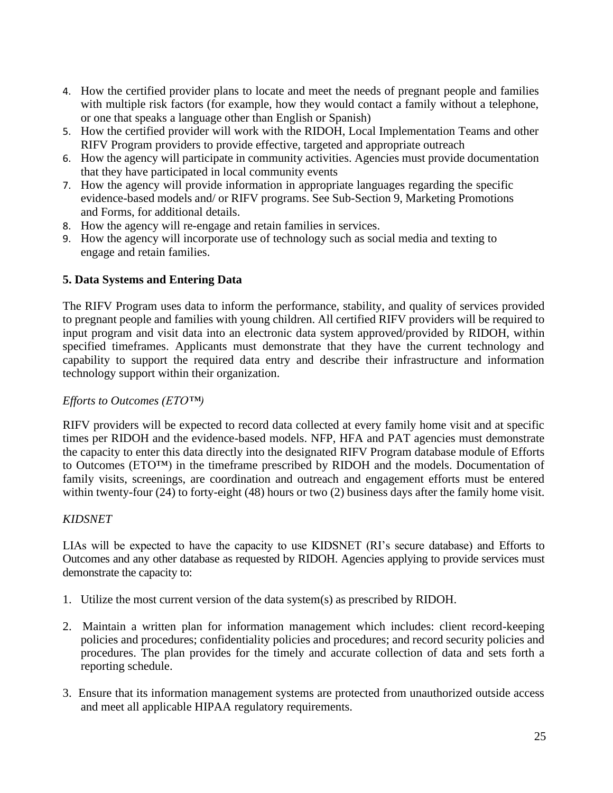- 4. How the certified provider plans to locate and meet the needs of pregnant people and families with multiple risk factors (for example, how they would contact a family without a telephone, or one that speaks a language other than English or Spanish)
- 5. How the certified provider will work with the RIDOH, Local Implementation Teams and other RIFV Program providers to provide effective, targeted and appropriate outreach
- 6. How the agency will participate in community activities. Agencies must provide documentation that they have participated in local community events
- 7. How the agency will provide information in appropriate languages regarding the specific evidence-based models and/ or RIFV programs. See Sub-Section 9, Marketing Promotions and Forms, for additional details.
- 8. How the agency will re-engage and retain families in services.
- 9. How the agency will incorporate use of technology such as social media and texting to engage and retain families.

## **5. Data Systems and Entering Data**

The RIFV Program uses data to inform the performance, stability, and quality of services provided to pregnant people and families with young children. All certified RIFV providers will be required to input program and visit data into an electronic data system approved/provided by RIDOH, within specified timeframes. Applicants must demonstrate that they have the current technology and capability to support the required data entry and describe their infrastructure and information technology support within their organization.

## *Efforts to Outcomes (ETO™)*

RIFV providers will be expected to record data collected at every family home visit and at specific times per RIDOH and the evidence-based models. NFP, HFA and PAT agencies must demonstrate the capacity to enter this data directly into the designated RIFV Program database module of Efforts to Outcomes (ETO™) in the timeframe prescribed by RIDOH and the models. Documentation of family visits, screenings, are coordination and outreach and engagement efforts must be entered within twenty-four (24) to forty-eight (48) hours or two (2) business days after the family home visit.

## *KIDSNET*

LIAs will be expected to have the capacity to use KIDSNET (RI's secure database) and Efforts to Outcomes and any other database as requested by RIDOH. Agencies applying to provide services must demonstrate the capacity to:

- 1. Utilize the most current version of the data system(s) as prescribed by RIDOH.
- 2. Maintain a written plan for information management which includes: client record-keeping policies and procedures; confidentiality policies and procedures; and record security policies and procedures. The plan provides for the timely and accurate collection of data and sets forth a reporting schedule.
- 3. Ensure that its information management systems are protected from unauthorized outside access and meet all applicable HIPAA regulatory requirements.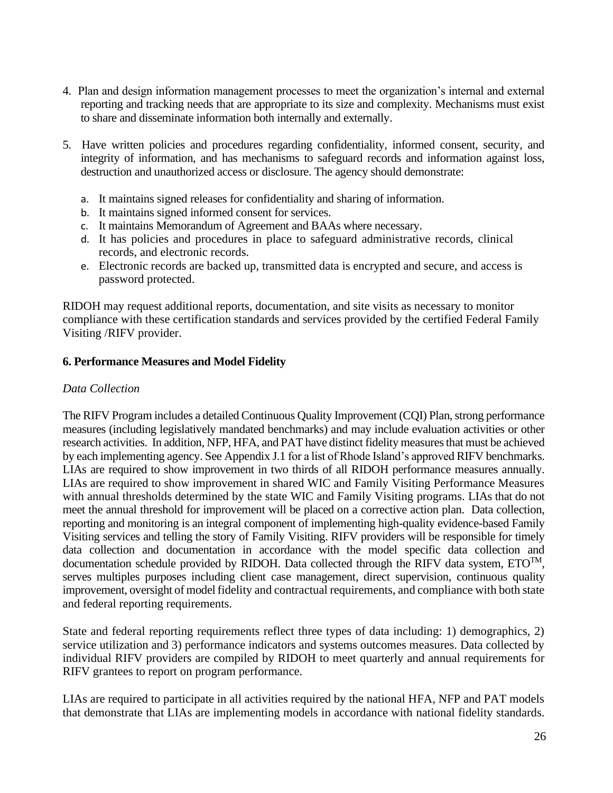- 4. Plan and design information management processes to meet the organization's internal and external reporting and tracking needs that are appropriate to its size and complexity. Mechanisms must exist to share and disseminate information both internally and externally.
- 5. Have written policies and procedures regarding confidentiality, informed consent, security, and integrity of information, and has mechanisms to safeguard records and information against loss, destruction and unauthorized access or disclosure. The agency should demonstrate:
	- a. It maintains signed releases for confidentiality and sharing of information.
	- b. It maintains signed informed consent for services.
	- c. It maintains Memorandum of Agreement and BAAs where necessary.
	- d. It has policies and procedures in place to safeguard administrative records, clinical records, and electronic records.
	- e. Electronic records are backed up, transmitted data is encrypted and secure, and access is password protected.

RIDOH may request additional reports, documentation, and site visits as necessary to monitor compliance with these certification standards and services provided by the certified Federal Family Visiting /RIFV provider.

#### **6. Performance Measures and Model Fidelity**

#### *Data Collection*

The RIFV Program includes a detailed Continuous Quality Improvement (CQI) Plan, strong performance measures (including legislatively mandated benchmarks) and may include evaluation activities or other research activities. In addition, NFP, HFA, and PAT have distinct fidelity measures that must be achieved by each implementing agency. See Appendix J.1 for a list of Rhode Island's approved RIFV benchmarks. LIAs are required to show improvement in two thirds of all RIDOH performance measures annually. LIAs are required to show improvement in shared WIC and Family Visiting Performance Measures with annual thresholds determined by the state WIC and Family Visiting programs. LIAs that do not meet the annual threshold for improvement will be placed on a corrective action plan. Data collection, reporting and monitoring is an integral component of implementing high-quality evidence-based Family Visiting services and telling the story of Family Visiting. RIFV providers will be responsible for timely data collection and documentation in accordance with the model specific data collection and documentation schedule provided by RIDOH. Data collected through the RIFV data system,  $ETO<sup>TM</sup>$ , serves multiples purposes including client case management, direct supervision, continuous quality improvement, oversight of model fidelity and contractual requirements, and compliance with both state and federal reporting requirements.

State and federal reporting requirements reflect three types of data including: 1) demographics, 2) service utilization and 3) performance indicators and systems outcomes measures. Data collected by individual RIFV providers are compiled by RIDOH to meet quarterly and annual requirements for RIFV grantees to report on program performance.

LIAs are required to participate in all activities required by the national HFA, NFP and PAT models that demonstrate that LIAs are implementing models in accordance with national fidelity standards.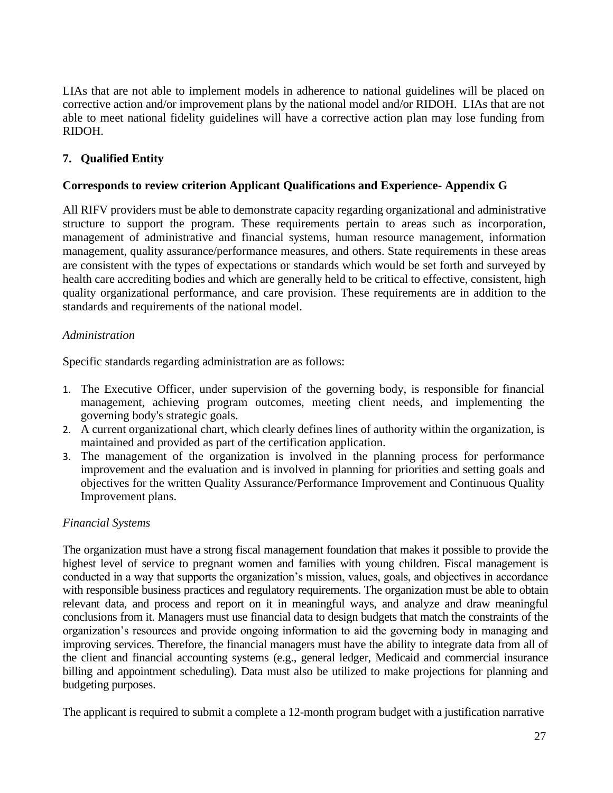LIAs that are not able to implement models in adherence to national guidelines will be placed on corrective action and/or improvement plans by the national model and/or RIDOH. LIAs that are not able to meet national fidelity guidelines will have a corrective action plan may lose funding from RIDOH.

## **7. Qualified Entity**

### **Corresponds to review criterion Applicant Qualifications and Experience- Appendix G**

All RIFV providers must be able to demonstrate capacity regarding organizational and administrative structure to support the program. These requirements pertain to areas such as incorporation, management of administrative and financial systems, human resource management, information management, quality assurance/performance measures, and others. State requirements in these areas are consistent with the types of expectations or standards which would be set forth and surveyed by health care accrediting bodies and which are generally held to be critical to effective, consistent, high quality organizational performance, and care provision. These requirements are in addition to the standards and requirements of the national model.

#### *Administration*

Specific standards regarding administration are as follows:

- 1. The Executive Officer, under supervision of the governing body, is responsible for financial management, achieving program outcomes, meeting client needs, and implementing the governing body's strategic goals.
- 2. A current organizational chart, which clearly defines lines of authority within the organization, is maintained and provided as part of the certification application.
- 3. The management of the organization is involved in the planning process for performance improvement and the evaluation and is involved in planning for priorities and setting goals and objectives for the written Quality Assurance/Performance Improvement and Continuous Quality Improvement plans.

#### *Financial Systems*

The organization must have a strong fiscal management foundation that makes it possible to provide the highest level of service to pregnant women and families with young children. Fiscal management is conducted in a way that supports the organization's mission, values, goals, and objectives in accordance with responsible business practices and regulatory requirements. The organization must be able to obtain relevant data, and process and report on it in meaningful ways, and analyze and draw meaningful conclusions from it. Managers must use financial data to design budgets that match the constraints of the organization's resources and provide ongoing information to aid the governing body in managing and improving services. Therefore, the financial managers must have the ability to integrate data from all of the client and financial accounting systems (e.g., general ledger, Medicaid and commercial insurance billing and appointment scheduling). Data must also be utilized to make projections for planning and budgeting purposes.

The applicant is required to submit a complete a 12-month program budget with a justification narrative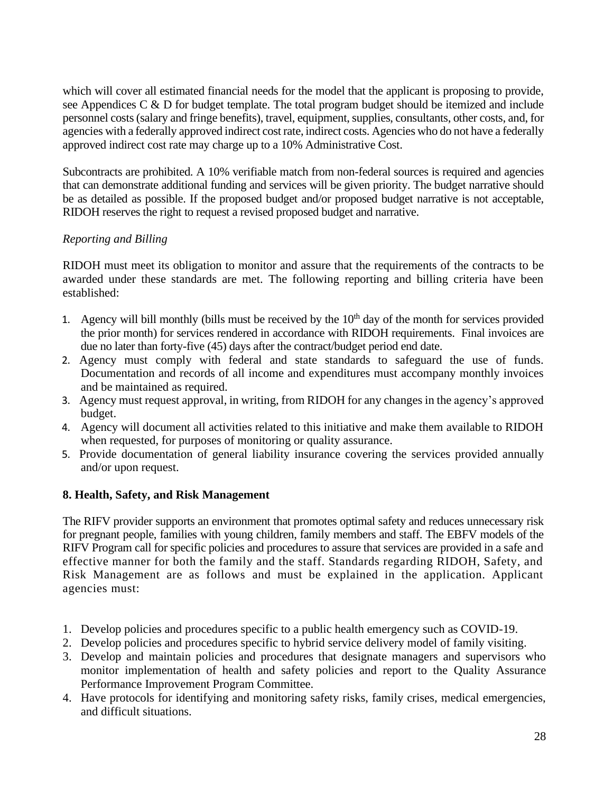which will cover all estimated financial needs for the model that the applicant is proposing to provide, see Appendices C & D for budget template. The total program budget should be itemized and include personnel costs (salary and fringe benefits), travel, equipment, supplies, consultants, other costs, and, for agencies with a federally approved indirect cost rate, indirect costs. Agencies who do not have a federally approved indirect cost rate may charge up to a 10% Administrative Cost.

Subcontracts are prohibited. A 10% verifiable match from non-federal sources is required and agencies that can demonstrate additional funding and services will be given priority. The budget narrative should be as detailed as possible. If the proposed budget and/or proposed budget narrative is not acceptable, RIDOH reserves the right to request a revised proposed budget and narrative.

### *Reporting and Billing*

RIDOH must meet its obligation to monitor and assure that the requirements of the contracts to be awarded under these standards are met. The following reporting and billing criteria have been established:

- 1. Agency will bill monthly (bills must be received by the  $10<sup>th</sup>$  day of the month for services provided the prior month) for services rendered in accordance with RIDOH requirements. Final invoices are due no later than forty-five (45) days after the contract/budget period end date.
- 2. Agency must comply with federal and state standards to safeguard the use of funds. Documentation and records of all income and expenditures must accompany monthly invoices and be maintained as required.
- 3. Agency must request approval, in writing, from RIDOH for any changes in the agency's approved budget.
- 4. Agency will document all activities related to this initiative and make them available to RIDOH when requested, for purposes of monitoring or quality assurance.
- 5. Provide documentation of general liability insurance covering the services provided annually and/or upon request.

## **8. Health, Safety, and Risk Management**

The RIFV provider supports an environment that promotes optimal safety and reduces unnecessary risk for pregnant people, families with young children, family members and staff. The EBFV models of the RIFV Program call for specific policies and procedures to assure that services are provided in a safe and effective manner for both the family and the staff. Standards regarding RIDOH, Safety, and Risk Management are as follows and must be explained in the application. Applicant agencies must:

- 1. Develop policies and procedures specific to a public health emergency such as COVID-19.
- 2. Develop policies and procedures specific to hybrid service delivery model of family visiting.
- 3. Develop and maintain policies and procedures that designate managers and supervisors who monitor implementation of health and safety policies and report to the Quality Assurance Performance Improvement Program Committee.
- 4. Have protocols for identifying and monitoring safety risks, family crises, medical emergencies, and difficult situations.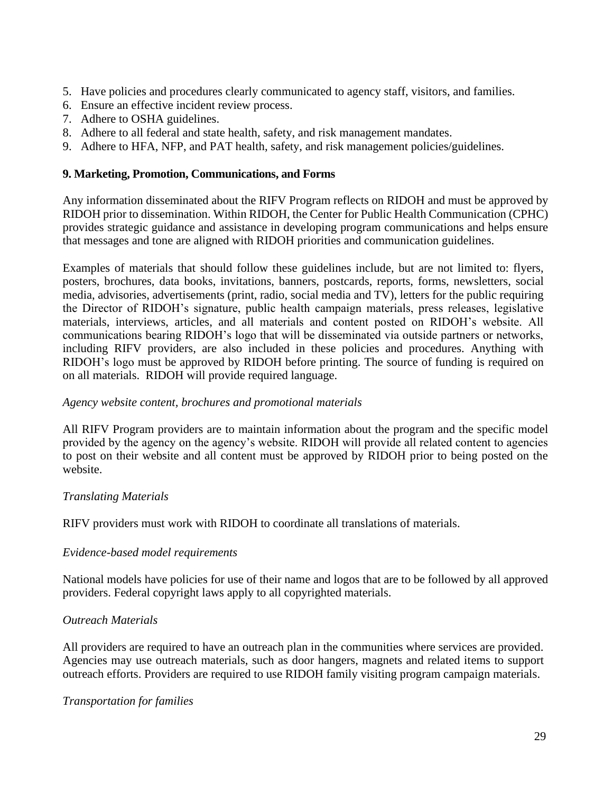- 5. Have policies and procedures clearly communicated to agency staff, visitors, and families.
- 6. Ensure an effective incident review process.
- 7. Adhere to OSHA guidelines.
- 8. Adhere to all federal and state health, safety, and risk management mandates.
- 9. Adhere to HFA, NFP, and PAT health, safety, and risk management policies/guidelines.

#### **9. Marketing, Promotion, Communications, and Forms**

Any information disseminated about the RIFV Program reflects on RIDOH and must be approved by RIDOH prior to dissemination. Within RIDOH, the Center for Public Health Communication (CPHC) provides strategic guidance and assistance in developing program communications and helps ensure that messages and tone are aligned with RIDOH priorities and communication guidelines.

Examples of materials that should follow these guidelines include, but are not limited to: flyers, posters, brochures, data books, invitations, banners, postcards, reports, forms, newsletters, social media, advisories, advertisements (print, radio, social media and TV), letters for the public requiring the Director of RIDOH's signature, public health campaign materials, press releases, legislative materials, interviews, articles, and all materials and content posted on RIDOH's website. All communications bearing RIDOH's logo that will be disseminated via outside partners or networks, including RIFV providers, are also included in these policies and procedures. Anything with RIDOH's logo must be approved by RIDOH before printing. The source of funding is required on on all materials. RIDOH will provide required language.

#### *Agency website content, brochures and promotional materials*

All RIFV Program providers are to maintain information about the program and the specific model provided by the agency on the agency's website. RIDOH will provide all related content to agencies to post on their website and all content must be approved by RIDOH prior to being posted on the website.

#### *Translating Materials*

RIFV providers must work with RIDOH to coordinate all translations of materials.

#### *Evidence-based model requirements*

National models have policies for use of their name and logos that are to be followed by all approved providers. Federal copyright laws apply to all copyrighted materials.

#### *Outreach Materials*

All providers are required to have an outreach plan in the communities where services are provided. Agencies may use outreach materials, such as door hangers, magnets and related items to support outreach efforts. Providers are required to use RIDOH family visiting program campaign materials.

#### *Transportation for families*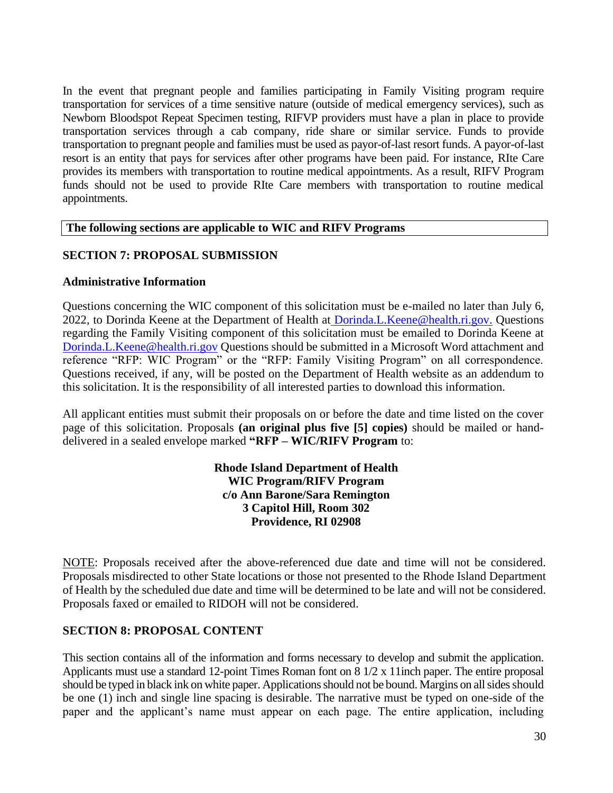In the event that pregnant people and families participating in Family Visiting program require transportation for services of a time sensitive nature (outside of medical emergency services), such as Newborn Bloodspot Repeat Specimen testing, RIFVP providers must have a plan in place to provide transportation services through a cab company, ride share or similar service. Funds to provide transportation to pregnant people and families must be used as payor-of-last resort funds. A payor-of-last resort is an entity that pays for services after other programs have been paid. For instance, RIte Care provides its members with transportation to routine medical appointments. As a result, RIFV Program funds should not be used to provide RIte Care members with transportation to routine medical appointments.

#### **The following sections are applicable to WIC and RIFV Programs**

### **SECTION 7: PROPOSAL SUBMISSION**

#### **Administrative Information**

Questions concerning the WIC component of this solicitation must be e-mailed no later than July 6, 2022, to Dorinda Keene at the Department of Health at [Dorinda.L.Keene@health.ri.gov.](mailto:Dorinda.L.Keene@health.ri.gov) Questions regarding the Family Visiting component of this solicitation must be emailed to Dorinda Keene at Dorinda.L.Keene@health.ri.gov Questions should be submitted in a Microsoft Word attachment and reference "RFP: WIC Program" or the "RFP: Family Visiting Program" on all correspondence. Questions received, if any, will be posted on the Department of Health website as an addendum to this solicitation. It is the responsibility of all interested parties to download this information.

All applicant entities must submit their proposals on or before the date and time listed on the cover page of this solicitation. Proposals **(an original plus five [5] copies)** should be mailed or handdelivered in a sealed envelope marked **"RFP – WIC/RIFV Program** to:

#### **Rhode Island Department of Health WIC Program/RIFV Program c/o Ann Barone/Sara Remington 3 Capitol Hill, Room 302 Providence, RI 02908**

NOTE: Proposals received after the above-referenced due date and time will not be considered. Proposals misdirected to other State locations or those not presented to the Rhode Island Department of Health by the scheduled due date and time will be determined to be late and will not be considered. Proposals faxed or emailed to RIDOH will not be considered.

#### **SECTION 8: PROPOSAL CONTENT**

This section contains all of the information and forms necessary to develop and submit the application. Applicants must use a standard 12-point Times Roman font on 8 1/2 x 11inch paper. The entire proposal should be typed in black ink on white paper. Applications should not be bound. Margins on all sides should be one (1) inch and single line spacing is desirable. The narrative must be typed on one-side of the paper and the applicant's name must appear on each page. The entire application, including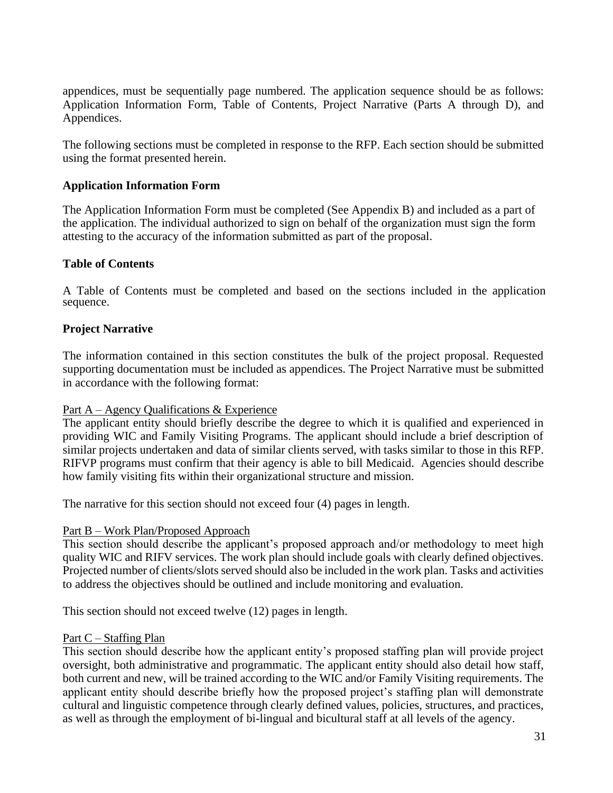appendices, must be sequentially page numbered. The application sequence should be as follows: Application Information Form, Table of Contents, Project Narrative (Parts A through D), and Appendices.

The following sections must be completed in response to the RFP. Each section should be submitted using the format presented herein.

#### **Application Information Form**

The Application Information Form must be completed (See Appendix B) and included as a part of the application. The individual authorized to sign on behalf of the organization must sign the form attesting to the accuracy of the information submitted as part of the proposal.

#### **Table of Contents**

A Table of Contents must be completed and based on the sections included in the application sequence.

### **Project Narrative**

The information contained in this section constitutes the bulk of the project proposal. Requested supporting documentation must be included as appendices. The Project Narrative must be submitted in accordance with the following format:

#### Part A – Agency Qualifications & Experience

The applicant entity should briefly describe the degree to which it is qualified and experienced in providing WIC and Family Visiting Programs. The applicant should include a brief description of similar projects undertaken and data of similar clients served, with tasks similar to those in this RFP. RIFVP programs must confirm that their agency is able to bill Medicaid. Agencies should describe how family visiting fits within their organizational structure and mission.

The narrative for this section should not exceed four (4) pages in length.

#### Part B – Work Plan/Proposed Approach

This section should describe the applicant's proposed approach and/or methodology to meet high quality WIC and RIFV services. The work plan should include goals with clearly defined objectives. Projected number of clients/slots served should also be included in the work plan. Tasks and activities to address the objectives should be outlined and include monitoring and evaluation.

This section should not exceed twelve (12) pages in length.

#### Part C – Staffing Plan

This section should describe how the applicant entity's proposed staffing plan will provide project oversight, both administrative and programmatic. The applicant entity should also detail how staff, both current and new, will be trained according to the WIC and/or Family Visiting requirements. The applicant entity should describe briefly how the proposed project's staffing plan will demonstrate cultural and linguistic competence through clearly defined values, policies, structures, and practices, as well as through the employment of bi-lingual and bicultural staff at all levels of the agency.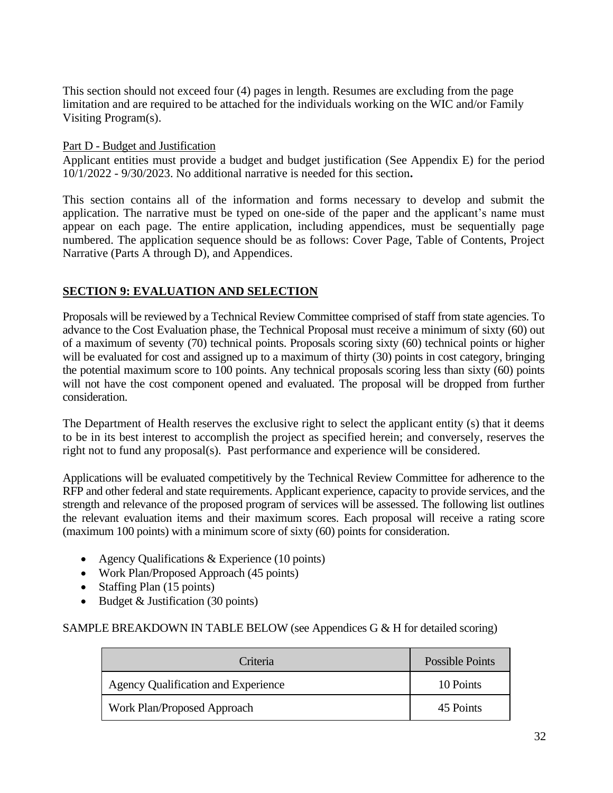This section should not exceed four (4) pages in length. Resumes are excluding from the page limitation and are required to be attached for the individuals working on the WIC and/or Family Visiting Program(s).

Part D - Budget and Justification

Applicant entities must provide a budget and budget justification (See Appendix E) for the period 10/1/2022 - 9/30/2023. No additional narrative is needed for this section**.**

This section contains all of the information and forms necessary to develop and submit the application. The narrative must be typed on one-side of the paper and the applicant's name must appear on each page. The entire application, including appendices, must be sequentially page numbered. The application sequence should be as follows: Cover Page, Table of Contents, Project Narrative (Parts A through D), and Appendices.

## **SECTION 9: EVALUATION AND SELECTION**

Proposals will be reviewed by a Technical Review Committee comprised of staff from state agencies. To advance to the Cost Evaluation phase, the Technical Proposal must receive a minimum of sixty (60) out of a maximum of seventy (70) technical points. Proposals scoring sixty (60) technical points or higher will be evaluated for cost and assigned up to a maximum of thirty (30) points in cost category, bringing the potential maximum score to 100 points. Any technical proposals scoring less than sixty (60) points will not have the cost component opened and evaluated. The proposal will be dropped from further consideration.

The Department of Health reserves the exclusive right to select the applicant entity (s) that it deems to be in its best interest to accomplish the project as specified herein; and conversely, reserves the right not to fund any proposal(s). Past performance and experience will be considered.

Applications will be evaluated competitively by the Technical Review Committee for adherence to the RFP and other federal and state requirements. Applicant experience, capacity to provide services, and the strength and relevance of the proposed program of services will be assessed. The following list outlines the relevant evaluation items and their maximum scores. Each proposal will receive a rating score (maximum 100 points) with a minimum score of sixty (60) points for consideration.

- Agency Qualifications & Experience (10 points)
- Work Plan/Proposed Approach (45 points)
- Staffing Plan (15 points)
- Budget & Justification (30 points)

SAMPLE BREAKDOWN IN TABLE BELOW (see Appendices G & H for detailed scoring)

| Criteria                                   | Possible Points |
|--------------------------------------------|-----------------|
| <b>Agency Qualification and Experience</b> | 10 Points       |
| Work Plan/Proposed Approach                | 45 Points       |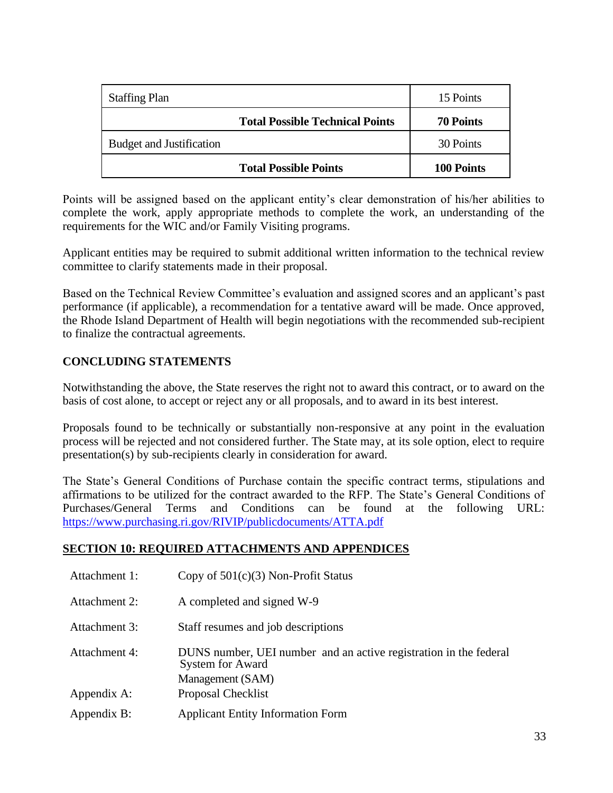| <b>Staffing Plan</b>                   | 15 Points        |
|----------------------------------------|------------------|
| <b>Total Possible Technical Points</b> | <b>70 Points</b> |
| <b>Budget and Justification</b>        | 30 Points        |
| <b>Total Possible Points</b>           | 100 Points       |

Points will be assigned based on the applicant entity's clear demonstration of his/her abilities to complete the work, apply appropriate methods to complete the work, an understanding of the requirements for the WIC and/or Family Visiting programs.

Applicant entities may be required to submit additional written information to the technical review committee to clarify statements made in their proposal.

Based on the Technical Review Committee's evaluation and assigned scores and an applicant's past performance (if applicable), a recommendation for a tentative award will be made. Once approved, the Rhode Island Department of Health will begin negotiations with the recommended sub-recipient to finalize the contractual agreements.

# **CONCLUDING STATEMENTS**

Notwithstanding the above, the State reserves the right not to award this contract, or to award on the basis of cost alone, to accept or reject any or all proposals, and to award in its best interest.

Proposals found to be technically or substantially non-responsive at any point in the evaluation process will be rejected and not considered further. The State may, at its sole option, elect to require presentation(s) by sub-recipients clearly in consideration for award.

The State's General Conditions of Purchase contain the specific contract terms, stipulations and affirmations to be utilized for the contract awarded to the RFP. The State's General Conditions of Purchases/General Terms and Conditions can be found at the following URL: <https://www.purchasing.ri.gov/RIVIP/publicdocuments/ATTA.pdf>

## **SECTION 10: REQUIRED ATTACHMENTS AND APPENDICES**

- Attachment 1: Copy of 501(c)(3) Non-Profit Status
- Attachment 2: A completed and signed W-9
- Attachment 3: Staff resumes and job descriptions
- Attachment 4: DUNS number, UEI number and an active registration in the federal System for Award Management (SAM) Appendix A: Proposal Checklist Appendix B: Applicant Entity Information Form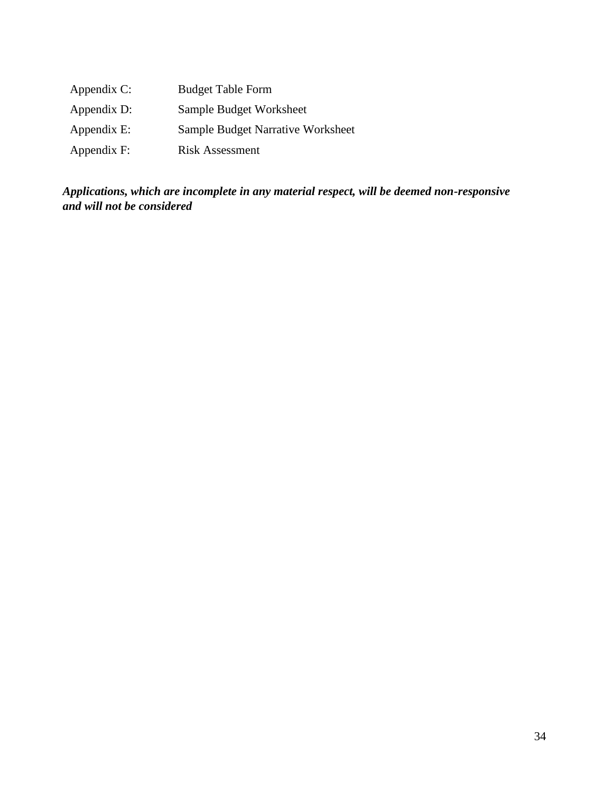| Appendix C: | <b>Budget Table Form</b>          |
|-------------|-----------------------------------|
| Appendix D: | Sample Budget Worksheet           |
| Appendix E: | Sample Budget Narrative Worksheet |
| Appendix F: | <b>Risk Assessment</b>            |

*Applications, which are incomplete in any material respect, will be deemed non-responsive and will not be considered*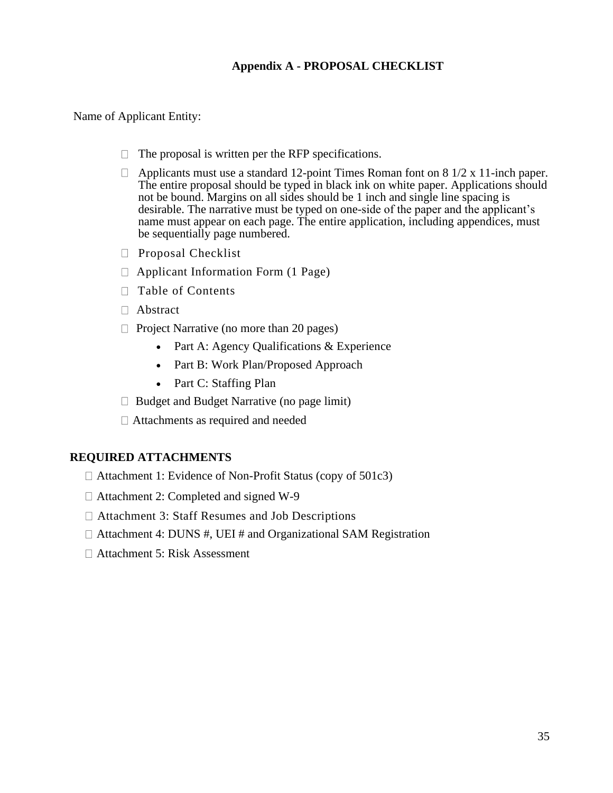# **Appendix A - PROPOSAL CHECKLIST**

#### Name of Applicant Entity:

- $\Box$  The proposal is written per the RFP specifications.
- $\Box$  Applicants must use a standard 12-point Times Roman font on 8 1/2 x 11-inch paper. The entire proposal should be typed in black ink on white paper. Applications should not be bound. Margins on all sides should be 1 inch and single line spacing is desirable. The narrative must be typed on one-side of the paper and the applicant's name must appear on each page. The entire application, including appendices, must be sequentially page numbered.
- $\Box$  Proposal Checklist
- $\Box$  Applicant Information Form (1 Page)
- □ Table of Contents
- Abstract
- $\Box$  Project Narrative (no more than 20 pages)
	- Part A: Agency Qualifications & Experience
	- Part B: Work Plan/Proposed Approach
	- Part C: Staffing Plan
- $\Box$  Budget and Budget Narrative (no page limit)
- Attachments as required and needed

#### **REQUIRED ATTACHMENTS**

- $\Box$  Attachment 1: Evidence of Non-Profit Status (copy of 501c3)
- □ Attachment 2: Completed and signed W-9
- Attachment 3: Staff Resumes and Job Descriptions
- $\Box$  Attachment 4: DUNS #, UEI # and Organizational SAM Registration
- Attachment 5: Risk Assessment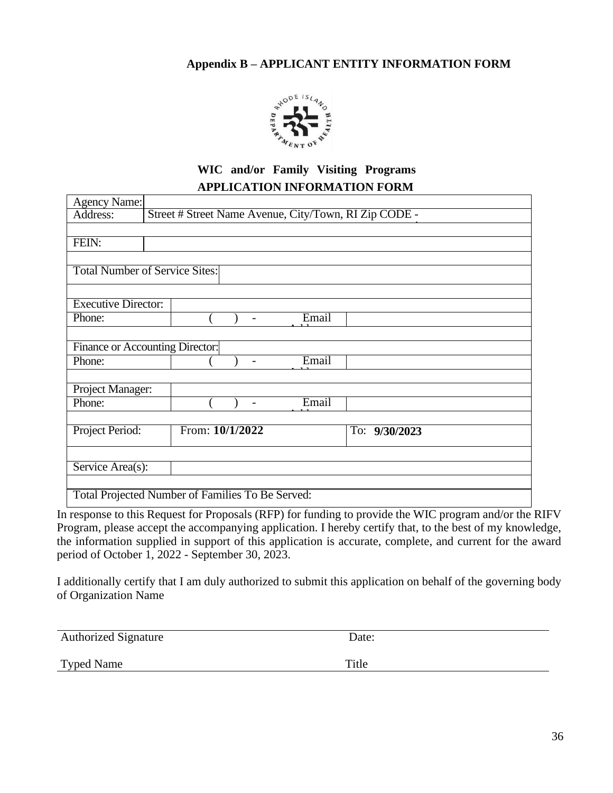## **Appendix B – APPLICANT ENTITY INFORMATION FORM**



# **WIC and/or Family Visiting Programs APPLICATION INFORMATION FORM**

| <b>Agency Name:</b>                              |                                                       |  |  |  |
|--------------------------------------------------|-------------------------------------------------------|--|--|--|
| Address:                                         | Street # Street Name Avenue, City/Town, RI Zip CODE - |  |  |  |
|                                                  |                                                       |  |  |  |
| FEIN:                                            |                                                       |  |  |  |
|                                                  |                                                       |  |  |  |
|                                                  | <b>Total Number of Service Sites:</b>                 |  |  |  |
|                                                  |                                                       |  |  |  |
| <b>Executive Director:</b>                       |                                                       |  |  |  |
| Phone:                                           | Email<br>$\overline{a}$                               |  |  |  |
|                                                  |                                                       |  |  |  |
|                                                  | Finance or Accounting Director:                       |  |  |  |
| Phone:                                           | Email<br>$\overline{\phantom{a}}$                     |  |  |  |
|                                                  |                                                       |  |  |  |
| Project Manager:                                 |                                                       |  |  |  |
| Phone:                                           | Email<br>$\overline{\phantom{a}}$                     |  |  |  |
|                                                  |                                                       |  |  |  |
| Project Period:                                  | From: 10/1/2022<br>To: 9/30/2023                      |  |  |  |
|                                                  |                                                       |  |  |  |
| Service Area(s):                                 |                                                       |  |  |  |
|                                                  |                                                       |  |  |  |
| Total Projected Number of Families To Be Served: |                                                       |  |  |  |

In response to this Request for Proposals (RFP) for funding to provide the WIC program and/or the RIFV Program, please accept the accompanying application. I hereby certify that, to the best of my knowledge, the information supplied in support of this application is accurate, complete, and current for the award period of October 1, 2022 - September 30, 2023.

I additionally certify that I am duly authorized to submit this application on behalf of the governing body of Organization Name

| <b>Authorized Signature</b> | Date: |
|-----------------------------|-------|
|                             |       |

Typed Name Title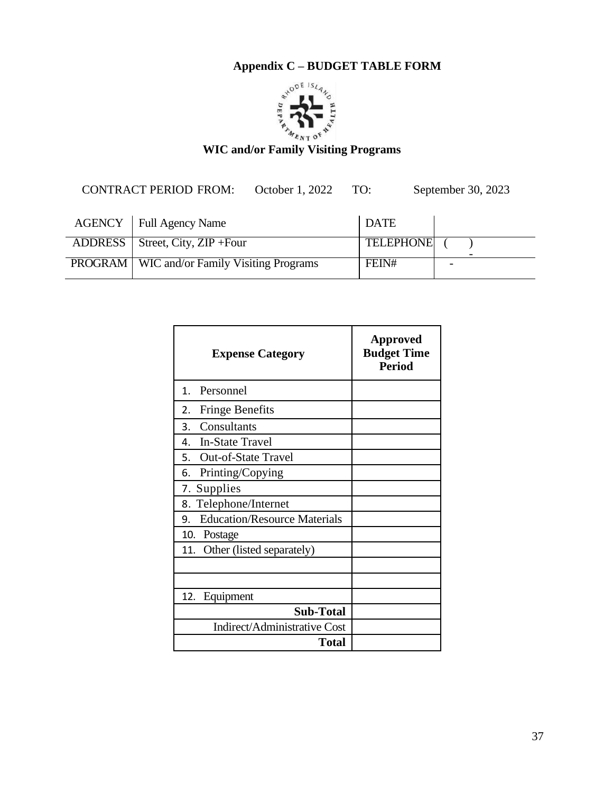

CONTRACT PERIOD FROM: October 1, 2022 TO: September 30, 2023

| AGENCY   Full Agency Name                            | <b>DATE</b>      |                          |
|------------------------------------------------------|------------------|--------------------------|
| ADDRESS   Street, City, ZIP + Four                   | <b>TELEPHONE</b> | $\overline{\phantom{0}}$ |
| <b>PROGRAM</b>   WIC and/or Family Visiting Programs | FEIN#            | $\overline{\phantom{0}}$ |

| <b>Expense Category</b>                   | <b>Approved</b><br><b>Budget Time</b><br><b>Period</b> |
|-------------------------------------------|--------------------------------------------------------|
| $1_{-}$<br>Personnel                      |                                                        |
| <b>Fringe Benefits</b><br>2.              |                                                        |
| Consultants<br>3.                         |                                                        |
| 4. In-State Travel                        |                                                        |
| <b>Out-of-State Travel</b><br>5.          |                                                        |
| Printing/Copying<br>6.                    |                                                        |
| 7. Supplies                               |                                                        |
| 8. Telephone/Internet                     |                                                        |
| <b>Education/Resource Materials</b><br>9. |                                                        |
| 10. Postage                               |                                                        |
| 11. Other (listed separately)             |                                                        |
|                                           |                                                        |
|                                           |                                                        |
| Equipment<br>12.                          |                                                        |
| <b>Sub-Total</b>                          |                                                        |
| Indirect/Administrative Cost              |                                                        |
| <b>Total</b>                              |                                                        |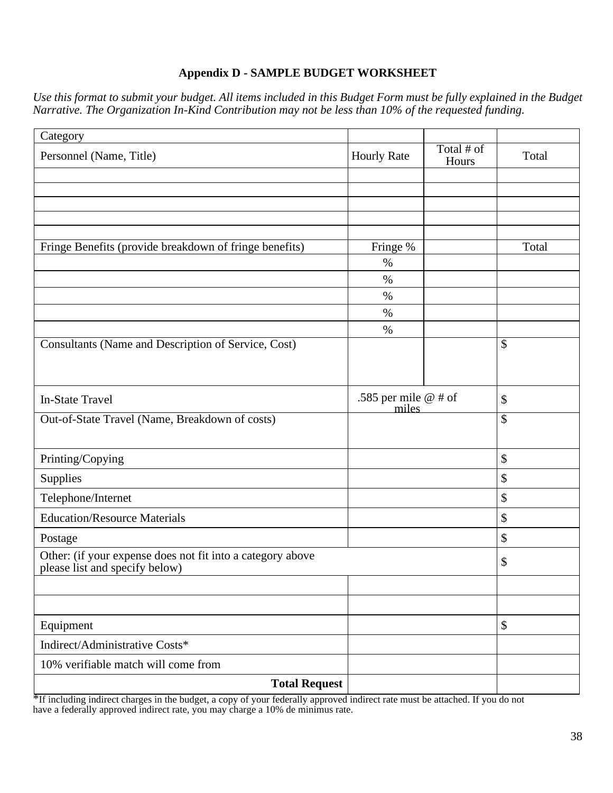### **Appendix D - SAMPLE BUDGET WORKSHEET**

*Use this format to submit your budget. All items included in this Budget Form must be fully explained in the Budget Narrative. The Organization In-Kind Contribution may not be less than 10% of the requested funding.*

| Category                                                                                     |                        |                     |                           |
|----------------------------------------------------------------------------------------------|------------------------|---------------------|---------------------------|
| Personnel (Name, Title)                                                                      | <b>Hourly Rate</b>     | Total # of<br>Hours | Total                     |
|                                                                                              |                        |                     |                           |
|                                                                                              |                        |                     |                           |
|                                                                                              |                        |                     |                           |
|                                                                                              |                        |                     |                           |
| Fringe Benefits (provide breakdown of fringe benefits)                                       | Fringe %               |                     | Total                     |
|                                                                                              | $\%$                   |                     |                           |
|                                                                                              | $\%$                   |                     |                           |
|                                                                                              | $\%$                   |                     |                           |
|                                                                                              | $\%$<br>$\%$           |                     |                           |
| Consultants (Name and Description of Service, Cost)                                          |                        |                     | \$                        |
|                                                                                              |                        |                     |                           |
|                                                                                              |                        |                     |                           |
| <b>In-State Travel</b>                                                                       | .585 per mile $@$ # of |                     | \$                        |
| Out-of-State Travel (Name, Breakdown of costs)                                               | miles                  |                     | $\overline{\mathcal{S}}$  |
|                                                                                              |                        |                     |                           |
| Printing/Copying                                                                             |                        |                     | $\boldsymbol{\mathsf{S}}$ |
| Supplies                                                                                     |                        |                     | $\boldsymbol{\$}$         |
| Telephone/Internet                                                                           |                        |                     | $\boldsymbol{\mathsf{S}}$ |
| <b>Education/Resource Materials</b>                                                          |                        |                     | $\boldsymbol{\mathsf{S}}$ |
| Postage                                                                                      |                        |                     | \$                        |
| Other: (if your expense does not fit into a category above<br>please list and specify below) |                        |                     | \$                        |
|                                                                                              |                        |                     |                           |
|                                                                                              |                        |                     |                           |
| Equipment                                                                                    |                        |                     | $\boldsymbol{\mathsf{S}}$ |
| Indirect/Administrative Costs*                                                               |                        |                     |                           |
| 10% verifiable match will come from                                                          |                        |                     |                           |
| <b>Total Request</b>                                                                         |                        |                     |                           |

\*If including indirect charges in the budget, a copy of your federally approved indirect rate must be attached. If you do not have a federally approved indirect rate, you may charge a 10% de minimus rate.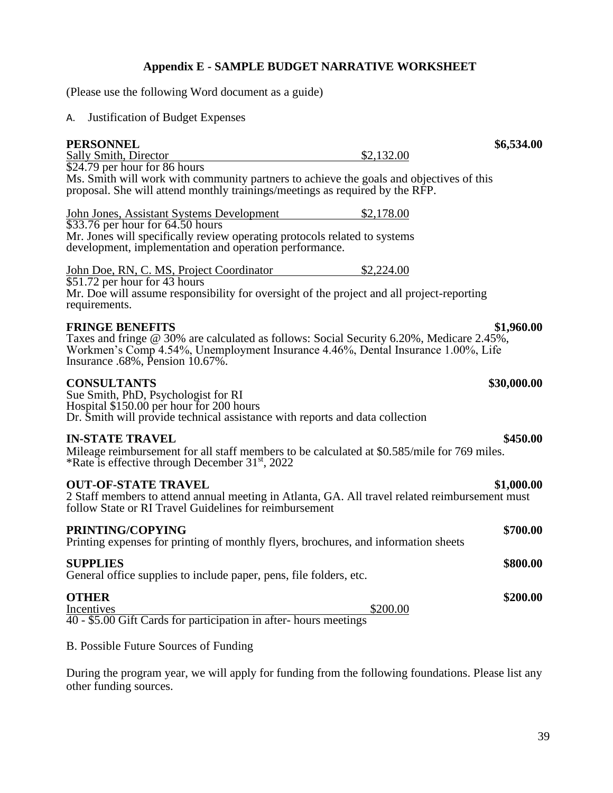#### **Appendix E - SAMPLE BUDGET NARRATIVE WORKSHEET**

(Please use the following Word document as a guide)

#### A. Justification of Budget Expenses

#### **PERSONNEL** \$6,534.00<br>
Sally Smith, Director  $$2.132.00$ Sally Smith, Director \$24.79 per hour for 86 hours Ms. Smith will work with community partners to achieve the goals and objectives of this proposal. She will attend monthly trainings/meetings as required by the RFP. John Jones, Assistant Systems Development \$2,178.00 \$33.76 per hour for 64.50 hours Mr. Jones will specifically review operating protocols related to systems development, implementation and operation performance. John Doe, RN, C. MS, Project Coordinator \$2,224.00 \$51.72 per hour for 43 hours Mr. Doe will assume responsibility for oversight of the project and all project-reporting requirements. **FRINGE BENEFITS \$1,960.00** Taxes and fringe @ 30% are calculated as follows: Social Security 6.20%, Medicare 2.45%, Workmen's Comp 4.54%, Unemployment Insurance 4.46%, Dental Insurance 1.00%, Life

Insurance .68%, Pension 10.67%.

#### **CONSULTANTS \$30,000.00**

Sue Smith, PhD, Psychologist for RI Hospital \$150.00 per hour for 200 hours Dr. Smith will provide technical assistance with reports and data collection

#### **IN-STATE TRAVEL \$450.00**

Mileage reimbursement for all staff members to be calculated at \$0.585/mile for 769 miles. \*Rate is effective through December 31st , 2022

#### **OUT-OF-STATE TRAVEL \$1,000.00**

2 Staff members to attend annual meeting in Atlanta, GA. All travel related reimbursement must follow State or RI Travel Guidelines for reimbursement

## **PRINTING/COPYING \$700.00**

# Printing expenses for printing of monthly flyers, brochures, and information sheets

## **SUPPLIES \$800.00**

General office supplies to include paper, pens, file folders, etc.

#### **OTHER \$200.00**

Incentives \$200.00 40 - \$5.00 Gift Cards for participation in after- hours meetings

#### B. Possible Future Sources of Funding

During the program year, we will apply for funding from the following foundations. Please list any other funding sources.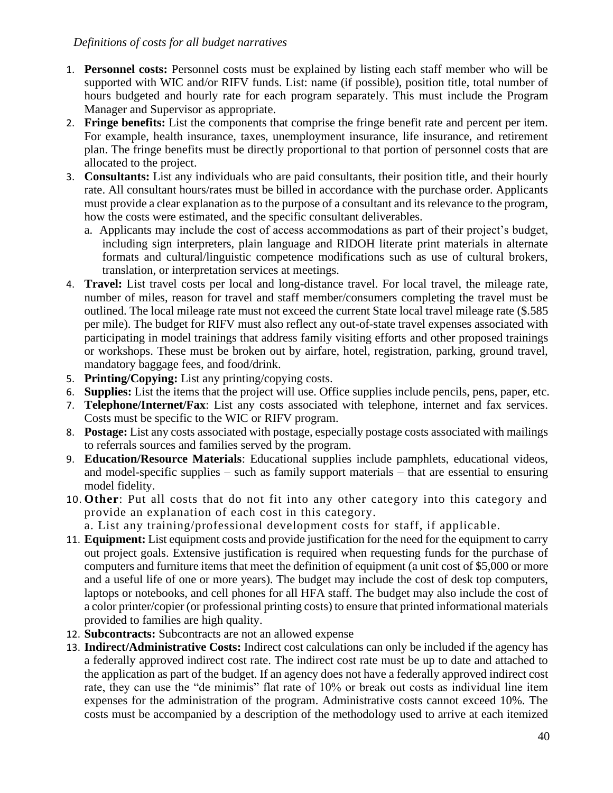#### *Definitions of costs for all budget narratives*

- 1. **Personnel costs:** Personnel costs must be explained by listing each staff member who will be supported with WIC and/or RIFV funds. List: name (if possible), position title, total number of hours budgeted and hourly rate for each program separately. This must include the Program Manager and Supervisor as appropriate.
- 2. **Fringe benefits:** List the components that comprise the fringe benefit rate and percent per item. For example, health insurance, taxes, unemployment insurance, life insurance, and retirement plan. The fringe benefits must be directly proportional to that portion of personnel costs that are allocated to the project.
- 3. **Consultants:** List any individuals who are paid consultants, their position title, and their hourly rate. All consultant hours/rates must be billed in accordance with the purchase order. Applicants must provide a clear explanation as to the purpose of a consultant and its relevance to the program, how the costs were estimated, and the specific consultant deliverables.
	- a. Applicants may include the cost of access accommodations as part of their project's budget, including sign interpreters, plain language and RIDOH literate print materials in alternate formats and cultural/linguistic competence modifications such as use of cultural brokers, translation, or interpretation services at meetings.
- 4. **Travel:** List travel costs per local and long-distance travel. For local travel, the mileage rate, number of miles, reason for travel and staff member/consumers completing the travel must be outlined. The local mileage rate must not exceed the current State local travel mileage rate (\$.585 per mile). The budget for RIFV must also reflect any out-of-state travel expenses associated with participating in model trainings that address family visiting efforts and other proposed trainings or workshops. These must be broken out by airfare, hotel, registration, parking, ground travel, mandatory baggage fees, and food/drink.
- 5. **Printing/Copying:** List any printing/copying costs.
- 6. **Supplies:** List the items that the project will use. Office supplies include pencils, pens, paper, etc.
- 7. **Telephone/Internet/Fax**: List any costs associated with telephone, internet and fax services. Costs must be specific to the WIC or RIFV program.
- 8. **Postage:** List any costs associated with postage, especially postage costs associated with mailings to referrals sources and families served by the program.
- 9. **Education/Resource Materials**: Educational supplies include pamphlets, educational videos, and model-specific supplies – such as family support materials – that are essential to ensuring model fidelity.
- 10. **Other**: Put all costs that do not fit into any other category into this category and provide an explanation of each cost in this category.

a. List any training/professional development costs for staff, if applicable.

- 11. **Equipment:** List equipment costs and provide justification for the need for the equipment to carry out project goals. Extensive justification is required when requesting funds for the purchase of computers and furniture items that meet the definition of equipment (a unit cost of \$5,000 or more and a useful life of one or more years). The budget may include the cost of desk top computers, laptops or notebooks, and cell phones for all HFA staff. The budget may also include the cost of a color printer/copier (or professional printing costs) to ensure that printed informational materials provided to families are high quality.
- 12. **Subcontracts:** Subcontracts are not an allowed expense
- 13. **Indirect/Administrative Costs:** Indirect cost calculations can only be included if the agency has a federally approved indirect cost rate. The indirect cost rate must be up to date and attached to the application as part of the budget. If an agency does not have a federally approved indirect cost rate, they can use the "de minimis" flat rate of 10% or break out costs as individual line item expenses for the administration of the program. Administrative costs cannot exceed 10%. The costs must be accompanied by a description of the methodology used to arrive at each itemized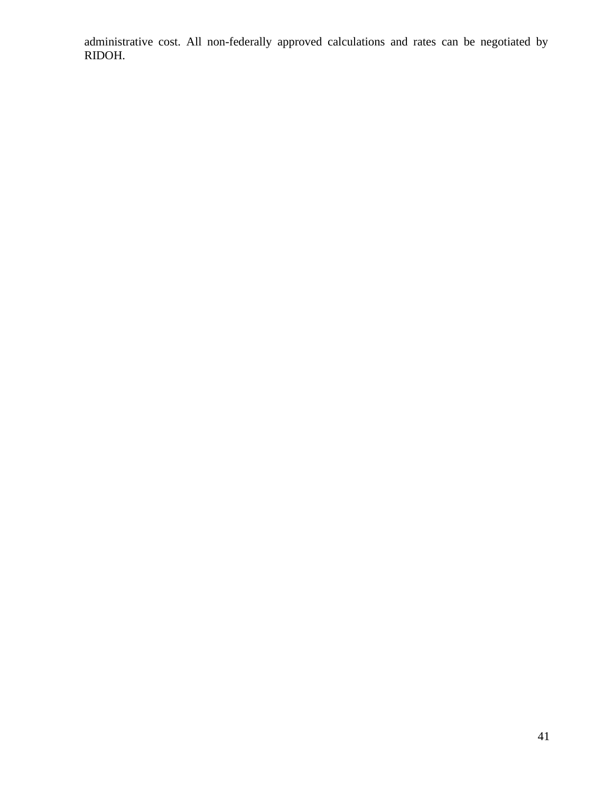administrative cost. All non-federally approved calculations and rates can be negotiated by RIDOH.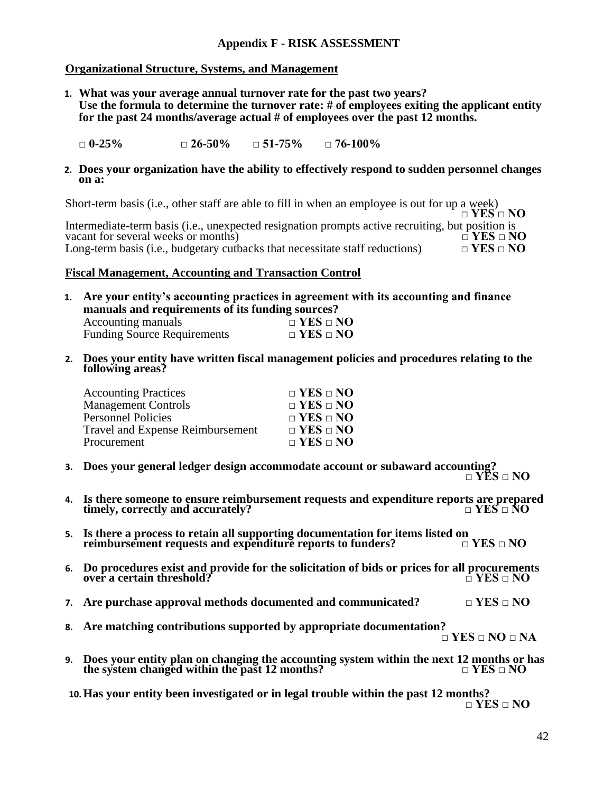#### **Appendix F - RISK ASSESSMENT**

#### **Organizational Structure, Systems, and Management**

**1. What was your average annual turnover rate for the past two years?** Use the formula to determine the turnover rate: # of employees exiting the applicant entity **for the past 24 months/average actual # of employees over the past 12 months.**

**□ 0-25% □ 26-50% □ 51-75% □ 76-100%**

#### **2. Does your organization have the ability to effectively respond to sudden personnel changes on a:**

Short-term basis (i.e., other staff are able to fill in when an employee is out for up a week) **□ YES □ NO** Intermediate-term basis (i.e., unexpected resignation prompts active recruiting, but position is vacant for several weeks or months)  $\square$  YES  $\square$  NO vacant for several weeks or months) Long-term basis (i.e., budgetary cutbacks that necessitate staff reductions)  $\Box$  **YES**  $\Box$  **NO** 

#### **Fiscal Management, Accounting and Transaction Control**

- **1. Are your entity's accounting practices in agreement with its accounting and finance manuals and requirements of its funding sources?** Accounting manuals **□ YES □ NO** Funding Source Requirements **□ YES □ NO**
- **2. Does your entity have written fiscal management policies and procedures relating to the following areas?**

| <b>Accounting Practices</b>             | $\Box$ YES $\Box$ NO |
|-----------------------------------------|----------------------|
| <b>Management Controls</b>              | $\Box$ YES $\Box$ NO |
| <b>Personnel Policies</b>               | $\Box$ YES $\Box$ NO |
| <b>Travel and Expense Reimbursement</b> | $\Box$ YES $\Box$ NO |
| Procurement                             | $\Box$ YES $\Box$ NO |

- **3. Does your general ledger design accommodate account or subaward accounting? □ YES □ NO**
- **4. Is there someone to ensure reimbursement requests and expenditure reports are prepared timely, correctly and accurately? □ YES □ NO**
- **5.** Is there a process to retain all supporting documentation for items listed on reimbursement requests and expenditure reports to funders?  $\Box$  YES  $\Box$  NO **reimbursement requests and expenditure reports to funders?**
- **6.** Do procedures exist and provide for the solicitation of bids or prices for all procurements over a certain threshold?  $over a$  certain threshold?
- **7. Are purchase approval methods documented and communicated? □ YES □ NO**
- **8. Are matching contributions supported by appropriate documentation? □ YES □ NO □ NA**
- **9.** Does your entity plan on changing the accounting system within the next 12 months or has the system changed within the past 12 months?  $\square$  YES  $\square$  NO **the system changed within the past 12 months?**

**10.Has your entity been investigated or in legal trouble within the past 12 months? □ YES □ NO**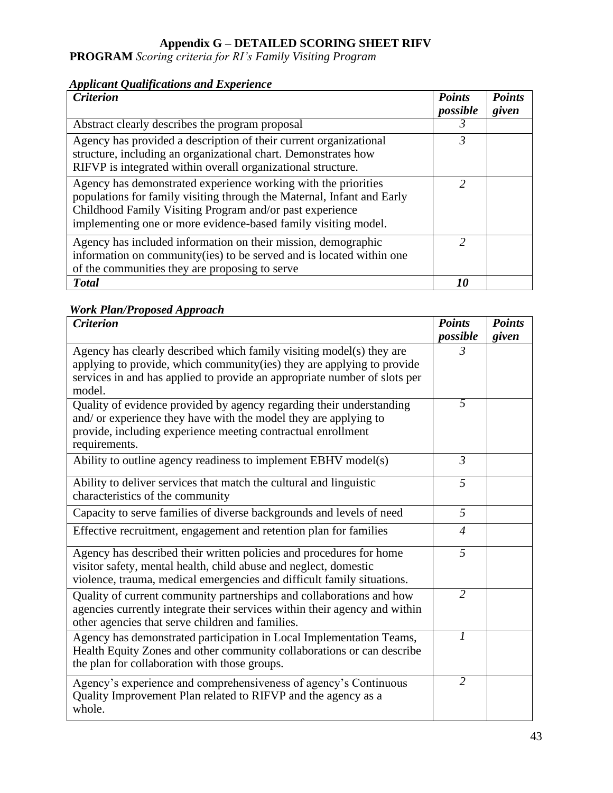#### **Appendix G – DETAILED SCORING SHEET RIFV**

**PROGRAM** *Scoring criteria for RI's Family Visiting Program*

### *Applicant Qualifications and Experience*

| <b>Criterion</b>                                                                                                                                                                                                                                                       | <b>Points</b> | <b>Points</b> |
|------------------------------------------------------------------------------------------------------------------------------------------------------------------------------------------------------------------------------------------------------------------------|---------------|---------------|
|                                                                                                                                                                                                                                                                        | possible      | given         |
| Abstract clearly describes the program proposal                                                                                                                                                                                                                        | 3             |               |
| Agency has provided a description of their current organizational<br>structure, including an organizational chart. Demonstrates how<br>RIFVP is integrated within overall organizational structure.                                                                    | 3             |               |
| Agency has demonstrated experience working with the priorities<br>populations for family visiting through the Maternal, Infant and Early<br>Childhood Family Visiting Program and/or past experience<br>implementing one or more evidence-based family visiting model. | $\mathcal{P}$ |               |
| Agency has included information on their mission, demographic<br>information on community (ies) to be served and is located within one<br>of the communities they are proposing to serve                                                                               | っ             |               |
| <b>Total</b>                                                                                                                                                                                                                                                           | 10            |               |

## *Work Plan/Proposed Approach*

| <b>Criterion</b>                                                                                                                                                                                                                      | <b>Points</b><br>possible | <b>Points</b><br>given |
|---------------------------------------------------------------------------------------------------------------------------------------------------------------------------------------------------------------------------------------|---------------------------|------------------------|
| Agency has clearly described which family visiting model(s) they are<br>applying to provide, which community(ies) they are applying to provide<br>services in and has applied to provide an appropriate number of slots per<br>model. | $\mathfrak{Z}$            |                        |
| Quality of evidence provided by agency regarding their understanding<br>and/ or experience they have with the model they are applying to<br>provide, including experience meeting contractual enrollment<br>requirements.             | 5                         |                        |
| Ability to outline agency readiness to implement EBHV model(s)                                                                                                                                                                        | $\mathfrak{Z}$            |                        |
| Ability to deliver services that match the cultural and linguistic<br>characteristics of the community                                                                                                                                | 5                         |                        |
| Capacity to serve families of diverse backgrounds and levels of need                                                                                                                                                                  | 5                         |                        |
| Effective recruitment, engagement and retention plan for families                                                                                                                                                                     | $\overline{4}$            |                        |
| Agency has described their written policies and procedures for home<br>visitor safety, mental health, child abuse and neglect, domestic<br>violence, trauma, medical emergencies and difficult family situations.                     | $\overline{5}$            |                        |
| Quality of current community partnerships and collaborations and how<br>agencies currently integrate their services within their agency and within<br>other agencies that serve children and families.                                | $\overline{2}$            |                        |
| Agency has demonstrated participation in Local Implementation Teams,<br>Health Equity Zones and other community collaborations or can describe<br>the plan for collaboration with those groups.                                       | 1                         |                        |
| Agency's experience and comprehensiveness of agency's Continuous<br>Quality Improvement Plan related to RIFVP and the agency as a<br>whole.                                                                                           | $\overline{2}$            |                        |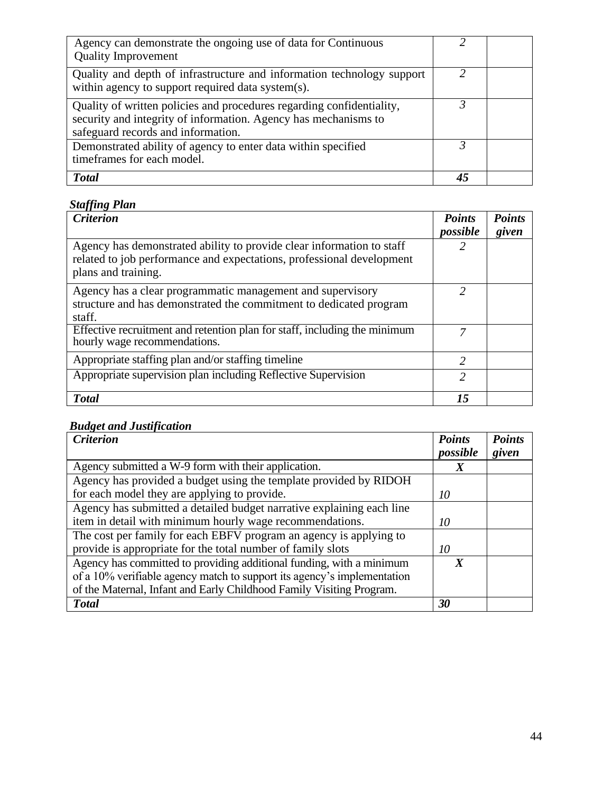| Agency can demonstrate the ongoing use of data for Continuous<br><b>Quality Improvement</b>                                                                                    |   |  |
|--------------------------------------------------------------------------------------------------------------------------------------------------------------------------------|---|--|
| Quality and depth of infrastructure and information technology support<br>within agency to support required data system(s).                                                    | ာ |  |
| Quality of written policies and procedures regarding confidentiality,<br>security and integrity of information. Agency has mechanisms to<br>safeguard records and information. |   |  |
| Demonstrated ability of agency to enter data within specified<br>timeframes for each model.                                                                                    |   |  |
| <b>T</b> otal                                                                                                                                                                  |   |  |

## *Staffing Plan*

| <b>Criterion</b>                                                                                                                                                      | <b>Points</b><br>possible | <b>Points</b><br>given |
|-----------------------------------------------------------------------------------------------------------------------------------------------------------------------|---------------------------|------------------------|
| Agency has demonstrated ability to provide clear information to staff<br>related to job performance and expectations, professional development<br>plans and training. |                           |                        |
| Agency has a clear programmatic management and supervisory<br>structure and has demonstrated the commitment to dedicated program<br>staff.                            | 2                         |                        |
| Effective recruitment and retention plan for staff, including the minimum<br>hourly wage recommendations.                                                             | 7                         |                        |
| Appropriate staffing plan and/or staffing timeline                                                                                                                    | $\mathcal{L}$             |                        |
| Appropriate supervision plan including Reflective Supervision                                                                                                         | っ                         |                        |
| <b>Total</b>                                                                                                                                                          | 15                        |                        |

## *Budget and Justification*

| <b>Criterion</b>                                                        | <b>Points</b>    | <b>Points</b> |
|-------------------------------------------------------------------------|------------------|---------------|
|                                                                         | possible         | given         |
| Agency submitted a W-9 form with their application.                     |                  |               |
| Agency has provided a budget using the template provided by RIDOH       |                  |               |
| for each model they are applying to provide.                            | 10               |               |
| Agency has submitted a detailed budget narrative explaining each line   |                  |               |
| item in detail with minimum hourly wage recommendations.                | 10               |               |
| The cost per family for each EBFV program an agency is applying to      |                  |               |
| provide is appropriate for the total number of family slots             | 10               |               |
| Agency has committed to providing additional funding, with a minimum    | $\boldsymbol{X}$ |               |
| of a 10% verifiable agency match to support its agency's implementation |                  |               |
| of the Maternal, Infant and Early Childhood Family Visiting Program.    |                  |               |
| <b>Total</b>                                                            | 30               |               |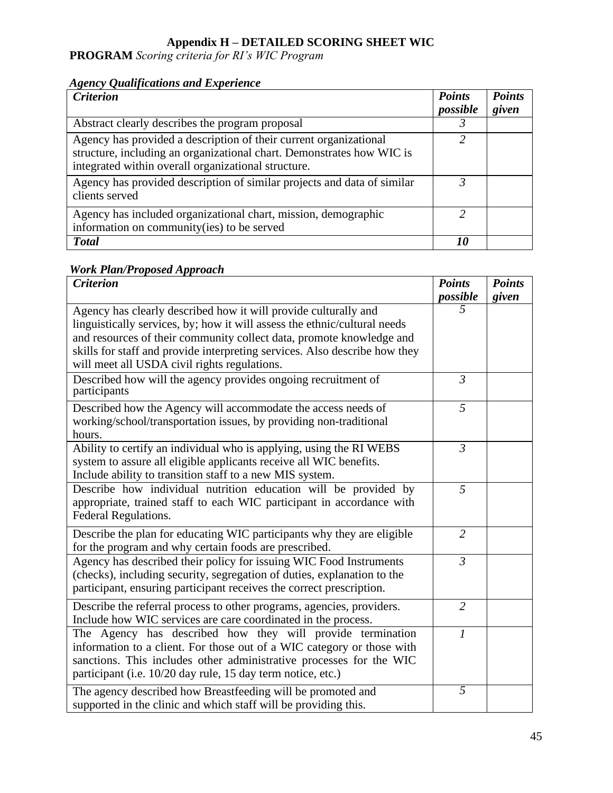## **Appendix H – DETAILED SCORING SHEET WIC**

**PROGRAM** *Scoring criteria for RI's WIC Program*

### *Agency Qualifications and Experience*

| <b>Criterion</b>                                                        | <b>Points</b><br>possible | <b>Points</b><br>given |
|-------------------------------------------------------------------------|---------------------------|------------------------|
|                                                                         |                           |                        |
| Abstract clearly describes the program proposal                         |                           |                        |
| Agency has provided a description of their current organizational       |                           |                        |
| structure, including an organizational chart. Demonstrates how WIC is   |                           |                        |
| integrated within overall organizational structure.                     |                           |                        |
| Agency has provided description of similar projects and data of similar |                           |                        |
| clients served                                                          |                           |                        |
| Agency has included organizational chart, mission, demographic          | $\mathcal{D}$             |                        |
| information on community(ies) to be served                              |                           |                        |
| <b>Total</b>                                                            | 10                        |                        |

### *Work Plan/Proposed Approach*

| <b>Criterion</b>                                                                                                                                                                                                                                                                                                                                   | <b>Points</b><br>possible | <b>Points</b><br>given |
|----------------------------------------------------------------------------------------------------------------------------------------------------------------------------------------------------------------------------------------------------------------------------------------------------------------------------------------------------|---------------------------|------------------------|
| Agency has clearly described how it will provide culturally and<br>linguistically services, by; how it will assess the ethnic/cultural needs<br>and resources of their community collect data, promote knowledge and<br>skills for staff and provide interpreting services. Also describe how they<br>will meet all USDA civil rights regulations. | 5                         |                        |
| Described how will the agency provides ongoing recruitment of<br>participants                                                                                                                                                                                                                                                                      | $\mathfrak{Z}$            |                        |
| Described how the Agency will accommodate the access needs of<br>working/school/transportation issues, by providing non-traditional<br>hours.                                                                                                                                                                                                      | 5                         |                        |
| Ability to certify an individual who is applying, using the RI WEBS<br>system to assure all eligible applicants receive all WIC benefits.<br>Include ability to transition staff to a new MIS system.                                                                                                                                              | $\mathfrak{Z}$            |                        |
| Describe how individual nutrition education will be provided by<br>appropriate, trained staff to each WIC participant in accordance with<br>Federal Regulations.                                                                                                                                                                                   | 5                         |                        |
| Describe the plan for educating WIC participants why they are eligible<br>for the program and why certain foods are prescribed.                                                                                                                                                                                                                    | $\overline{2}$            |                        |
| Agency has described their policy for issuing WIC Food Instruments<br>(checks), including security, segregation of duties, explanation to the<br>participant, ensuring participant receives the correct prescription.                                                                                                                              | $\mathfrak{Z}$            |                        |
| Describe the referral process to other programs, agencies, providers.<br>Include how WIC services are care coordinated in the process.                                                                                                                                                                                                             | $\overline{2}$            |                        |
| The Agency has described how they will provide termination<br>information to a client. For those out of a WIC category or those with<br>sanctions. This includes other administrative processes for the WIC<br>participant (i.e. 10/20 day rule, 15 day term notice, etc.)                                                                         | 1                         |                        |
| The agency described how Breastfeeding will be promoted and<br>supported in the clinic and which staff will be providing this.                                                                                                                                                                                                                     | 5                         |                        |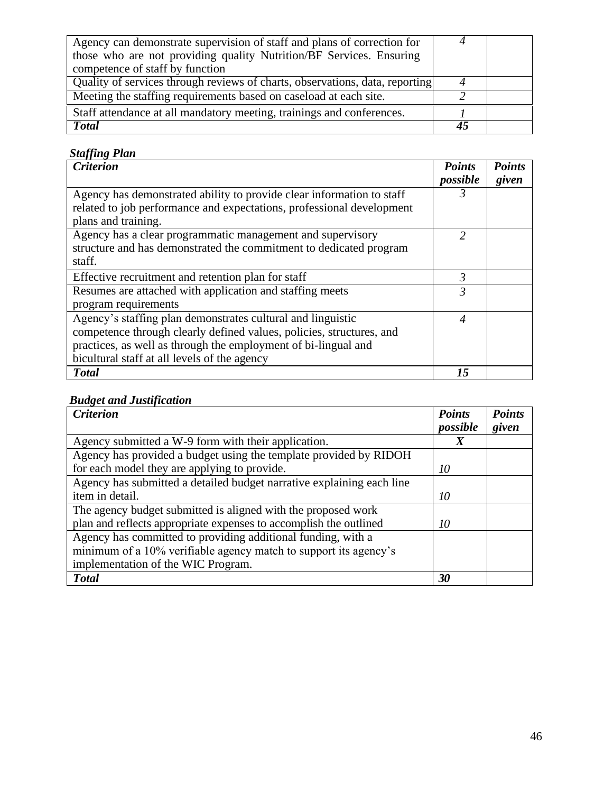| Agency can demonstrate supervision of staff and plans of correction for      |    |  |
|------------------------------------------------------------------------------|----|--|
| those who are not providing quality Nutrition/BF Services. Ensuring          |    |  |
| competence of staff by function                                              |    |  |
| Quality of services through reviews of charts, observations, data, reporting |    |  |
| Meeting the staffing requirements based on caseload at each site.            |    |  |
| Staff attendance at all mandatory meeting, trainings and conferences.        |    |  |
| <b>Total</b>                                                                 | 45 |  |

## *Staffing Plan*

| . <del>. .</del><br><b>Criterion</b>                                  | <b>Points</b> | <b>Points</b> |
|-----------------------------------------------------------------------|---------------|---------------|
|                                                                       | possible      | given         |
| Agency has demonstrated ability to provide clear information to staff | 3             |               |
| related to job performance and expectations, professional development |               |               |
| plans and training.                                                   |               |               |
| Agency has a clear programmatic management and supervisory            | 2             |               |
| structure and has demonstrated the commitment to dedicated program    |               |               |
| staff.                                                                |               |               |
| Effective recruitment and retention plan for staff                    | 3             |               |
| Resumes are attached with application and staffing meets              | 3             |               |
| program requirements                                                  |               |               |
| Agency's staffing plan demonstrates cultural and linguistic           | 4             |               |
| competence through clearly defined values, policies, structures, and  |               |               |
| practices, as well as through the employment of bi-lingual and        |               |               |
| bicultural staff at all levels of the agency                          |               |               |
| <b>Total</b>                                                          | 15            |               |

## *Budget and Justification*

| <b>Criterion</b>                                                      | <b>Points</b><br>possible | <b>Points</b><br>given |
|-----------------------------------------------------------------------|---------------------------|------------------------|
| Agency submitted a W-9 form with their application.                   | X                         |                        |
| Agency has provided a budget using the template provided by RIDOH     |                           |                        |
| for each model they are applying to provide.                          | 10                        |                        |
| Agency has submitted a detailed budget narrative explaining each line |                           |                        |
| item in detail.                                                       | 10                        |                        |
| The agency budget submitted is aligned with the proposed work         |                           |                        |
| plan and reflects appropriate expenses to accomplish the outlined     | 10                        |                        |
| Agency has committed to providing additional funding, with a          |                           |                        |
| minimum of a 10% verifiable agency match to support its agency's      |                           |                        |
| implementation of the WIC Program.                                    |                           |                        |
| <b>Total</b>                                                          | 30                        |                        |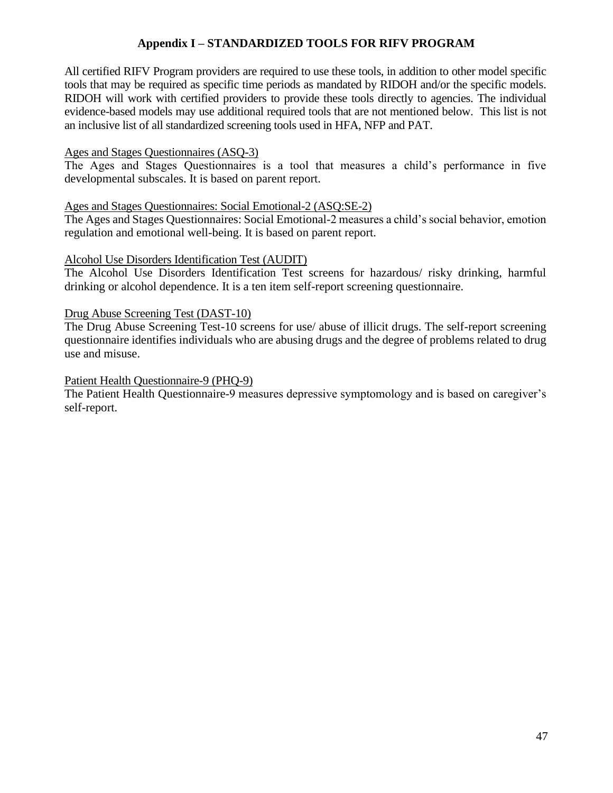#### **Appendix I – STANDARDIZED TOOLS FOR RIFV PROGRAM**

All certified RIFV Program providers are required to use these tools, in addition to other model specific tools that may be required as specific time periods as mandated by RIDOH and/or the specific models. RIDOH will work with certified providers to provide these tools directly to agencies. The individual evidence-based models may use additional required tools that are not mentioned below. This list is not an inclusive list of all standardized screening tools used in HFA, NFP and PAT.

#### Ages and Stages Questionnaires (ASQ-3)

The Ages and Stages Questionnaires is a tool that measures a child's performance in five developmental subscales. It is based on parent report.

#### Ages and Stages Questionnaires: Social Emotional-2 (ASQ:SE-2)

The Ages and Stages Questionnaires: Social Emotional-2 measures a child's social behavior, emotion regulation and emotional well-being. It is based on parent report.

#### Alcohol Use Disorders Identification Test (AUDIT)

The Alcohol Use Disorders Identification Test screens for hazardous/ risky drinking, harmful drinking or alcohol dependence. It is a ten item self-report screening questionnaire.

#### Drug Abuse Screening Test (DAST-10)

The Drug Abuse Screening Test-10 screens for use/ abuse of illicit drugs. The self-report screening questionnaire identifies individuals who are abusing drugs and the degree of problems related to drug use and misuse.

#### Patient Health Questionnaire-9 (PHQ-9)

The Patient Health Questionnaire-9 measures depressive symptomology and is based on caregiver's self-report.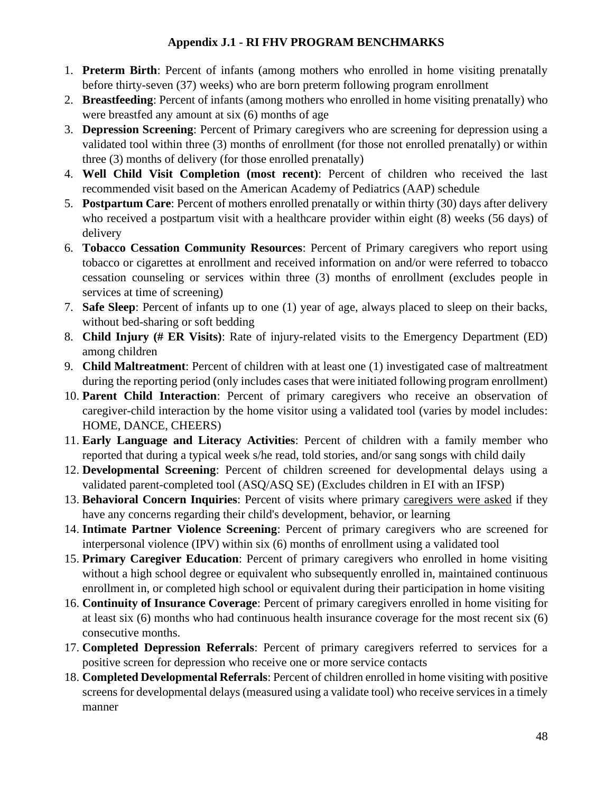## **Appendix J.1 - RI FHV PROGRAM BENCHMARKS**

- 1. **Preterm Birth**: Percent of infants (among mothers who enrolled in home visiting prenatally before thirty-seven (37) weeks) who are born preterm following program enrollment
- 2. **Breastfeeding**: Percent of infants (among mothers who enrolled in home visiting prenatally) who were breastfed any amount at six (6) months of age
- 3. **Depression Screening**: Percent of Primary caregivers who are screening for depression using a validated tool within three (3) months of enrollment (for those not enrolled prenatally) or within three (3) months of delivery (for those enrolled prenatally)
- 4. **Well Child Visit Completion (most recent)**: Percent of children who received the last recommended visit based on the American Academy of Pediatrics (AAP) schedule
- 5. **Postpartum Care**: Percent of mothers enrolled prenatally or within thirty (30) days after delivery who received a postpartum visit with a healthcare provider within eight (8) weeks (56 days) of delivery
- 6. **Tobacco Cessation Community Resources**: Percent of Primary caregivers who report using tobacco or cigarettes at enrollment and received information on and/or were referred to tobacco cessation counseling or services within three (3) months of enrollment (excludes people in services at time of screening)
- 7. **Safe Sleep**: Percent of infants up to one (1) year of age, always placed to sleep on their backs, without bed-sharing or soft bedding
- 8. **Child Injury (# ER Visits)**: Rate of injury-related visits to the Emergency Department (ED) among children
- 9. **Child Maltreatment**: Percent of children with at least one (1) investigated case of maltreatment during the reporting period (only includes cases that were initiated following program enrollment)
- 10. **Parent Child Interaction**: Percent of primary caregivers who receive an observation of caregiver-child interaction by the home visitor using a validated tool (varies by model includes: HOME, DANCE, CHEERS)
- 11. **Early Language and Literacy Activities**: Percent of children with a family member who reported that during a typical week s/he read, told stories, and/or sang songs with child daily
- 12. **Developmental Screening**: Percent of children screened for developmental delays using a validated parent-completed tool (ASQ/ASQ SE) (Excludes children in EI with an IFSP)
- 13. **Behavioral Concern Inquiries**: Percent of visits where primary caregivers were asked if they have any concerns regarding their child's development, behavior, or learning
- 14. **Intimate Partner Violence Screening**: Percent of primary caregivers who are screened for interpersonal violence (IPV) within six (6) months of enrollment using a validated tool
- 15. **Primary Caregiver Education**: Percent of primary caregivers who enrolled in home visiting without a high school degree or equivalent who subsequently enrolled in, maintained continuous enrollment in, or completed high school or equivalent during their participation in home visiting
- 16. **Continuity of Insurance Coverage**: Percent of primary caregivers enrolled in home visiting for at least six (6) months who had continuous health insurance coverage for the most recent six (6) consecutive months.
- 17. **Completed Depression Referrals**: Percent of primary caregivers referred to services for a positive screen for depression who receive one or more service contacts
- 18. **Completed Developmental Referrals**: Percent of children enrolled in home visiting with positive screens for developmental delays (measured using a validate tool) who receive services in a timely manner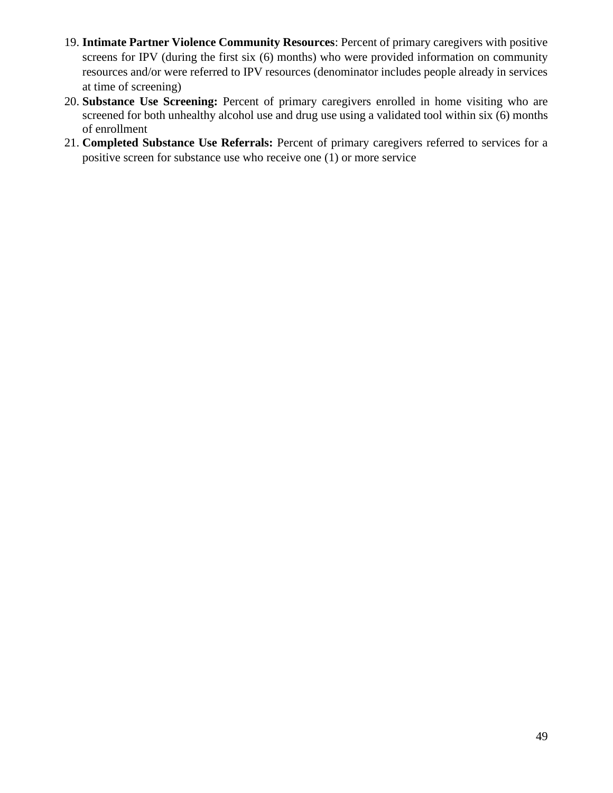- 19. **Intimate Partner Violence Community Resources**: Percent of primary caregivers with positive screens for IPV (during the first six (6) months) who were provided information on community resources and/or were referred to IPV resources (denominator includes people already in services at time of screening)
- 20. **Substance Use Screening:** Percent of primary caregivers enrolled in home visiting who are screened for both unhealthy alcohol use and drug use using a validated tool within six (6) months of enrollment
- 21. **Completed Substance Use Referrals:** Percent of primary caregivers referred to services for a positive screen for substance use who receive one (1) or more service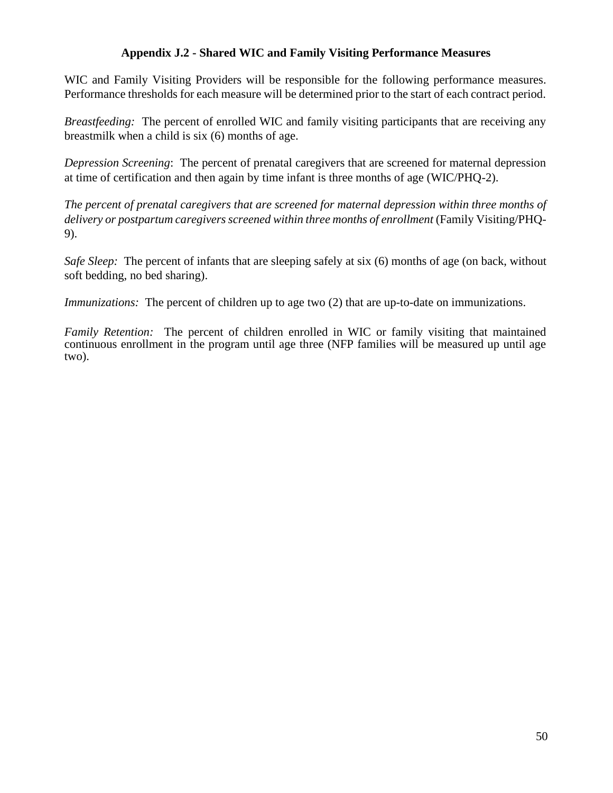#### **Appendix J.2 - Shared WIC and Family Visiting Performance Measures**

WIC and Family Visiting Providers will be responsible for the following performance measures. Performance thresholds for each measure will be determined prior to the start of each contract period.

*Breastfeeding:* The percent of enrolled WIC and family visiting participants that are receiving any breastmilk when a child is six (6) months of age.

*Depression Screening*: The percent of prenatal caregivers that are screened for maternal depression at time of certification and then again by time infant is three months of age (WIC/PHQ-2).

*The percent of prenatal caregivers that are screened for maternal depression within three months of delivery or postpartum caregivers screened within three months of enrollment* (Family Visiting/PHQ-9).

*Safe Sleep:* The percent of infants that are sleeping safely at six (6) months of age (on back, without soft bedding, no bed sharing).

*Immunizations:* The percent of children up to age two (2) that are up-to-date on immunizations.

*Family Retention:* The percent of children enrolled in WIC or family visiting that maintained continuous enrollment in the program until age three (NFP families will be measured up until age two).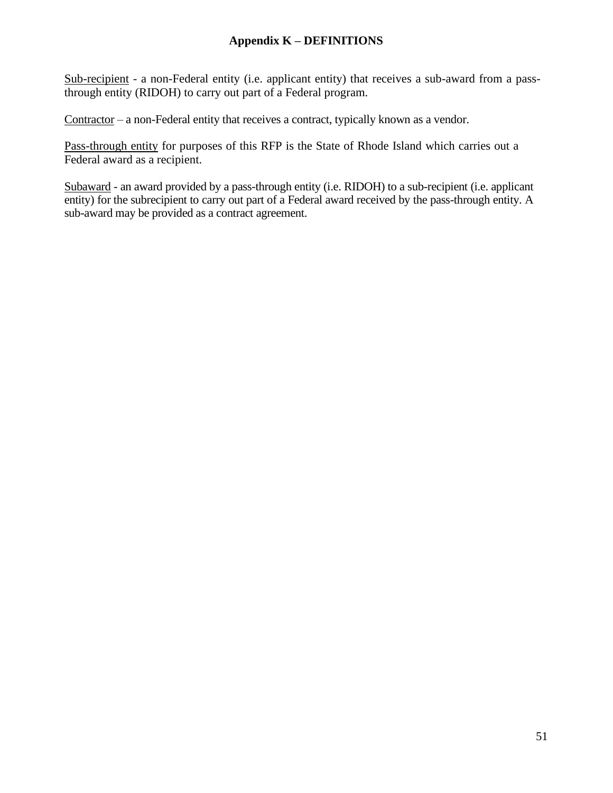#### **Appendix K – DEFINITIONS**

Sub-recipient - a non-Federal entity (i.e. applicant entity) that receives a sub-award from a passthrough entity (RIDOH) to carry out part of a Federal program.

 $\frac{Contractor}{=}$  a non-Federal entity that receives a contract, typically known as a vendor.

Pass-through entity for purposes of this RFP is the State of Rhode Island which carries out a Federal award as a recipient.

Subaward - an award provided by a pass-through entity (i.e. RIDOH) to a sub-recipient (i.e. applicant entity) for the subrecipient to carry out part of a Federal award received by the pass-through entity. A sub-award may be provided as a contract agreement.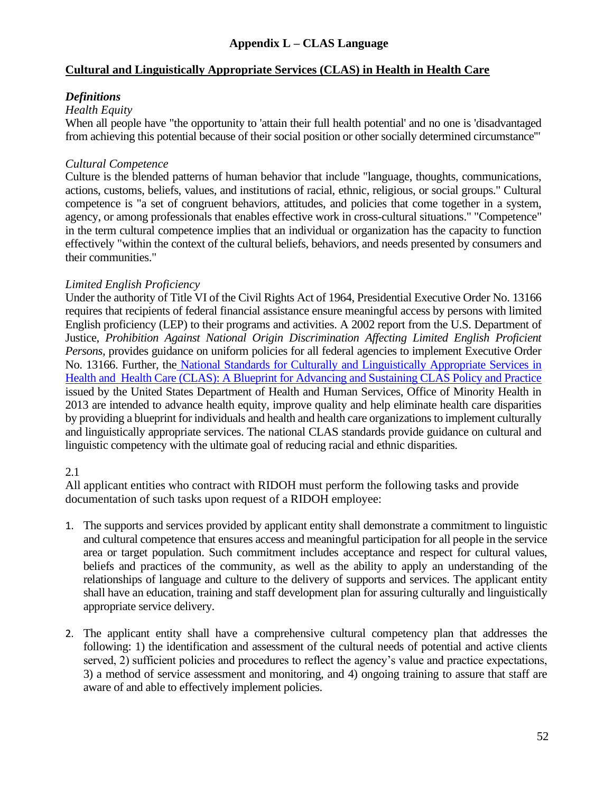#### **Appendix L – CLAS Language**

#### **Cultural and Linguistically Appropriate Services (CLAS) in Health in Health Care**

#### *Definitions*

#### *Health Equity*

When all people have "the opportunity to 'attain their full health potential' and no one is 'disadvantaged from achieving this potential because of their social position or other socially determined circumstance'"

#### *Cultural Competence*

Culture is the blended patterns of human behavior that include "language, thoughts, communications, actions, customs, beliefs, values, and institutions of racial, ethnic, religious, or social groups." Cultural competence is "a set of congruent behaviors, attitudes, and policies that come together in a system, agency, or among professionals that enables effective work in cross-cultural situations." "Competence" in the term cultural competence implies that an individual or organization has the capacity to function effectively "within the context of the cultural beliefs, behaviors, and needs presented by consumers and their communities."

#### *Limited English Proficiency*

Under the authority of Title VI of the Civil Rights Act of 1964, Presidential Executive Order No. 13166 requires that recipients of federal financial assistance ensure meaningful access by persons with limited English proficiency (LEP) to their programs and activities. A 2002 report from the U.S. Department of Justice, *Prohibition Against National Origin Discrimination Affecting Limited English Proficient Persons,* provides guidance on uniform policies for all federal agencies to implement Executive Order No. 13166. Further, the National Standards for Culturally and Linguistically Appropriate Services in Health and Health Care (CLAS): A Blueprint for Advancing and Sustaining CLAS Policy and Practice issued by the United States Department of Health and Human Services, Office of Minority Health in 2013 are intended to advance health equity, improve quality and help eliminate health care disparities by providing a blueprint for individuals and health and health care organizations to implement culturally and linguistically appropriate services. The national CLAS standards provide guidance on cultural and linguistic competency with the ultimate goal of reducing racial and ethnic disparities.

#### 2.1

All applicant entities who contract with RIDOH must perform the following tasks and provide documentation of such tasks upon request of a RIDOH employee:

- 1. The supports and services provided by applicant entity shall demonstrate a commitment to linguistic and cultural competence that ensures access and meaningful participation for all people in the service area or target population. Such commitment includes acceptance and respect for cultural values, beliefs and practices of the community, as well as the ability to apply an understanding of the relationships of language and culture to the delivery of supports and services. The applicant entity shall have an education, training and staff development plan for assuring culturally and linguistically appropriate service delivery.
- 2. The applicant entity shall have a comprehensive cultural competency plan that addresses the following: 1) the identification and assessment of the cultural needs of potential and active clients served, 2) sufficient policies and procedures to reflect the agency's value and practice expectations, 3) a method of service assessment and monitoring, and 4) ongoing training to assure that staff are aware of and able to effectively implement policies.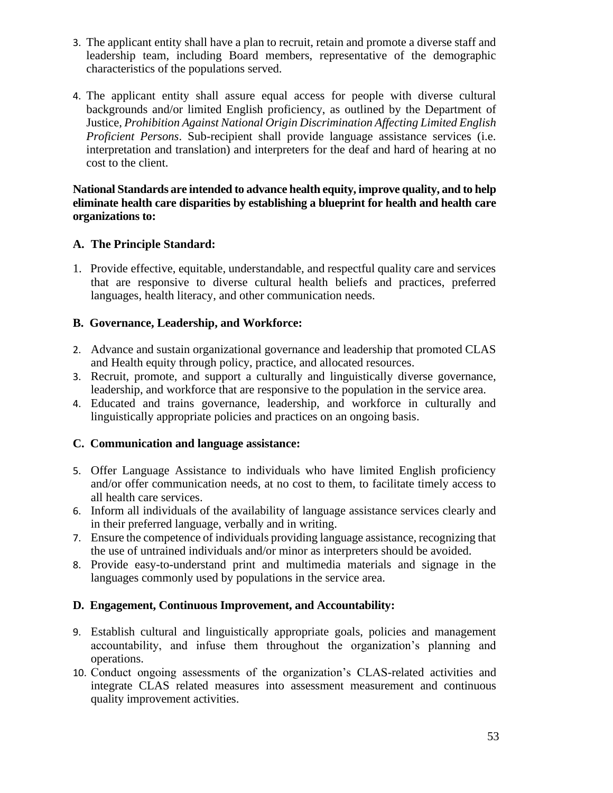- 3. The applicant entity shall have a plan to recruit, retain and promote a diverse staff and leadership team, including Board members, representative of the demographic characteristics of the populations served.
- 4. The applicant entity shall assure equal access for people with diverse cultural backgrounds and/or limited English proficiency, as outlined by the Department of Justice, *Prohibition Against National Origin Discrimination Affecting Limited English Proficient Persons*. Sub-recipient shall provide language assistance services (i.e. interpretation and translation) and interpreters for the deaf and hard of hearing at no cost to the client.

#### **National Standards are intended to advance health equity, improve quality, and to help eliminate health care disparities by establishing a blueprint for health and health care organizations to:**

#### **A. The Principle Standard:**

1. Provide effective, equitable, understandable, and respectful quality care and services that are responsive to diverse cultural health beliefs and practices, preferred languages, health literacy, and other communication needs.

#### **B. Governance, Leadership, and Workforce:**

- 2. Advance and sustain organizational governance and leadership that promoted CLAS and Health equity through policy, practice, and allocated resources.
- 3. Recruit, promote, and support a culturally and linguistically diverse governance, leadership, and workforce that are responsive to the population in the service area.
- 4. Educated and trains governance, leadership, and workforce in culturally and linguistically appropriate policies and practices on an ongoing basis.

#### **C. Communication and language assistance:**

- 5. Offer Language Assistance to individuals who have limited English proficiency and/or offer communication needs, at no cost to them, to facilitate timely access to all health care services.
- 6. Inform all individuals of the availability of language assistance services clearly and in their preferred language, verbally and in writing.
- 7. Ensure the competence of individuals providing language assistance, recognizing that the use of untrained individuals and/or minor as interpreters should be avoided.
- 8. Provide easy-to-understand print and multimedia materials and signage in the languages commonly used by populations in the service area.

#### **D. Engagement, Continuous Improvement, and Accountability:**

- 9. Establish cultural and linguistically appropriate goals, policies and management accountability, and infuse them throughout the organization's planning and operations.
- 10. Conduct ongoing assessments of the organization's CLAS-related activities and integrate CLAS related measures into assessment measurement and continuous quality improvement activities.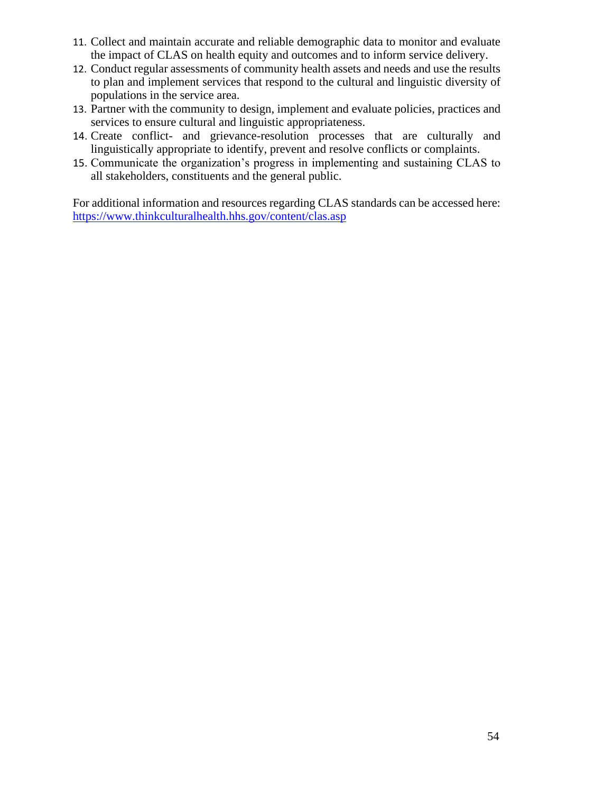- 11. Collect and maintain accurate and reliable demographic data to monitor and evaluate the impact of CLAS on health equity and outcomes and to inform service delivery.
- 12. Conduct regular assessments of community health assets and needs and use the results to plan and implement services that respond to the cultural and linguistic diversity of populations in the service area.
- 13. Partner with the community to design, implement and evaluate policies, practices and services to ensure cultural and linguistic appropriateness.
- 14. Create conflict- and grievance-resolution processes that are culturally and linguistically appropriate to identify, prevent and resolve conflicts or complaints.
- 15. Communicate the organization's progress in implementing and sustaining CLAS to all stakeholders, constituents and the general public.

For additional information and resources regarding CLAS standards can be accessed here: <https://www.thinkculturalhealth.hhs.gov/content/clas.asp>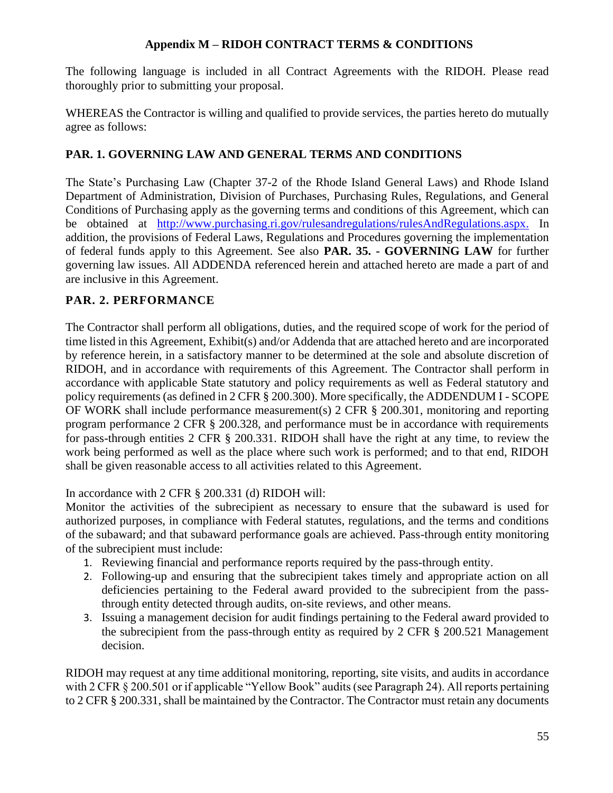## **Appendix M – RIDOH CONTRACT TERMS & CONDITIONS**

The following language is included in all Contract Agreements with the RIDOH. Please read thoroughly prior to submitting your proposal.

WHEREAS the Contractor is willing and qualified to provide services, the parties hereto do mutually agree as follows:

## **PAR. 1. GOVERNING LAW AND GENERAL TERMS AND CONDITIONS**

The State's Purchasing Law (Chapter 37-2 of the Rhode Island General Laws) and Rhode Island Department of Administration, Division of Purchases, Purchasing Rules, Regulations, and General Conditions of Purchasing apply as the governing terms and conditions of this Agreement, which can be obtained at [http://www.purchasing.ri.gov/rulesandregulations/rulesAndRegulations.aspx.](http://www.purchasing.ri.gov/rulesandregulations/rulesAndRegulations.aspx) In addition, the provisions of Federal Laws, Regulations and Procedures governing the implementation of federal funds apply to this Agreement. See also **PAR. 35. - GOVERNING LAW** for further governing law issues. All ADDENDA referenced herein and attached hereto are made a part of and are inclusive in this Agreement.

## **PAR. 2. PERFORMANCE**

The Contractor shall perform all obligations, duties, and the required scope of work for the period of time listed in this Agreement, Exhibit(s) and/or Addenda that are attached hereto and are incorporated by reference herein, in a satisfactory manner to be determined at the sole and absolute discretion of RIDOH, and in accordance with requirements of this Agreement. The Contractor shall perform in accordance with applicable State statutory and policy requirements as well as Federal statutory and policy requirements (as defined in 2 CFR § 200.300). More specifically, the ADDENDUM I - SCOPE OF WORK shall include performance measurement(s) 2 CFR § 200.301, monitoring and reporting program performance 2 CFR § 200.328, and performance must be in accordance with requirements for pass-through entities 2 CFR § 200.331. RIDOH shall have the right at any time, to review the work being performed as well as the place where such work is performed; and to that end, RIDOH shall be given reasonable access to all activities related to this Agreement.

In accordance with 2 CFR § 200.331 (d) RIDOH will:

Monitor the activities of the subrecipient as necessary to ensure that the subaward is used for authorized purposes, in compliance with Federal statutes, regulations, and the terms and conditions of the subaward; and that subaward performance goals are achieved. Pass-through entity monitoring of the subrecipient must include:

- 1. Reviewing financial and performance reports required by the pass-through entity.
- 2. Following-up and ensuring that the subrecipient takes timely and appropriate action on all deficiencies pertaining to the Federal award provided to the subrecipient from the passthrough entity detected through audits, on-site reviews, and other means.
- 3. Issuing a management decision for audit findings pertaining to the Federal award provided to the subrecipient from the pass-through entity as required by 2 CFR § 200.521 Management decision.

RIDOH may request at any time additional monitoring, reporting, site visits, and audits in accordance with 2 CFR § 200.501 or if applicable "Yellow Book" audits (see Paragraph 24). All reports pertaining to 2 CFR § 200.331, shall be maintained by the Contractor. The Contractor must retain any documents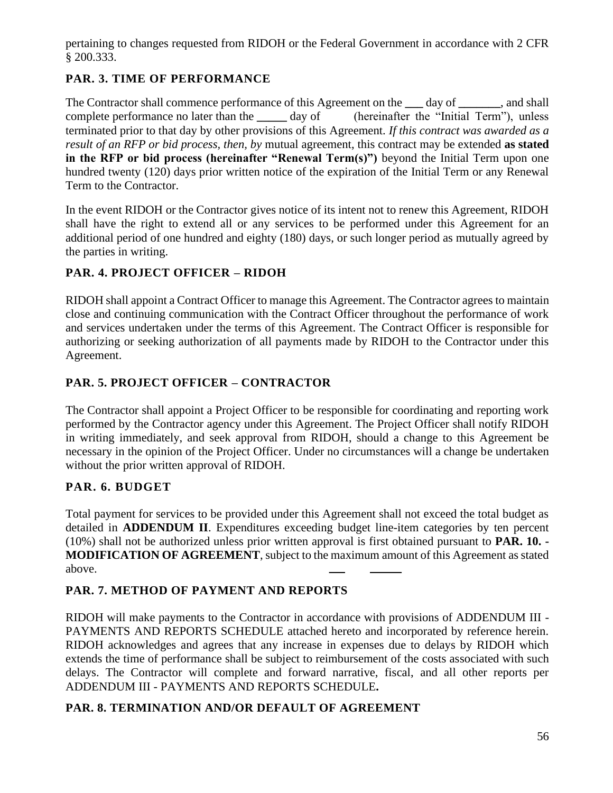pertaining to changes requested from RIDOH or the Federal Government in accordance with 2 CFR § 200.333.

## **PAR. 3. TIME OF PERFORMANCE**

The Contractor shall commence performance of this Agreement on the **\_\_\_** day of **\_\_\_\_\_\_\_**, and shall complete performance no later than the day of (hereinafter the "Initial Term"), unless terminated prior to that day by other provisions of this Agreement. *If this contract was awarded as a result of an RFP or bid process, then, by* mutual agreement, this contract may be extended **as stated in the RFP or bid process (hereinafter "Renewal Term(s)")** beyond the Initial Term upon one hundred twenty (120) days prior written notice of the expiration of the Initial Term or any Renewal Term to the Contractor.

In the event RIDOH or the Contractor gives notice of its intent not to renew this Agreement, RIDOH shall have the right to extend all or any services to be performed under this Agreement for an additional period of one hundred and eighty (180) days, or such longer period as mutually agreed by the parties in writing.

## **PAR. 4. PROJECT OFFICER – RIDOH**

RIDOH shall appoint a Contract Officer to manage this Agreement. The Contractor agrees to maintain close and continuing communication with the Contract Officer throughout the performance of work and services undertaken under the terms of this Agreement. The Contract Officer is responsible for authorizing or seeking authorization of all payments made by RIDOH to the Contractor under this Agreement.

## **PAR. 5. PROJECT OFFICER – CONTRACTOR**

The Contractor shall appoint a Project Officer to be responsible for coordinating and reporting work performed by the Contractor agency under this Agreement. The Project Officer shall notify RIDOH in writing immediately, and seek approval from RIDOH, should a change to this Agreement be necessary in the opinion of the Project Officer. Under no circumstances will a change be undertaken without the prior written approval of RIDOH.

## **PAR. 6. BUDGET**

Total payment for services to be provided under this Agreement shall not exceed the total budget as detailed in **ADDENDUM II**. Expenditures exceeding budget line-item categories by ten percent (10%) shall not be authorized unless prior written approval is first obtained pursuant to **PAR. 10. - MODIFICATION OF AGREEMENT**, subject to the maximum amount of this Agreement as stated above.

## **PAR. 7. METHOD OF PAYMENT AND REPORTS**

RIDOH will make payments to the Contractor in accordance with provisions of ADDENDUM III - PAYMENTS AND REPORTS SCHEDULE attached hereto and incorporated by reference herein. RIDOH acknowledges and agrees that any increase in expenses due to delays by RIDOH which extends the time of performance shall be subject to reimbursement of the costs associated with such delays. The Contractor will complete and forward narrative, fiscal, and all other reports per ADDENDUM III - PAYMENTS AND REPORTS SCHEDULE**.**

## **PAR. 8. TERMINATION AND/OR DEFAULT OF AGREEMENT**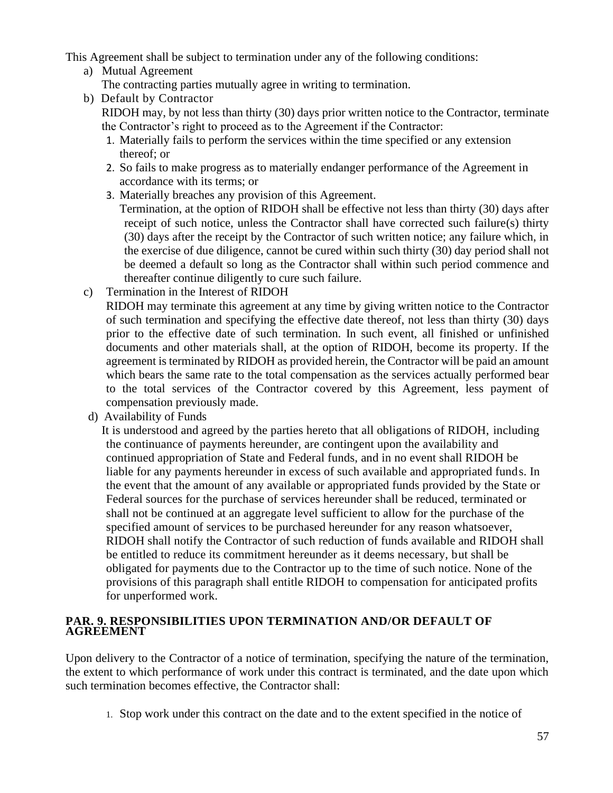This Agreement shall be subject to termination under any of the following conditions:

- a) Mutual Agreement
	- The contracting parties mutually agree in writing to termination.
- b) Default by Contractor

RIDOH may, by not less than thirty (30) days prior written notice to the Contractor, terminate the Contractor's right to proceed as to the Agreement if the Contractor:

- 1. Materially fails to perform the services within the time specified or any extension thereof; or
- 2. So fails to make progress as to materially endanger performance of the Agreement in accordance with its terms; or
- 3. Materially breaches any provision of this Agreement.

Termination, at the option of RIDOH shall be effective not less than thirty (30) days after receipt of such notice, unless the Contractor shall have corrected such failure(s) thirty (30) days after the receipt by the Contractor of such written notice; any failure which, in the exercise of due diligence, cannot be cured within such thirty (30) day period shall not be deemed a default so long as the Contractor shall within such period commence and thereafter continue diligently to cure such failure.

c) Termination in the Interest of RIDOH

RIDOH may terminate this agreement at any time by giving written notice to the Contractor of such termination and specifying the effective date thereof, not less than thirty (30) days prior to the effective date of such termination. In such event, all finished or unfinished documents and other materials shall, at the option of RIDOH, become its property. If the agreement is terminated by RIDOH as provided herein, the Contractor will be paid an amount which bears the same rate to the total compensation as the services actually performed bear to the total services of the Contractor covered by this Agreement, less payment of compensation previously made.

d) Availability of Funds

It is understood and agreed by the parties hereto that all obligations of RIDOH, including the continuance of payments hereunder, are contingent upon the availability and continued appropriation of State and Federal funds, and in no event shall RIDOH be liable for any payments hereunder in excess of such available and appropriated funds. In the event that the amount of any available or appropriated funds provided by the State or Federal sources for the purchase of services hereunder shall be reduced, terminated or shall not be continued at an aggregate level sufficient to allow for the purchase of the specified amount of services to be purchased hereunder for any reason whatsoever, RIDOH shall notify the Contractor of such reduction of funds available and RIDOH shall be entitled to reduce its commitment hereunder as it deems necessary, but shall be obligated for payments due to the Contractor up to the time of such notice. None of the provisions of this paragraph shall entitle RIDOH to compensation for anticipated profits for unperformed work.

#### **PAR. 9. RESPONSIBILITIES UPON TERMINATION AND/OR DEFAULT OF AGREEMENT**

Upon delivery to the Contractor of a notice of termination, specifying the nature of the termination, the extent to which performance of work under this contract is terminated, and the date upon which such termination becomes effective, the Contractor shall:

1. Stop work under this contract on the date and to the extent specified in the notice of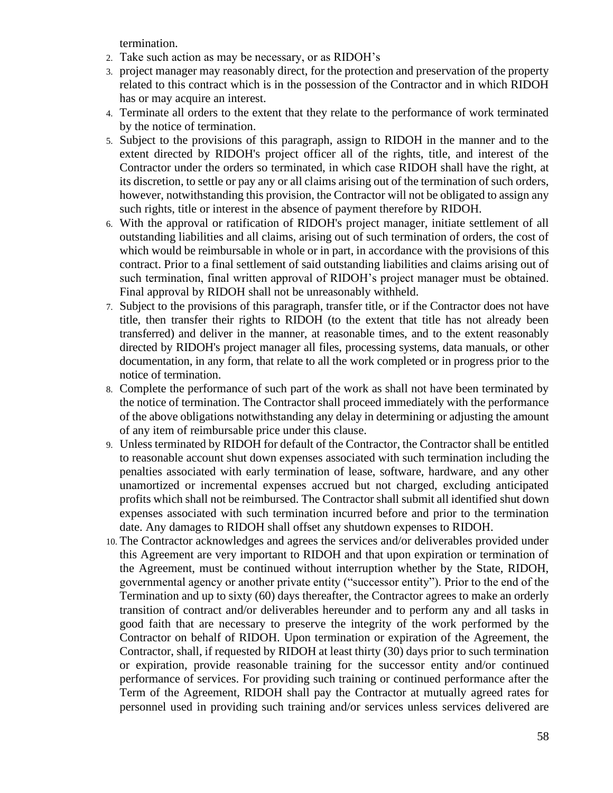termination.

- 2. Take such action as may be necessary, or as RIDOH's
- 3. project manager may reasonably direct, for the protection and preservation of the property related to this contract which is in the possession of the Contractor and in which RIDOH has or may acquire an interest.
- 4. Terminate all orders to the extent that they relate to the performance of work terminated by the notice of termination.
- 5. Subject to the provisions of this paragraph, assign to RIDOH in the manner and to the extent directed by RIDOH's project officer all of the rights, title, and interest of the Contractor under the orders so terminated, in which case RIDOH shall have the right, at its discretion, to settle or pay any or all claims arising out of the termination of such orders, however, notwithstanding this provision, the Contractor will not be obligated to assign any such rights, title or interest in the absence of payment therefore by RIDOH.
- 6. With the approval or ratification of RIDOH's project manager, initiate settlement of all outstanding liabilities and all claims, arising out of such termination of orders, the cost of which would be reimbursable in whole or in part, in accordance with the provisions of this contract. Prior to a final settlement of said outstanding liabilities and claims arising out of such termination, final written approval of RIDOH's project manager must be obtained. Final approval by RIDOH shall not be unreasonably withheld.
- 7. Subject to the provisions of this paragraph, transfer title, or if the Contractor does not have title, then transfer their rights to RIDOH (to the extent that title has not already been transferred) and deliver in the manner, at reasonable times, and to the extent reasonably directed by RIDOH's project manager all files, processing systems, data manuals, or other documentation, in any form, that relate to all the work completed or in progress prior to the notice of termination.
- 8. Complete the performance of such part of the work as shall not have been terminated by the notice of termination. The Contractor shall proceed immediately with the performance of the above obligations notwithstanding any delay in determining or adjusting the amount of any item of reimbursable price under this clause.
- 9. Unless terminated by RIDOH for default of the Contractor, the Contractor shall be entitled to reasonable account shut down expenses associated with such termination including the penalties associated with early termination of lease, software, hardware, and any other unamortized or incremental expenses accrued but not charged, excluding anticipated profits which shall not be reimbursed. The Contractor shall submit all identified shut down expenses associated with such termination incurred before and prior to the termination date. Any damages to RIDOH shall offset any shutdown expenses to RIDOH.
- 10. The Contractor acknowledges and agrees the services and/or deliverables provided under this Agreement are very important to RIDOH and that upon expiration or termination of the Agreement, must be continued without interruption whether by the State, RIDOH, governmental agency or another private entity ("successor entity"). Prior to the end of the Termination and up to sixty (60) days thereafter, the Contractor agrees to make an orderly transition of contract and/or deliverables hereunder and to perform any and all tasks in good faith that are necessary to preserve the integrity of the work performed by the Contractor on behalf of RIDOH. Upon termination or expiration of the Agreement, the Contractor, shall, if requested by RIDOH at least thirty (30) days prior to such termination or expiration, provide reasonable training for the successor entity and/or continued performance of services. For providing such training or continued performance after the Term of the Agreement, RIDOH shall pay the Contractor at mutually agreed rates for personnel used in providing such training and/or services unless services delivered are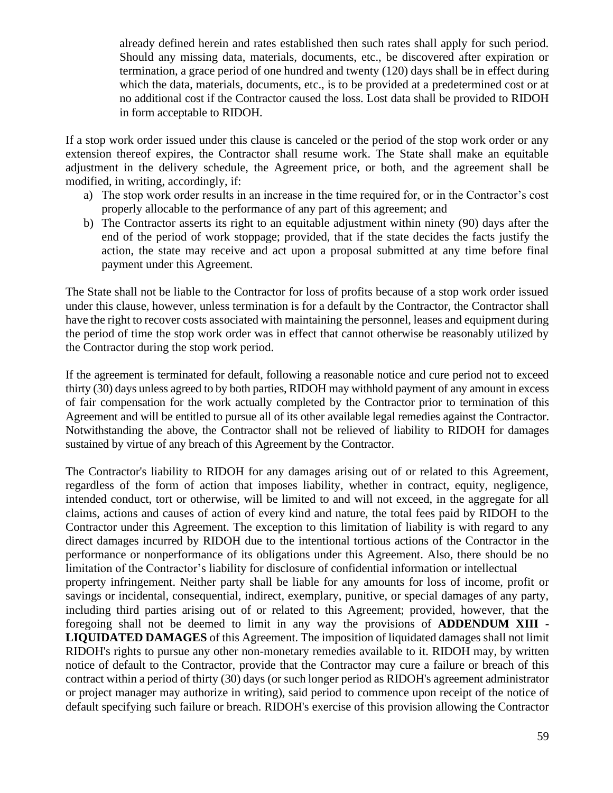already defined herein and rates established then such rates shall apply for such period. Should any missing data, materials, documents, etc., be discovered after expiration or termination, a grace period of one hundred and twenty (120) days shall be in effect during which the data, materials, documents, etc., is to be provided at a predetermined cost or at no additional cost if the Contractor caused the loss. Lost data shall be provided to RIDOH in form acceptable to RIDOH.

If a stop work order issued under this clause is canceled or the period of the stop work order or any extension thereof expires, the Contractor shall resume work. The State shall make an equitable adjustment in the delivery schedule, the Agreement price, or both, and the agreement shall be modified, in writing, accordingly, if:

- a) The stop work order results in an increase in the time required for, or in the Contractor's cost properly allocable to the performance of any part of this agreement; and
- b) The Contractor asserts its right to an equitable adjustment within ninety (90) days after the end of the period of work stoppage; provided, that if the state decides the facts justify the action, the state may receive and act upon a proposal submitted at any time before final payment under this Agreement.

The State shall not be liable to the Contractor for loss of profits because of a stop work order issued under this clause, however, unless termination is for a default by the Contractor, the Contractor shall have the right to recover costs associated with maintaining the personnel, leases and equipment during the period of time the stop work order was in effect that cannot otherwise be reasonably utilized by the Contractor during the stop work period.

If the agreement is terminated for default, following a reasonable notice and cure period not to exceed thirty (30) days unless agreed to by both parties, RIDOH may withhold payment of any amount in excess of fair compensation for the work actually completed by the Contractor prior to termination of this Agreement and will be entitled to pursue all of its other available legal remedies against the Contractor. Notwithstanding the above, the Contractor shall not be relieved of liability to RIDOH for damages sustained by virtue of any breach of this Agreement by the Contractor.

The Contractor's liability to RIDOH for any damages arising out of or related to this Agreement, regardless of the form of action that imposes liability, whether in contract, equity, negligence, intended conduct, tort or otherwise, will be limited to and will not exceed, in the aggregate for all claims, actions and causes of action of every kind and nature, the total fees paid by RIDOH to the Contractor under this Agreement. The exception to this limitation of liability is with regard to any direct damages incurred by RIDOH due to the intentional tortious actions of the Contractor in the performance or nonperformance of its obligations under this Agreement. Also, there should be no limitation of the Contractor's liability for disclosure of confidential information or intellectual property infringement. Neither party shall be liable for any amounts for loss of income, profit or savings or incidental, consequential, indirect, exemplary, punitive, or special damages of any party, including third parties arising out of or related to this Agreement; provided, however, that the foregoing shall not be deemed to limit in any way the provisions of **ADDENDUM XIII - LIQUIDATED DAMAGES** of this Agreement. The imposition of liquidated damages shall not limit RIDOH's rights to pursue any other non-monetary remedies available to it. RIDOH may, by written notice of default to the Contractor, provide that the Contractor may cure a failure or breach of this contract within a period of thirty (30) days (or such longer period as RIDOH's agreement administrator or project manager may authorize in writing), said period to commence upon receipt of the notice of default specifying such failure or breach. RIDOH's exercise of this provision allowing the Contractor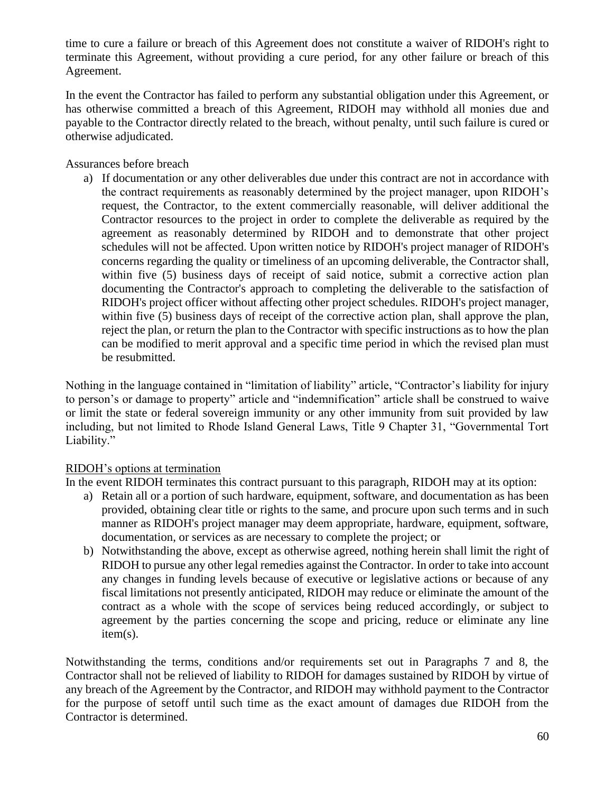time to cure a failure or breach of this Agreement does not constitute a waiver of RIDOH's right to terminate this Agreement, without providing a cure period, for any other failure or breach of this Agreement.

In the event the Contractor has failed to perform any substantial obligation under this Agreement, or has otherwise committed a breach of this Agreement, RIDOH may withhold all monies due and payable to the Contractor directly related to the breach, without penalty, until such failure is cured or otherwise adjudicated.

Assurances before breach

a) If documentation or any other deliverables due under this contract are not in accordance with the contract requirements as reasonably determined by the project manager, upon RIDOH's request, the Contractor, to the extent commercially reasonable, will deliver additional the Contractor resources to the project in order to complete the deliverable as required by the agreement as reasonably determined by RIDOH and to demonstrate that other project schedules will not be affected. Upon written notice by RIDOH's project manager of RIDOH's concerns regarding the quality or timeliness of an upcoming deliverable, the Contractor shall, within five (5) business days of receipt of said notice, submit a corrective action plan documenting the Contractor's approach to completing the deliverable to the satisfaction of RIDOH's project officer without affecting other project schedules. RIDOH's project manager, within five (5) business days of receipt of the corrective action plan, shall approve the plan, reject the plan, or return the plan to the Contractor with specific instructions as to how the plan can be modified to merit approval and a specific time period in which the revised plan must be resubmitted.

Nothing in the language contained in "limitation of liability" article, "Contractor's liability for injury to person's or damage to property" article and "indemnification" article shall be construed to waive or limit the state or federal sovereign immunity or any other immunity from suit provided by law including, but not limited to Rhode Island General Laws, Title 9 Chapter 31, "Governmental Tort Liability."

## RIDOH's options at termination

In the event RIDOH terminates this contract pursuant to this paragraph, RIDOH may at its option:

- a) Retain all or a portion of such hardware, equipment, software, and documentation as has been provided, obtaining clear title or rights to the same, and procure upon such terms and in such manner as RIDOH's project manager may deem appropriate, hardware, equipment, software, documentation, or services as are necessary to complete the project; or
- b) Notwithstanding the above, except as otherwise agreed, nothing herein shall limit the right of RIDOH to pursue any other legal remedies against the Contractor. In order to take into account any changes in funding levels because of executive or legislative actions or because of any fiscal limitations not presently anticipated, RIDOH may reduce or eliminate the amount of the contract as a whole with the scope of services being reduced accordingly, or subject to agreement by the parties concerning the scope and pricing, reduce or eliminate any line item(s).

Notwithstanding the terms, conditions and/or requirements set out in Paragraphs 7 and 8, the Contractor shall not be relieved of liability to RIDOH for damages sustained by RIDOH by virtue of any breach of the Agreement by the Contractor, and RIDOH may withhold payment to the Contractor for the purpose of setoff until such time as the exact amount of damages due RIDOH from the Contractor is determined.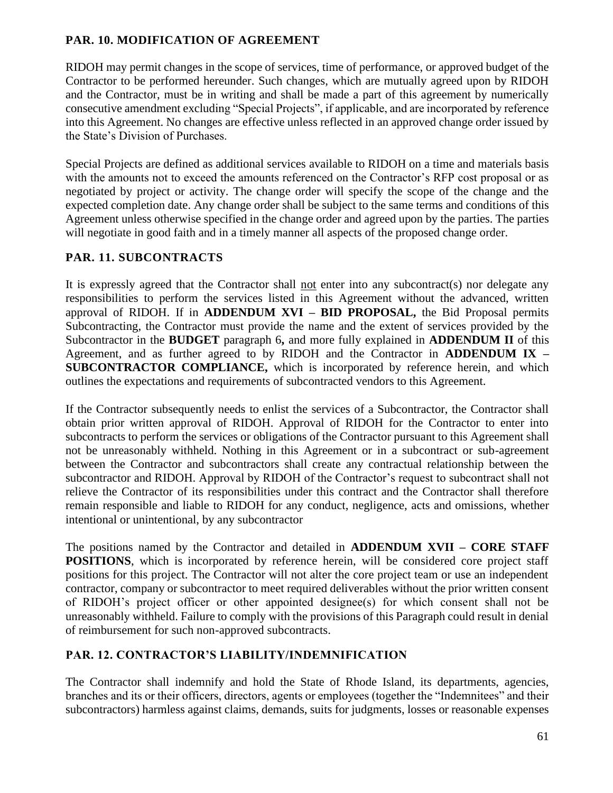## **PAR. 10. MODIFICATION OF AGREEMENT**

RIDOH may permit changes in the scope of services, time of performance, or approved budget of the Contractor to be performed hereunder. Such changes, which are mutually agreed upon by RIDOH and the Contractor, must be in writing and shall be made a part of this agreement by numerically consecutive amendment excluding "Special Projects", if applicable, and are incorporated by reference into this Agreement. No changes are effective unless reflected in an approved change order issued by the State's Division of Purchases.

Special Projects are defined as additional services available to RIDOH on a time and materials basis with the amounts not to exceed the amounts referenced on the Contractor's RFP cost proposal or as negotiated by project or activity. The change order will specify the scope of the change and the expected completion date. Any change order shall be subject to the same terms and conditions of this Agreement unless otherwise specified in the change order and agreed upon by the parties. The parties will negotiate in good faith and in a timely manner all aspects of the proposed change order.

## **PAR. 11. SUBCONTRACTS**

It is expressly agreed that the Contractor shall not enter into any subcontract(s) nor delegate any responsibilities to perform the services listed in this Agreement without the advanced, written approval of RIDOH. If in **ADDENDUM XVI – BID PROPOSAL,** the Bid Proposal permits Subcontracting, the Contractor must provide the name and the extent of services provided by the Subcontractor in the **BUDGET** paragraph 6**,** and more fully explained in **ADDENDUM II** of this Agreement, and as further agreed to by RIDOH and the Contractor in **ADDENDUM IX – SUBCONTRACTOR COMPLIANCE,** which is incorporated by reference herein, and which outlines the expectations and requirements of subcontracted vendors to this Agreement.

If the Contractor subsequently needs to enlist the services of a Subcontractor, the Contractor shall obtain prior written approval of RIDOH. Approval of RIDOH for the Contractor to enter into subcontracts to perform the services or obligations of the Contractor pursuant to this Agreement shall not be unreasonably withheld. Nothing in this Agreement or in a subcontract or sub-agreement between the Contractor and subcontractors shall create any contractual relationship between the subcontractor and RIDOH. Approval by RIDOH of the Contractor's request to subcontract shall not relieve the Contractor of its responsibilities under this contract and the Contractor shall therefore remain responsible and liable to RIDOH for any conduct, negligence, acts and omissions, whether intentional or unintentional, by any subcontractor

The positions named by the Contractor and detailed in **ADDENDUM XVII – CORE STAFF POSITIONS**, which is incorporated by reference herein, will be considered core project staff positions for this project. The Contractor will not alter the core project team or use an independent contractor, company or subcontractor to meet required deliverables without the prior written consent of RIDOH's project officer or other appointed designee(s) for which consent shall not be unreasonably withheld. Failure to comply with the provisions of this Paragraph could result in denial of reimbursement for such non-approved subcontracts.

## **PAR. 12. CONTRACTOR'S LIABILITY/INDEMNIFICATION**

The Contractor shall indemnify and hold the State of Rhode Island, its departments, agencies, branches and its or their officers, directors, agents or employees (together the "Indemnitees" and their subcontractors) harmless against claims, demands, suits for judgments, losses or reasonable expenses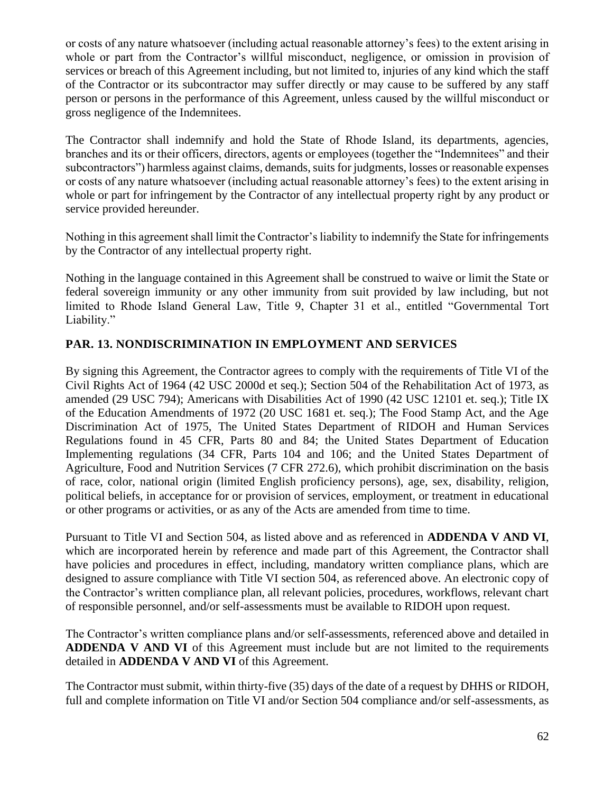or costs of any nature whatsoever (including actual reasonable attorney's fees) to the extent arising in whole or part from the Contractor's willful misconduct, negligence, or omission in provision of services or breach of this Agreement including, but not limited to, injuries of any kind which the staff of the Contractor or its subcontractor may suffer directly or may cause to be suffered by any staff person or persons in the performance of this Agreement, unless caused by the willful misconduct or gross negligence of the Indemnitees.

The Contractor shall indemnify and hold the State of Rhode Island, its departments, agencies, branches and its or their officers, directors, agents or employees (together the "Indemnitees" and their subcontractors") harmless against claims, demands, suits for judgments, losses or reasonable expenses or costs of any nature whatsoever (including actual reasonable attorney's fees) to the extent arising in whole or part for infringement by the Contractor of any intellectual property right by any product or service provided hereunder.

Nothing in this agreement shall limit the Contractor's liability to indemnify the State for infringements by the Contractor of any intellectual property right.

Nothing in the language contained in this Agreement shall be construed to waive or limit the State or federal sovereign immunity or any other immunity from suit provided by law including, but not limited to Rhode Island General Law, Title 9, Chapter 31 et al., entitled "Governmental Tort Liability."

## **PAR. 13. NONDISCRIMINATION IN EMPLOYMENT AND SERVICES**

By signing this Agreement, the Contractor agrees to comply with the requirements of Title VI of the Civil Rights Act of 1964 (42 USC 2000d et seq.); Section 504 of the Rehabilitation Act of 1973, as amended (29 USC 794); Americans with Disabilities Act of 1990 (42 USC 12101 et. seq.); Title IX of the Education Amendments of 1972 (20 USC 1681 et. seq.); The Food Stamp Act, and the Age Discrimination Act of 1975, The United States Department of RIDOH and Human Services Regulations found in 45 CFR, Parts 80 and 84; the United States Department of Education Implementing regulations (34 CFR, Parts 104 and 106; and the United States Department of Agriculture, Food and Nutrition Services (7 CFR 272.6), which prohibit discrimination on the basis of race, color, national origin (limited English proficiency persons), age, sex, disability, religion, political beliefs, in acceptance for or provision of services, employment, or treatment in educational or other programs or activities, or as any of the Acts are amended from time to time.

Pursuant to Title VI and Section 504, as listed above and as referenced in **ADDENDA V AND VI**, which are incorporated herein by reference and made part of this Agreement, the Contractor shall have policies and procedures in effect, including, mandatory written compliance plans, which are designed to assure compliance with Title VI section 504, as referenced above. An electronic copy of the Contractor's written compliance plan, all relevant policies, procedures, workflows, relevant chart of responsible personnel, and/or self-assessments must be available to RIDOH upon request.

The Contractor's written compliance plans and/or self-assessments, referenced above and detailed in **ADDENDA V AND VI** of this Agreement must include but are not limited to the requirements detailed in **ADDENDA V AND VI** of this Agreement.

The Contractor must submit, within thirty-five (35) days of the date of a request by DHHS or RIDOH, full and complete information on Title VI and/or Section 504 compliance and/or self-assessments, as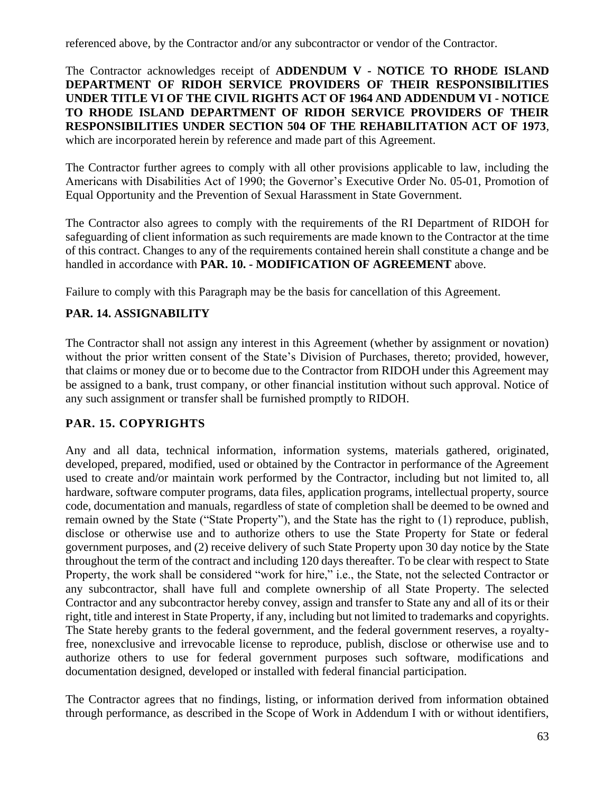referenced above, by the Contractor and/or any subcontractor or vendor of the Contractor.

The Contractor acknowledges receipt of **ADDENDUM V - NOTICE TO RHODE ISLAND DEPARTMENT OF RIDOH SERVICE PROVIDERS OF THEIR RESPONSIBILITIES UNDER TITLE VI OF THE CIVIL RIGHTS ACT OF 1964 AND ADDENDUM VI - NOTICE TO RHODE ISLAND DEPARTMENT OF RIDOH SERVICE PROVIDERS OF THEIR RESPONSIBILITIES UNDER SECTION 504 OF THE REHABILITATION ACT OF 1973**, which are incorporated herein by reference and made part of this Agreement.

The Contractor further agrees to comply with all other provisions applicable to law, including the Americans with Disabilities Act of 1990; the Governor's Executive Order No. 05-01, Promotion of Equal Opportunity and the Prevention of Sexual Harassment in State Government.

The Contractor also agrees to comply with the requirements of the RI Department of RIDOH for safeguarding of client information as such requirements are made known to the Contractor at the time of this contract. Changes to any of the requirements contained herein shall constitute a change and be handled in accordance with **PAR. 10. - MODIFICATION OF AGREEMENT** above.

Failure to comply with this Paragraph may be the basis for cancellation of this Agreement.

## **PAR. 14. ASSIGNABILITY**

The Contractor shall not assign any interest in this Agreement (whether by assignment or novation) without the prior written consent of the State's Division of Purchases, thereto; provided, however, that claims or money due or to become due to the Contractor from RIDOH under this Agreement may be assigned to a bank, trust company, or other financial institution without such approval. Notice of any such assignment or transfer shall be furnished promptly to RIDOH.

## **PAR. 15. COPYRIGHTS**

Any and all data, technical information, information systems, materials gathered, originated, developed, prepared, modified, used or obtained by the Contractor in performance of the Agreement used to create and/or maintain work performed by the Contractor, including but not limited to, all hardware, software computer programs, data files, application programs, intellectual property, source code, documentation and manuals, regardless of state of completion shall be deemed to be owned and remain owned by the State ("State Property"), and the State has the right to (1) reproduce, publish, disclose or otherwise use and to authorize others to use the State Property for State or federal government purposes, and (2) receive delivery of such State Property upon 30 day notice by the State throughout the term of the contract and including 120 days thereafter. To be clear with respect to State Property, the work shall be considered "work for hire," i.e., the State, not the selected Contractor or any subcontractor, shall have full and complete ownership of all State Property. The selected Contractor and any subcontractor hereby convey, assign and transfer to State any and all of its or their right, title and interest in State Property, if any, including but not limited to trademarks and copyrights. The State hereby grants to the federal government, and the federal government reserves, a royaltyfree, nonexclusive and irrevocable license to reproduce, publish, disclose or otherwise use and to authorize others to use for federal government purposes such software, modifications and documentation designed, developed or installed with federal financial participation.

The Contractor agrees that no findings, listing, or information derived from information obtained through performance, as described in the Scope of Work in Addendum I with or without identifiers,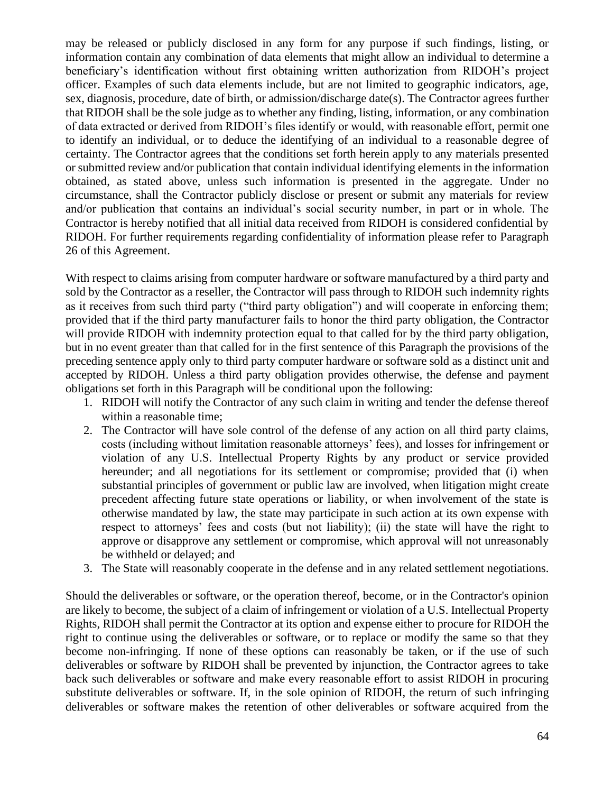may be released or publicly disclosed in any form for any purpose if such findings, listing, or information contain any combination of data elements that might allow an individual to determine a beneficiary's identification without first obtaining written authorization from RIDOH's project officer. Examples of such data elements include, but are not limited to geographic indicators, age, sex, diagnosis, procedure, date of birth, or admission/discharge date(s). The Contractor agrees further that RIDOH shall be the sole judge as to whether any finding, listing, information, or any combination of data extracted or derived from RIDOH's files identify or would, with reasonable effort, permit one to identify an individual, or to deduce the identifying of an individual to a reasonable degree of certainty. The Contractor agrees that the conditions set forth herein apply to any materials presented or submitted review and/or publication that contain individual identifying elements in the information obtained, as stated above, unless such information is presented in the aggregate. Under no circumstance, shall the Contractor publicly disclose or present or submit any materials for review and/or publication that contains an individual's social security number, in part or in whole. The Contractor is hereby notified that all initial data received from RIDOH is considered confidential by RIDOH. For further requirements regarding confidentiality of information please refer to Paragraph 26 of this Agreement.

With respect to claims arising from computer hardware or software manufactured by a third party and sold by the Contractor as a reseller, the Contractor will pass through to RIDOH such indemnity rights as it receives from such third party ("third party obligation") and will cooperate in enforcing them; provided that if the third party manufacturer fails to honor the third party obligation, the Contractor will provide RIDOH with indemnity protection equal to that called for by the third party obligation, but in no event greater than that called for in the first sentence of this Paragraph the provisions of the preceding sentence apply only to third party computer hardware or software sold as a distinct unit and accepted by RIDOH. Unless a third party obligation provides otherwise, the defense and payment obligations set forth in this Paragraph will be conditional upon the following:

- 1. RIDOH will notify the Contractor of any such claim in writing and tender the defense thereof within a reasonable time;
- 2. The Contractor will have sole control of the defense of any action on all third party claims, costs (including without limitation reasonable attorneys' fees), and losses for infringement or violation of any U.S. Intellectual Property Rights by any product or service provided hereunder; and all negotiations for its settlement or compromise; provided that (i) when substantial principles of government or public law are involved, when litigation might create precedent affecting future state operations or liability, or when involvement of the state is otherwise mandated by law, the state may participate in such action at its own expense with respect to attorneys' fees and costs (but not liability); (ii) the state will have the right to approve or disapprove any settlement or compromise, which approval will not unreasonably be withheld or delayed; and
- 3. The State will reasonably cooperate in the defense and in any related settlement negotiations.

Should the deliverables or software, or the operation thereof, become, or in the Contractor's opinion are likely to become, the subject of a claim of infringement or violation of a U.S. Intellectual Property Rights, RIDOH shall permit the Contractor at its option and expense either to procure for RIDOH the right to continue using the deliverables or software, or to replace or modify the same so that they become non-infringing. If none of these options can reasonably be taken, or if the use of such deliverables or software by RIDOH shall be prevented by injunction, the Contractor agrees to take back such deliverables or software and make every reasonable effort to assist RIDOH in procuring substitute deliverables or software. If, in the sole opinion of RIDOH, the return of such infringing deliverables or software makes the retention of other deliverables or software acquired from the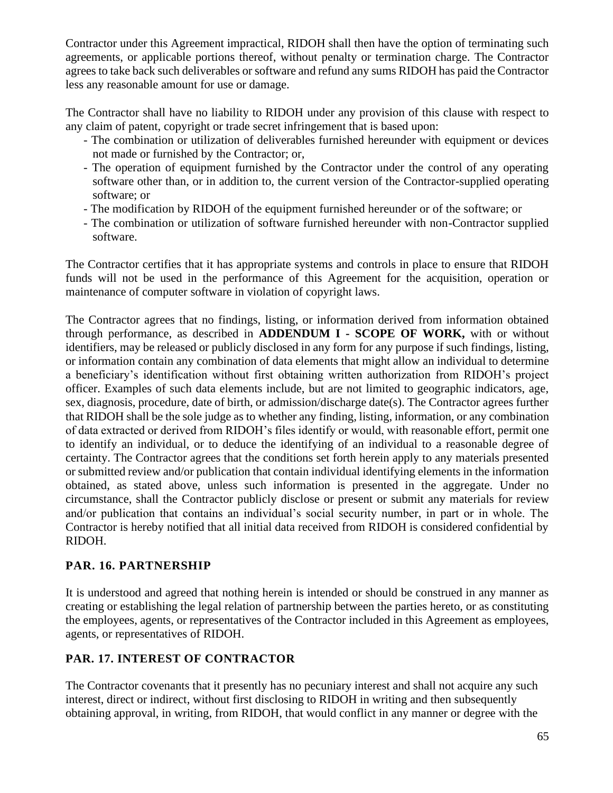Contractor under this Agreement impractical, RIDOH shall then have the option of terminating such agreements, or applicable portions thereof, without penalty or termination charge. The Contractor agrees to take back such deliverables or software and refund any sums RIDOH has paid the Contractor less any reasonable amount for use or damage.

The Contractor shall have no liability to RIDOH under any provision of this clause with respect to any claim of patent, copyright or trade secret infringement that is based upon:

- The combination or utilization of deliverables furnished hereunder with equipment or devices not made or furnished by the Contractor; or,
- The operation of equipment furnished by the Contractor under the control of any operating software other than, or in addition to, the current version of the Contractor-supplied operating software; or
- The modification by RIDOH of the equipment furnished hereunder or of the software; or
- The combination or utilization of software furnished hereunder with non-Contractor supplied software.

The Contractor certifies that it has appropriate systems and controls in place to ensure that RIDOH funds will not be used in the performance of this Agreement for the acquisition, operation or maintenance of computer software in violation of copyright laws.

The Contractor agrees that no findings, listing, or information derived from information obtained through performance, as described in **ADDENDUM I - SCOPE OF WORK,** with or without identifiers, may be released or publicly disclosed in any form for any purpose if such findings, listing, or information contain any combination of data elements that might allow an individual to determine a beneficiary's identification without first obtaining written authorization from RIDOH's project officer. Examples of such data elements include, but are not limited to geographic indicators, age, sex, diagnosis, procedure, date of birth, or admission/discharge date(s). The Contractor agrees further that RIDOH shall be the sole judge as to whether any finding, listing, information, or any combination of data extracted or derived from RIDOH's files identify or would, with reasonable effort, permit one to identify an individual, or to deduce the identifying of an individual to a reasonable degree of certainty. The Contractor agrees that the conditions set forth herein apply to any materials presented or submitted review and/or publication that contain individual identifying elements in the information obtained, as stated above, unless such information is presented in the aggregate. Under no circumstance, shall the Contractor publicly disclose or present or submit any materials for review and/or publication that contains an individual's social security number, in part or in whole. The Contractor is hereby notified that all initial data received from RIDOH is considered confidential by RIDOH.

## **PAR. 16. PARTNERSHIP**

It is understood and agreed that nothing herein is intended or should be construed in any manner as creating or establishing the legal relation of partnership between the parties hereto, or as constituting the employees, agents, or representatives of the Contractor included in this Agreement as employees, agents, or representatives of RIDOH.

## **PAR. 17. INTEREST OF CONTRACTOR**

The Contractor covenants that it presently has no pecuniary interest and shall not acquire any such interest, direct or indirect, without first disclosing to RIDOH in writing and then subsequently obtaining approval, in writing, from RIDOH, that would conflict in any manner or degree with the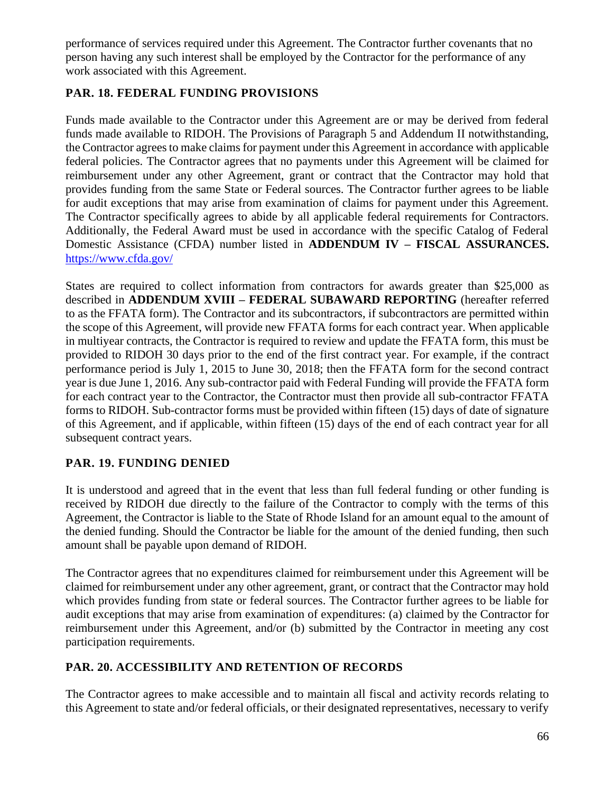performance of services required under this Agreement. The Contractor further covenants that no person having any such interest shall be employed by the Contractor for the performance of any work associated with this Agreement.

## **PAR. 18. FEDERAL FUNDING PROVISIONS**

Funds made available to the Contractor under this Agreement are or may be derived from federal funds made available to RIDOH. The Provisions of Paragraph 5 and Addendum II notwithstanding, the Contractor agrees to make claims for payment under this Agreement in accordance with applicable federal policies. The Contractor agrees that no payments under this Agreement will be claimed for reimbursement under any other Agreement, grant or contract that the Contractor may hold that provides funding from the same State or Federal sources. The Contractor further agrees to be liable for audit exceptions that may arise from examination of claims for payment under this Agreement. The Contractor specifically agrees to abide by all applicable federal requirements for Contractors. Additionally, the Federal Award must be used in accordance with the specific Catalog of Federal Domestic Assistance (CFDA) number listed in **ADDENDUM IV – FISCAL ASSURANCES.**  https://www.cfda.gov/

States are required to collect information from contractors for awards greater than \$25,000 as described in **ADDENDUM XVIII – FEDERAL SUBAWARD REPORTING** (hereafter referred to as the FFATA form). The Contractor and its subcontractors, if subcontractors are permitted within the scope of this Agreement, will provide new FFATA forms for each contract year. When applicable in multiyear contracts, the Contractor is required to review and update the FFATA form, this must be provided to RIDOH 30 days prior to the end of the first contract year. For example, if the contract performance period is July 1, 2015 to June 30, 2018; then the FFATA form for the second contract year is due June 1, 2016. Any sub-contractor paid with Federal Funding will provide the FFATA form for each contract year to the Contractor, the Contractor must then provide all sub-contractor FFATA forms to RIDOH. Sub-contractor forms must be provided within fifteen (15) days of date of signature of this Agreement, and if applicable, within fifteen (15) days of the end of each contract year for all subsequent contract years.

## **PAR. 19. FUNDING DENIED**

It is understood and agreed that in the event that less than full federal funding or other funding is received by RIDOH due directly to the failure of the Contractor to comply with the terms of this Agreement, the Contractor is liable to the State of Rhode Island for an amount equal to the amount of the denied funding. Should the Contractor be liable for the amount of the denied funding, then such amount shall be payable upon demand of RIDOH.

The Contractor agrees that no expenditures claimed for reimbursement under this Agreement will be claimed for reimbursement under any other agreement, grant, or contract that the Contractor may hold which provides funding from state or federal sources. The Contractor further agrees to be liable for audit exceptions that may arise from examination of expenditures: (a) claimed by the Contractor for reimbursement under this Agreement, and/or (b) submitted by the Contractor in meeting any cost participation requirements.

## **PAR. 20. ACCESSIBILITY AND RETENTION OF RECORDS**

The Contractor agrees to make accessible and to maintain all fiscal and activity records relating to this Agreement to state and/or federal officials, or their designated representatives, necessary to verify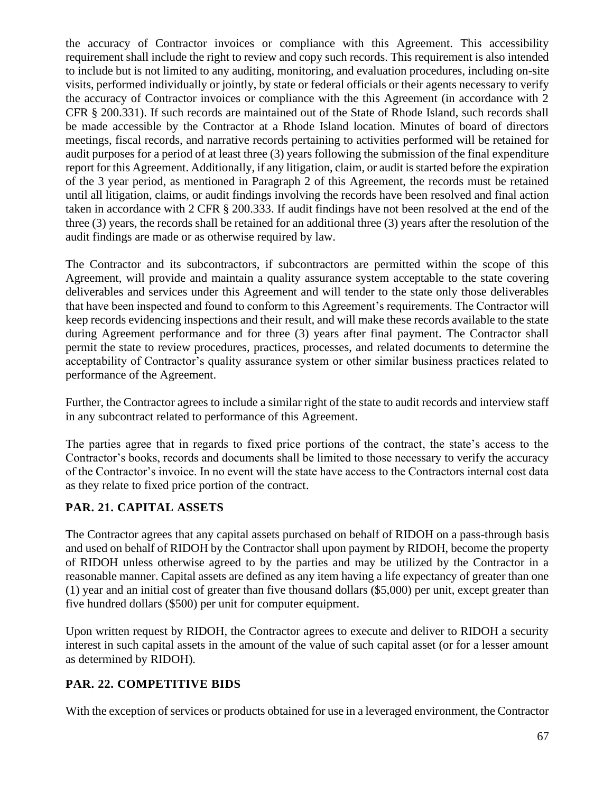the accuracy of Contractor invoices or compliance with this Agreement. This accessibility requirement shall include the right to review and copy such records. This requirement is also intended to include but is not limited to any auditing, monitoring, and evaluation procedures, including on-site visits, performed individually or jointly, by state or federal officials or their agents necessary to verify the accuracy of Contractor invoices or compliance with the this Agreement (in accordance with 2 CFR § 200.331). If such records are maintained out of the State of Rhode Island, such records shall be made accessible by the Contractor at a Rhode Island location. Minutes of board of directors meetings, fiscal records, and narrative records pertaining to activities performed will be retained for audit purposes for a period of at least three (3) years following the submission of the final expenditure report for this Agreement. Additionally, if any litigation, claim, or audit is started before the expiration of the 3 year period, as mentioned in Paragraph 2 of this Agreement, the records must be retained until all litigation, claims, or audit findings involving the records have been resolved and final action taken in accordance with 2 CFR § 200.333. If audit findings have not been resolved at the end of the three (3) years, the records shall be retained for an additional three (3) years after the resolution of the audit findings are made or as otherwise required by law.

The Contractor and its subcontractors, if subcontractors are permitted within the scope of this Agreement, will provide and maintain a quality assurance system acceptable to the state covering deliverables and services under this Agreement and will tender to the state only those deliverables that have been inspected and found to conform to this Agreement's requirements. The Contractor will keep records evidencing inspections and their result, and will make these records available to the state during Agreement performance and for three (3) years after final payment. The Contractor shall permit the state to review procedures, practices, processes, and related documents to determine the acceptability of Contractor's quality assurance system or other similar business practices related to performance of the Agreement.

Further, the Contractor agrees to include a similar right of the state to audit records and interview staff in any subcontract related to performance of this Agreement.

The parties agree that in regards to fixed price portions of the contract, the state's access to the Contractor's books, records and documents shall be limited to those necessary to verify the accuracy of the Contractor's invoice. In no event will the state have access to the Contractors internal cost data as they relate to fixed price portion of the contract.

## **PAR. 21. CAPITAL ASSETS**

The Contractor agrees that any capital assets purchased on behalf of RIDOH on a pass-through basis and used on behalf of RIDOH by the Contractor shall upon payment by RIDOH, become the property of RIDOH unless otherwise agreed to by the parties and may be utilized by the Contractor in a reasonable manner. Capital assets are defined as any item having a life expectancy of greater than one (1) year and an initial cost of greater than five thousand dollars (\$5,000) per unit, except greater than five hundred dollars (\$500) per unit for computer equipment.

Upon written request by RIDOH, the Contractor agrees to execute and deliver to RIDOH a security interest in such capital assets in the amount of the value of such capital asset (or for a lesser amount as determined by RIDOH).

## **PAR. 22. COMPETITIVE BIDS**

With the exception of services or products obtained for use in a leveraged environment, the Contractor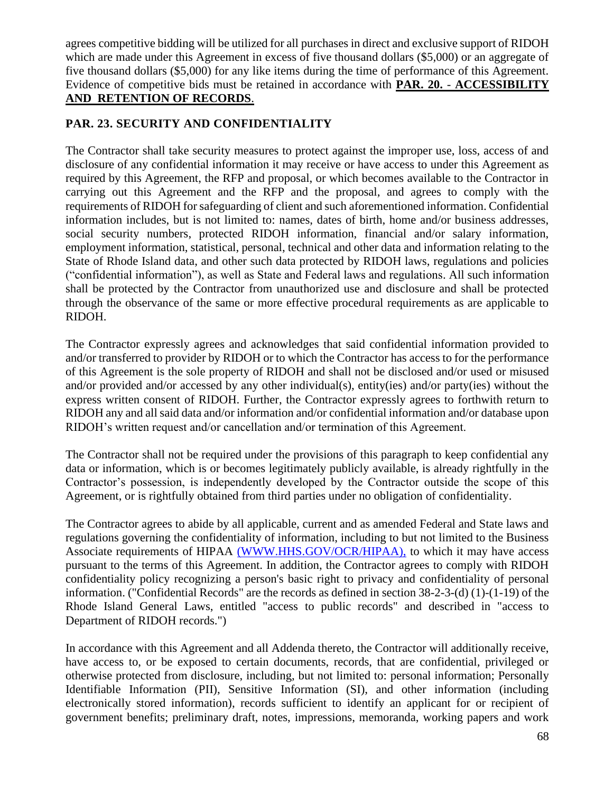agrees competitive bidding will be utilized for all purchases in direct and exclusive support of RIDOH which are made under this Agreement in excess of five thousand dollars (\$5,000) or an aggregate of five thousand dollars (\$5,000) for any like items during the time of performance of this Agreement. Evidence of competitive bids must be retained in accordance with **PAR. 20.** - **ACCESSIBILITY AND RETENTION OF RECORDS**.

## **PAR. 23. SECURITY AND CONFIDENTIALITY**

The Contractor shall take security measures to protect against the improper use, loss, access of and disclosure of any confidential information it may receive or have access to under this Agreement as required by this Agreement, the RFP and proposal, or which becomes available to the Contractor in carrying out this Agreement and the RFP and the proposal, and agrees to comply with the requirements of RIDOH for safeguarding of client and such aforementioned information. Confidential information includes, but is not limited to: names, dates of birth, home and/or business addresses, social security numbers, protected RIDOH information, financial and/or salary information, employment information, statistical, personal, technical and other data and information relating to the State of Rhode Island data, and other such data protected by RIDOH laws, regulations and policies ("confidential information"), as well as State and Federal laws and regulations. All such information shall be protected by the Contractor from unauthorized use and disclosure and shall be protected through the observance of the same or more effective procedural requirements as are applicable to RIDOH.

The Contractor expressly agrees and acknowledges that said confidential information provided to and/or transferred to provider by RIDOH or to which the Contractor has access to for the performance of this Agreement is the sole property of RIDOH and shall not be disclosed and/or used or misused and/or provided and/or accessed by any other individual(s), entity(ies) and/or party(ies) without the express written consent of RIDOH. Further, the Contractor expressly agrees to forthwith return to RIDOH any and all said data and/or information and/or confidential information and/or database upon RIDOH's written request and/or cancellation and/or termination of this Agreement.

The Contractor shall not be required under the provisions of this paragraph to keep confidential any data or information, which is or becomes legitimately publicly available, is already rightfully in the Contractor's possession, is independently developed by the Contractor outside the scope of this Agreement, or is rightfully obtained from third parties under no obligation of confidentiality.

The Contractor agrees to abide by all applicable, current and as amended Federal and State laws and regulations governing the confidentiality of information, including to but not limited to the Business Associate requirements of HIPAA [\(WWW.HHS.GOV/OCR/HIPAA\),](http://www.hhs.gov/OCR/HIPAA),) to which it may have access pursuant to the terms of this Agreement. In addition, the Contractor agrees to comply with RIDOH confidentiality policy recognizing a person's basic right to privacy and confidentiality of personal information. ("Confidential Records" are the records as defined in section 38-2-3-(d) (1)-(1-19) of the Rhode Island General Laws, entitled "access to public records" and described in "access to Department of RIDOH records.")

In accordance with this Agreement and all Addenda thereto, the Contractor will additionally receive, have access to, or be exposed to certain documents, records, that are confidential, privileged or otherwise protected from disclosure, including, but not limited to: personal information; Personally Identifiable Information (PII), Sensitive Information (SI), and other information (including electronically stored information), records sufficient to identify an applicant for or recipient of government benefits; preliminary draft, notes, impressions, memoranda, working papers and work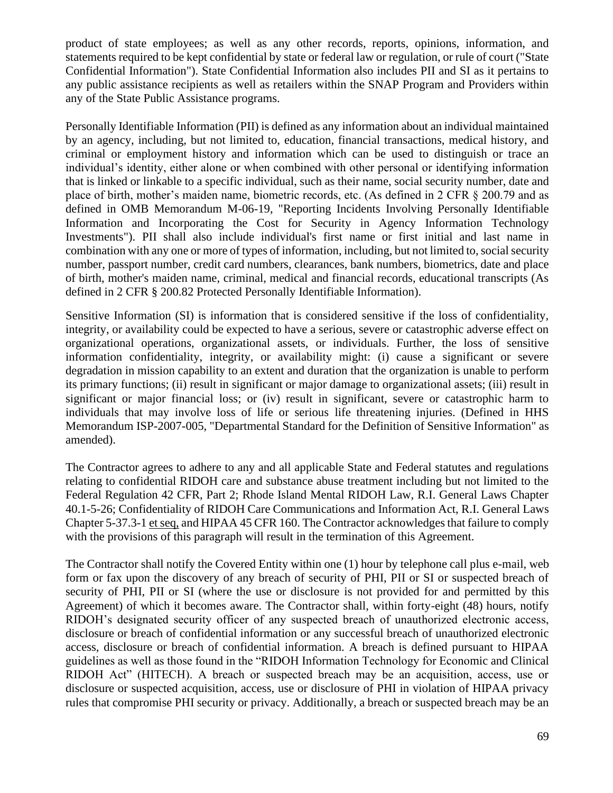product of state employees; as well as any other records, reports, opinions, information, and statements required to be kept confidential by state or federal law or regulation, or rule of court ("State Confidential Information"). State Confidential Information also includes PII and SI as it pertains to any public assistance recipients as well as retailers within the SNAP Program and Providers within any of the State Public Assistance programs.

Personally Identifiable Information (PII) is defined as any information about an individual maintained by an agency, including, but not limited to, education, financial transactions, medical history, and criminal or employment history and information which can be used to distinguish or trace an individual's identity, either alone or when combined with other personal or identifying information that is linked or linkable to a specific individual, such as their name, social security number, date and place of birth, mother's maiden name, biometric records, etc. (As defined in 2 CFR § 200.79 and as defined in OMB Memorandum M-06-19, "Reporting Incidents Involving Personally Identifiable Information and Incorporating the Cost for Security in Agency Information Technology Investments"). PII shall also include individual's first name or first initial and last name in combination with any one or more of types of information, including, but not limited to, social security number, passport number, credit card numbers, clearances, bank numbers, biometrics, date and place of birth, mother's maiden name, criminal, medical and financial records, educational transcripts (As defined in 2 CFR § 200.82 Protected Personally Identifiable Information).

Sensitive Information (SI) is information that is considered sensitive if the loss of confidentiality, integrity, or availability could be expected to have a serious, severe or catastrophic adverse effect on organizational operations, organizational assets, or individuals. Further, the loss of sensitive information confidentiality, integrity, or availability might: (i) cause a significant or severe degradation in mission capability to an extent and duration that the organization is unable to perform its primary functions; (ii) result in significant or major damage to organizational assets; (iii) result in significant or major financial loss; or (iv) result in significant, severe or catastrophic harm to individuals that may involve loss of life or serious life threatening injuries. (Defined in HHS Memorandum ISP-2007-005, "Departmental Standard for the Definition of Sensitive Information" as amended).

The Contractor agrees to adhere to any and all applicable State and Federal statutes and regulations relating to confidential RIDOH care and substance abuse treatment including but not limited to the Federal Regulation 42 CFR, Part 2; Rhode Island Mental RIDOH Law, R.I. General Laws Chapter 40.1-5-26; Confidentiality of RIDOH Care Communications and Information Act, R.I. General Laws Chapter 5-37.3-1 et seq, and HIPAA 45 CFR 160. The Contractor acknowledges that failure to comply with the provisions of this paragraph will result in the termination of this Agreement.

The Contractor shall notify the Covered Entity within one (1) hour by telephone call plus e-mail, web form or fax upon the discovery of any breach of security of PHI, PII or SI or suspected breach of security of PHI, PII or SI (where the use or disclosure is not provided for and permitted by this Agreement) of which it becomes aware. The Contractor shall, within forty-eight (48) hours, notify RIDOH's designated security officer of any suspected breach of unauthorized electronic access, disclosure or breach of confidential information or any successful breach of unauthorized electronic access, disclosure or breach of confidential information. A breach is defined pursuant to HIPAA guidelines as well as those found in the "RIDOH Information Technology for Economic and Clinical RIDOH Act" (HITECH). A breach or suspected breach may be an acquisition, access, use or disclosure or suspected acquisition, access, use or disclosure of PHI in violation of HIPAA privacy rules that compromise PHI security or privacy. Additionally, a breach or suspected breach may be an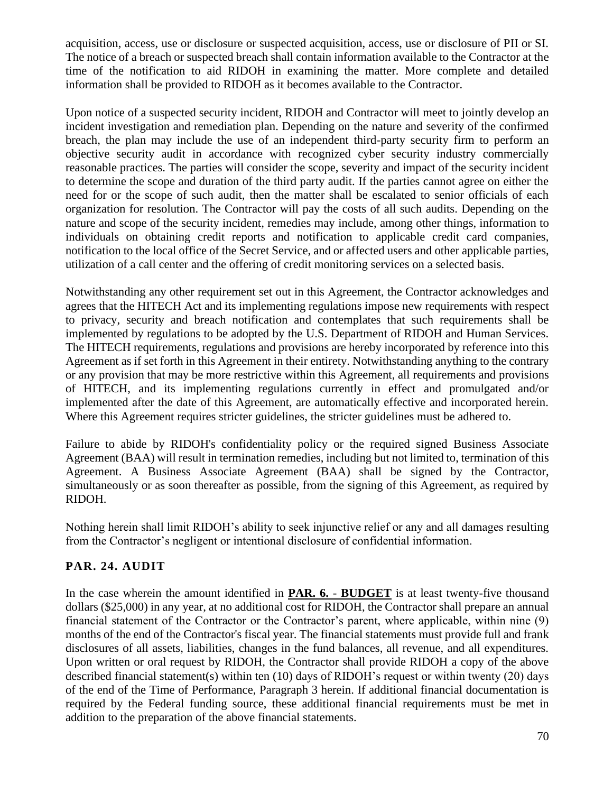acquisition, access, use or disclosure or suspected acquisition, access, use or disclosure of PII or SI. The notice of a breach or suspected breach shall contain information available to the Contractor at the time of the notification to aid RIDOH in examining the matter. More complete and detailed information shall be provided to RIDOH as it becomes available to the Contractor.

Upon notice of a suspected security incident, RIDOH and Contractor will meet to jointly develop an incident investigation and remediation plan. Depending on the nature and severity of the confirmed breach, the plan may include the use of an independent third-party security firm to perform an objective security audit in accordance with recognized cyber security industry commercially reasonable practices. The parties will consider the scope, severity and impact of the security incident to determine the scope and duration of the third party audit. If the parties cannot agree on either the need for or the scope of such audit, then the matter shall be escalated to senior officials of each organization for resolution. The Contractor will pay the costs of all such audits. Depending on the nature and scope of the security incident, remedies may include, among other things, information to individuals on obtaining credit reports and notification to applicable credit card companies, notification to the local office of the Secret Service, and or affected users and other applicable parties, utilization of a call center and the offering of credit monitoring services on a selected basis.

Notwithstanding any other requirement set out in this Agreement, the Contractor acknowledges and agrees that the HITECH Act and its implementing regulations impose new requirements with respect to privacy, security and breach notification and contemplates that such requirements shall be implemented by regulations to be adopted by the U.S. Department of RIDOH and Human Services. The HITECH requirements, regulations and provisions are hereby incorporated by reference into this Agreement as if set forth in this Agreement in their entirety. Notwithstanding anything to the contrary or any provision that may be more restrictive within this Agreement, all requirements and provisions of HITECH, and its implementing regulations currently in effect and promulgated and/or implemented after the date of this Agreement, are automatically effective and incorporated herein. Where this Agreement requires stricter guidelines, the stricter guidelines must be adhered to.

Failure to abide by RIDOH's confidentiality policy or the required signed Business Associate Agreement (BAA) will result in termination remedies, including but not limited to, termination of this Agreement. A Business Associate Agreement (BAA) shall be signed by the Contractor, simultaneously or as soon thereafter as possible, from the signing of this Agreement, as required by RIDOH.

Nothing herein shall limit RIDOH's ability to seek injunctive relief or any and all damages resulting from the Contractor's negligent or intentional disclosure of confidential information.

## **PAR. 24. AUDIT**

In the case wherein the amount identified in **PAR. 6.** - **BUDGET** is at least twenty-five thousand dollars (\$25,000) in any year, at no additional cost for RIDOH, the Contractor shall prepare an annual financial statement of the Contractor or the Contractor's parent, where applicable, within nine (9) months of the end of the Contractor's fiscal year. The financial statements must provide full and frank disclosures of all assets, liabilities, changes in the fund balances, all revenue, and all expenditures. Upon written or oral request by RIDOH, the Contractor shall provide RIDOH a copy of the above described financial statement(s) within ten (10) days of RIDOH's request or within twenty (20) days of the end of the Time of Performance, Paragraph 3 herein. If additional financial documentation is required by the Federal funding source, these additional financial requirements must be met in addition to the preparation of the above financial statements.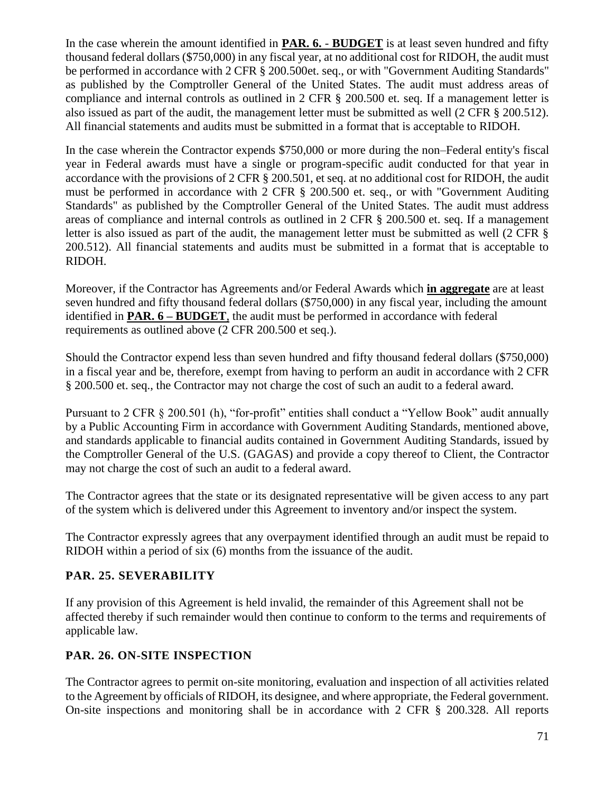In the case wherein the amount identified in **PAR. 6.** - **BUDGET** is at least seven hundred and fifty thousand federal dollars (\$750,000) in any fiscal year, at no additional cost for RIDOH, the audit must be performed in accordance with 2 CFR § 200.500et. seq., or with "Government Auditing Standards" as published by the Comptroller General of the United States. The audit must address areas of compliance and internal controls as outlined in 2 CFR § 200.500 et. seq. If a management letter is also issued as part of the audit, the management letter must be submitted as well (2 CFR § 200.512). All financial statements and audits must be submitted in a format that is acceptable to RIDOH.

In the case wherein the Contractor expends \$750,000 or more during the non–Federal entity's fiscal year in Federal awards must have a single or program-specific audit conducted for that year in accordance with the provisions of 2 CFR § 200.501, et seq. at no additional cost for RIDOH, the audit must be performed in accordance with 2 CFR § 200.500 et. seq., or with "Government Auditing Standards" as published by the Comptroller General of the United States. The audit must address areas of compliance and internal controls as outlined in 2 CFR § 200.500 et. seq. If a management letter is also issued as part of the audit, the management letter must be submitted as well (2 CFR  $\S$ ) 200.512). All financial statements and audits must be submitted in a format that is acceptable to RIDOH.

Moreover, if the Contractor has Agreements and/or Federal Awards which **in aggregate** are at least seven hundred and fifty thousand federal dollars (\$750,000) in any fiscal year, including the amount identified in **PAR. 6 – BUDGET**, the audit must be performed in accordance with federal requirements as outlined above (2 CFR 200.500 et seq.).

Should the Contractor expend less than seven hundred and fifty thousand federal dollars (\$750,000) in a fiscal year and be, therefore, exempt from having to perform an audit in accordance with 2 CFR § 200.500 et. seq., the Contractor may not charge the cost of such an audit to a federal award.

Pursuant to 2 CFR § 200.501 (h), "for-profit" entities shall conduct a "Yellow Book" audit annually by a Public Accounting Firm in accordance with Government Auditing Standards, mentioned above, and standards applicable to financial audits contained in Government Auditing Standards, issued by the Comptroller General of the U.S. (GAGAS) and provide a copy thereof to Client, the Contractor may not charge the cost of such an audit to a federal award.

The Contractor agrees that the state or its designated representative will be given access to any part of the system which is delivered under this Agreement to inventory and/or inspect the system.

The Contractor expressly agrees that any overpayment identified through an audit must be repaid to RIDOH within a period of six (6) months from the issuance of the audit.

## **PAR. 25. SEVERABILITY**

If any provision of this Agreement is held invalid, the remainder of this Agreement shall not be affected thereby if such remainder would then continue to conform to the terms and requirements of applicable law.

## **PAR. 26. ON-SITE INSPECTION**

The Contractor agrees to permit on-site monitoring, evaluation and inspection of all activities related to the Agreement by officials of RIDOH, its designee, and where appropriate, the Federal government. On-site inspections and monitoring shall be in accordance with 2 CFR § 200.328. All reports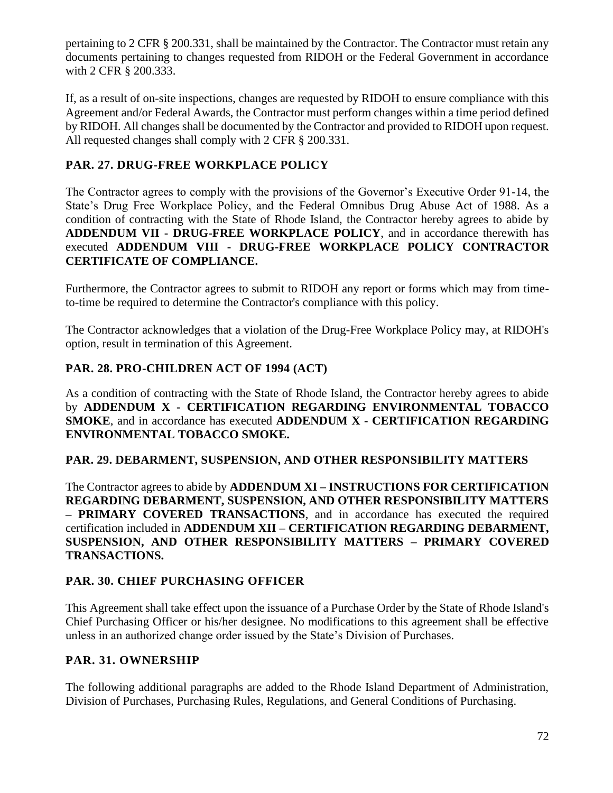pertaining to 2 CFR § 200.331, shall be maintained by the Contractor. The Contractor must retain any documents pertaining to changes requested from RIDOH or the Federal Government in accordance with 2 CFR § 200.333.

If, as a result of on-site inspections, changes are requested by RIDOH to ensure compliance with this Agreement and/or Federal Awards, the Contractor must perform changes within a time period defined by RIDOH. All changes shall be documented by the Contractor and provided to RIDOH upon request. All requested changes shall comply with 2 CFR § 200.331.

## **PAR. 27. DRUG-FREE WORKPLACE POLICY**

The Contractor agrees to comply with the provisions of the Governor's Executive Order 91-14, the State's Drug Free Workplace Policy, and the Federal Omnibus Drug Abuse Act of 1988. As a condition of contracting with the State of Rhode Island, the Contractor hereby agrees to abide by **ADDENDUM VII - DRUG-FREE WORKPLACE POLICY**, and in accordance therewith has executed **ADDENDUM VIII - DRUG-FREE WORKPLACE POLICY CONTRACTOR CERTIFICATE OF COMPLIANCE.**

Furthermore, the Contractor agrees to submit to RIDOH any report or forms which may from timeto-time be required to determine the Contractor's compliance with this policy.

The Contractor acknowledges that a violation of the Drug-Free Workplace Policy may, at RIDOH's option, result in termination of this Agreement.

## **PAR. 28. PRO-CHILDREN ACT OF 1994 (ACT)**

As a condition of contracting with the State of Rhode Island, the Contractor hereby agrees to abide by **ADDENDUM X - CERTIFICATION REGARDING ENVIRONMENTAL TOBACCO SMOKE**, and in accordance has executed **ADDENDUM X - CERTIFICATION REGARDING ENVIRONMENTAL TOBACCO SMOKE.**

## **PAR. 29. DEBARMENT, SUSPENSION, AND OTHER RESPONSIBILITY MATTERS**

The Contractor agrees to abide by **ADDENDUM XI – INSTRUCTIONS FOR CERTIFICATION REGARDING DEBARMENT, SUSPENSION, AND OTHER RESPONSIBILITY MATTERS – PRIMARY COVERED TRANSACTIONS**, and in accordance has executed the required certification included in **ADDENDUM XII – CERTIFICATION REGARDING DEBARMENT, SUSPENSION, AND OTHER RESPONSIBILITY MATTERS – PRIMARY COVERED TRANSACTIONS.**

## **PAR. 30. CHIEF PURCHASING OFFICER**

This Agreement shall take effect upon the issuance of a Purchase Order by the State of Rhode Island's Chief Purchasing Officer or his/her designee. No modifications to this agreement shall be effective unless in an authorized change order issued by the State's Division of Purchases.

## **PAR. 31. OWNERSHIP**

The following additional paragraphs are added to the Rhode Island Department of Administration, Division of Purchases, Purchasing Rules, Regulations, and General Conditions of Purchasing.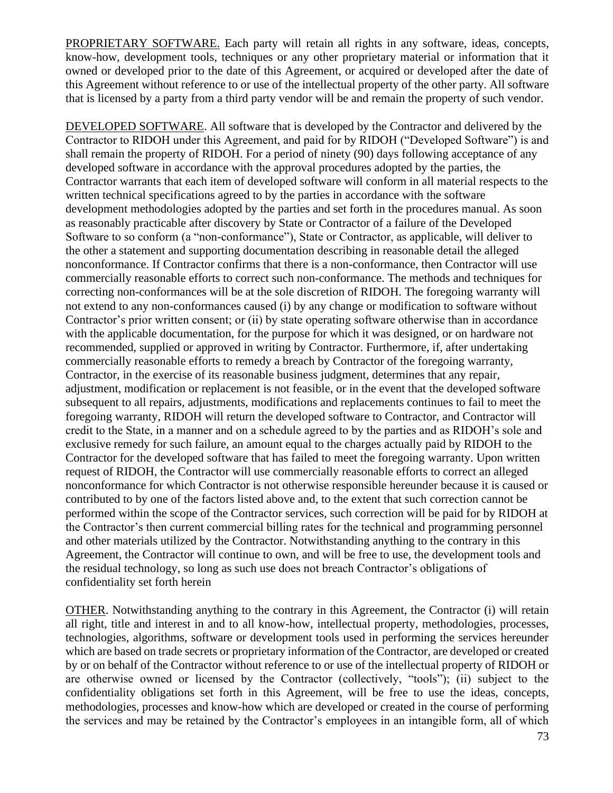PROPRIETARY SOFTWARE. Each party will retain all rights in any software, ideas, concepts, know-how, development tools, techniques or any other proprietary material or information that it owned or developed prior to the date of this Agreement, or acquired or developed after the date of this Agreement without reference to or use of the intellectual property of the other party. All software that is licensed by a party from a third party vendor will be and remain the property of such vendor.

DEVELOPED SOFTWARE. All software that is developed by the Contractor and delivered by the Contractor to RIDOH under this Agreement, and paid for by RIDOH ("Developed Software") is and shall remain the property of RIDOH. For a period of ninety (90) days following acceptance of any developed software in accordance with the approval procedures adopted by the parties, the Contractor warrants that each item of developed software will conform in all material respects to the written technical specifications agreed to by the parties in accordance with the software development methodologies adopted by the parties and set forth in the procedures manual. As soon as reasonably practicable after discovery by State or Contractor of a failure of the Developed Software to so conform (a "non-conformance"), State or Contractor, as applicable, will deliver to the other a statement and supporting documentation describing in reasonable detail the alleged nonconformance. If Contractor confirms that there is a non-conformance, then Contractor will use commercially reasonable efforts to correct such non-conformance. The methods and techniques for correcting non-conformances will be at the sole discretion of RIDOH. The foregoing warranty will not extend to any non-conformances caused (i) by any change or modification to software without Contractor's prior written consent; or (ii) by state operating software otherwise than in accordance with the applicable documentation, for the purpose for which it was designed, or on hardware not recommended, supplied or approved in writing by Contractor. Furthermore, if, after undertaking commercially reasonable efforts to remedy a breach by Contractor of the foregoing warranty, Contractor, in the exercise of its reasonable business judgment, determines that any repair, adjustment, modification or replacement is not feasible, or in the event that the developed software subsequent to all repairs, adjustments, modifications and replacements continues to fail to meet the foregoing warranty, RIDOH will return the developed software to Contractor, and Contractor will credit to the State, in a manner and on a schedule agreed to by the parties and as RIDOH's sole and exclusive remedy for such failure, an amount equal to the charges actually paid by RIDOH to the Contractor for the developed software that has failed to meet the foregoing warranty. Upon written request of RIDOH, the Contractor will use commercially reasonable efforts to correct an alleged nonconformance for which Contractor is not otherwise responsible hereunder because it is caused or contributed to by one of the factors listed above and, to the extent that such correction cannot be performed within the scope of the Contractor services, such correction will be paid for by RIDOH at the Contractor's then current commercial billing rates for the technical and programming personnel and other materials utilized by the Contractor. Notwithstanding anything to the contrary in this Agreement, the Contractor will continue to own, and will be free to use, the development tools and the residual technology, so long as such use does not breach Contractor's obligations of confidentiality set forth herein

OTHER. Notwithstanding anything to the contrary in this Agreement, the Contractor (i) will retain all right, title and interest in and to all know-how, intellectual property, methodologies, processes, technologies, algorithms, software or development tools used in performing the services hereunder which are based on trade secrets or proprietary information of the Contractor, are developed or created by or on behalf of the Contractor without reference to or use of the intellectual property of RIDOH or are otherwise owned or licensed by the Contractor (collectively, "tools"); (ii) subject to the confidentiality obligations set forth in this Agreement, will be free to use the ideas, concepts, methodologies, processes and know-how which are developed or created in the course of performing the services and may be retained by the Contractor's employees in an intangible form, all of which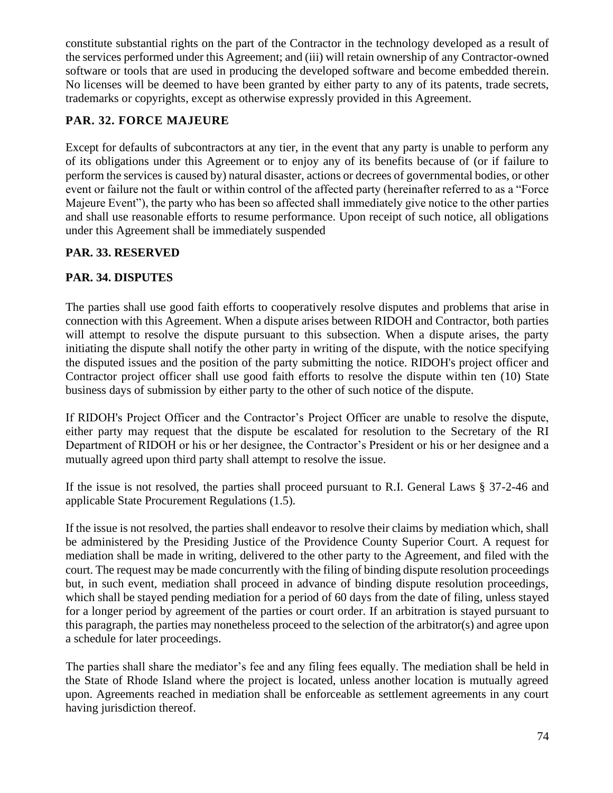constitute substantial rights on the part of the Contractor in the technology developed as a result of the services performed under this Agreement; and (iii) will retain ownership of any Contractor-owned software or tools that are used in producing the developed software and become embedded therein. No licenses will be deemed to have been granted by either party to any of its patents, trade secrets, trademarks or copyrights, except as otherwise expressly provided in this Agreement.

# **PAR. 32. FORCE MAJEURE**

Except for defaults of subcontractors at any tier, in the event that any party is unable to perform any of its obligations under this Agreement or to enjoy any of its benefits because of (or if failure to perform the services is caused by) natural disaster, actions or decrees of governmental bodies, or other event or failure not the fault or within control of the affected party (hereinafter referred to as a "Force Majeure Event"), the party who has been so affected shall immediately give notice to the other parties and shall use reasonable efforts to resume performance. Upon receipt of such notice, all obligations under this Agreement shall be immediately suspended

# **PAR. 33. RESERVED**

# **PAR. 34. DISPUTES**

The parties shall use good faith efforts to cooperatively resolve disputes and problems that arise in connection with this Agreement. When a dispute arises between RIDOH and Contractor, both parties will attempt to resolve the dispute pursuant to this subsection. When a dispute arises, the party initiating the dispute shall notify the other party in writing of the dispute, with the notice specifying the disputed issues and the position of the party submitting the notice. RIDOH's project officer and Contractor project officer shall use good faith efforts to resolve the dispute within ten (10) State business days of submission by either party to the other of such notice of the dispute.

If RIDOH's Project Officer and the Contractor's Project Officer are unable to resolve the dispute, either party may request that the dispute be escalated for resolution to the Secretary of the RI Department of RIDOH or his or her designee, the Contractor's President or his or her designee and a mutually agreed upon third party shall attempt to resolve the issue.

If the issue is not resolved, the parties shall proceed pursuant to R.I. General Laws § 37-2-46 and applicable State Procurement Regulations (1.5).

If the issue is not resolved, the parties shall endeavor to resolve their claims by mediation which, shall be administered by the Presiding Justice of the Providence County Superior Court. A request for mediation shall be made in writing, delivered to the other party to the Agreement, and filed with the court. The request may be made concurrently with the filing of binding dispute resolution proceedings but, in such event, mediation shall proceed in advance of binding dispute resolution proceedings, which shall be stayed pending mediation for a period of 60 days from the date of filing, unless stayed for a longer period by agreement of the parties or court order. If an arbitration is stayed pursuant to this paragraph, the parties may nonetheless proceed to the selection of the arbitrator(s) and agree upon a schedule for later proceedings.

The parties shall share the mediator's fee and any filing fees equally. The mediation shall be held in the State of Rhode Island where the project is located, unless another location is mutually agreed upon. Agreements reached in mediation shall be enforceable as settlement agreements in any court having jurisdiction thereof.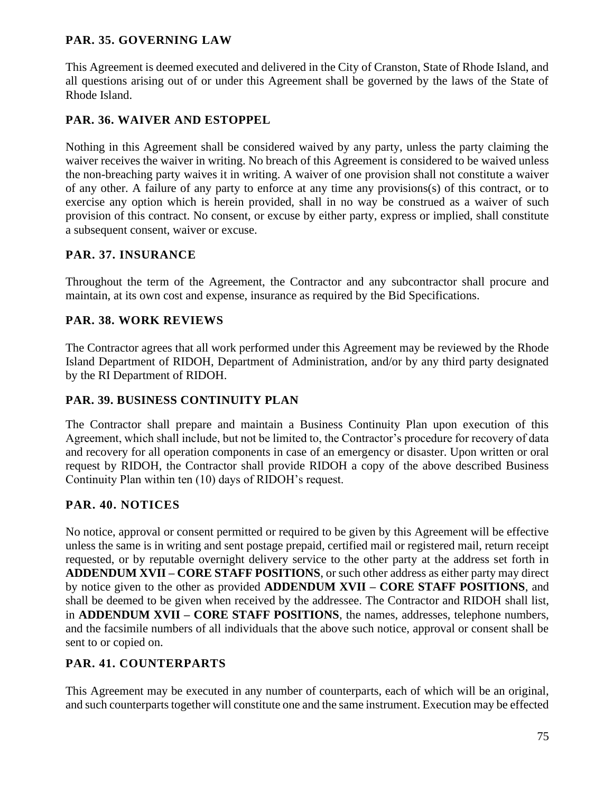### **PAR. 35. GOVERNING LAW**

This Agreement is deemed executed and delivered in the City of Cranston, State of Rhode Island, and all questions arising out of or under this Agreement shall be governed by the laws of the State of Rhode Island.

## **PAR. 36. WAIVER AND ESTOPPEL**

Nothing in this Agreement shall be considered waived by any party, unless the party claiming the waiver receives the waiver in writing. No breach of this Agreement is considered to be waived unless the non-breaching party waives it in writing. A waiver of one provision shall not constitute a waiver of any other. A failure of any party to enforce at any time any provisions(s) of this contract, or to exercise any option which is herein provided, shall in no way be construed as a waiver of such provision of this contract. No consent, or excuse by either party, express or implied, shall constitute a subsequent consent, waiver or excuse.

### **PAR. 37. INSURANCE**

Throughout the term of the Agreement, the Contractor and any subcontractor shall procure and maintain, at its own cost and expense, insurance as required by the Bid Specifications.

### **PAR. 38. WORK REVIEWS**

The Contractor agrees that all work performed under this Agreement may be reviewed by the Rhode Island Department of RIDOH, Department of Administration, and/or by any third party designated by the RI Department of RIDOH.

#### **PAR. 39. BUSINESS CONTINUITY PLAN**

The Contractor shall prepare and maintain a Business Continuity Plan upon execution of this Agreement, which shall include, but not be limited to, the Contractor's procedure for recovery of data and recovery for all operation components in case of an emergency or disaster. Upon written or oral request by RIDOH, the Contractor shall provide RIDOH a copy of the above described Business Continuity Plan within ten (10) days of RIDOH's request.

## **PAR. 40. NOTICES**

No notice, approval or consent permitted or required to be given by this Agreement will be effective unless the same is in writing and sent postage prepaid, certified mail or registered mail, return receipt requested, or by reputable overnight delivery service to the other party at the address set forth in **ADDENDUM XVII – CORE STAFF POSITIONS**, or such other address as either party may direct by notice given to the other as provided **ADDENDUM XVII – CORE STAFF POSITIONS**, and shall be deemed to be given when received by the addressee. The Contractor and RIDOH shall list, in **ADDENDUM XVII – CORE STAFF POSITIONS**, the names, addresses, telephone numbers, and the facsimile numbers of all individuals that the above such notice, approval or consent shall be sent to or copied on.

## **PAR. 41. COUNTERPARTS**

This Agreement may be executed in any number of counterparts, each of which will be an original, and such counterparts together will constitute one and the same instrument. Execution may be effected